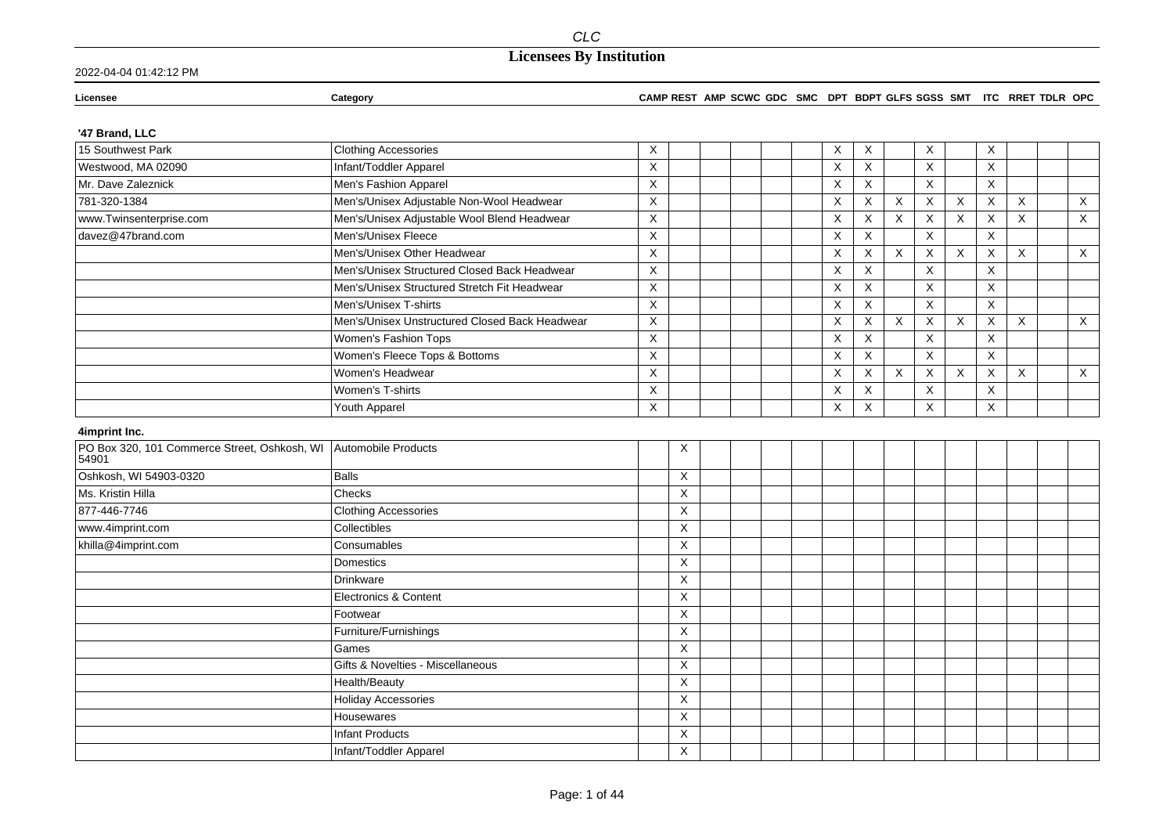### 2022-04-04 01:42:12 PM

#### **Licensee Category CAMP REST AMP SCWC GDC SMC DPT BDPT GLFS SGSS SMT ITC RRET TDLR OPC**

### **'47 Brand, LLC**

| 15 Southwest Park                                                         | <b>Clothing Accessories</b>                    | Χ |                         |  | Х           | X            |                           | X                         |          | Χ                         |              |              |
|---------------------------------------------------------------------------|------------------------------------------------|---|-------------------------|--|-------------|--------------|---------------------------|---------------------------|----------|---------------------------|--------------|--------------|
| Westwood, MA 02090                                                        | Infant/Toddler Apparel                         | X |                         |  | X           | X            |                           | $\times$                  |          | X                         |              |              |
| Mr. Dave Zaleznick                                                        | Men's Fashion Apparel                          | X |                         |  | $\times$    | X            |                           | $\boldsymbol{\mathsf{X}}$ |          | $\overline{\mathsf{x}}$   |              |              |
| 781-320-1384                                                              | Men's/Unisex Adjustable Non-Wool Headwear      | X |                         |  | $\times$    | X            | $\boldsymbol{\mathsf{X}}$ | $\boldsymbol{\mathsf{X}}$ | X        | $\boldsymbol{\mathsf{X}}$ | X            | $\mathsf{X}$ |
| www.Twinsenterprise.com                                                   | Men's/Unisex Adjustable Wool Blend Headwear    | X |                         |  | $\mathsf X$ | X            | X                         | X                         | X        | $\boldsymbol{\mathsf{X}}$ | X            | $\mathsf X$  |
| davez@47brand.com                                                         | Men's/Unisex Fleece                            | X |                         |  | $\times$    | $\mathsf X$  |                           | X                         |          | $\mathsf X$               |              |              |
|                                                                           | Men's/Unisex Other Headwear                    | X |                         |  | X           | X            | X                         | $\times$                  | $\times$ | $\times$                  | $\mathsf{X}$ | $\mathsf{X}$ |
|                                                                           | Men's/Unisex Structured Closed Back Headwear   | X |                         |  | $\times$    | X            |                           | X                         |          | $\boldsymbol{\mathsf{X}}$ |              |              |
|                                                                           | Men's/Unisex Structured Stretch Fit Headwear   | X |                         |  | $\times$    | $\mathsf{X}$ |                           | $\mathsf X$               |          | $\boldsymbol{\mathsf{X}}$ |              |              |
|                                                                           | Men's/Unisex T-shirts                          | X |                         |  | X           | $\mathsf{X}$ |                           | $\times$                  |          | $\times$                  |              |              |
|                                                                           | Men's/Unisex Unstructured Closed Back Headwear | X |                         |  | $\times$    | X            | $\boldsymbol{\mathsf{X}}$ | X                         | X        | X                         | $\times$     | $\mathsf{X}$ |
|                                                                           | Women's Fashion Tops                           | X |                         |  | $\times$    | X            |                           | $\boldsymbol{\mathsf{X}}$ |          | $\boldsymbol{\mathsf{X}}$ |              |              |
|                                                                           | Women's Fleece Tops & Bottoms                  | X |                         |  | $\times$    | X            |                           | $\boldsymbol{\mathsf{X}}$ |          | $\times$                  |              |              |
|                                                                           | Women's Headwear                               | X |                         |  | $\mathsf X$ | $\mathsf X$  | $\boldsymbol{\mathsf{X}}$ | X                         | X        | $\boldsymbol{\mathsf{X}}$ | X            | $\mathsf X$  |
|                                                                           | Women's T-shirts                               | X |                         |  | $\times$    | X            |                           | X                         |          | $\boldsymbol{\mathsf{X}}$ |              |              |
|                                                                           | Youth Apparel                                  | X |                         |  | X           | X            |                           | X                         |          | X                         |              |              |
| 4imprint Inc.                                                             |                                                |   |                         |  |             |              |                           |                           |          |                           |              |              |
| PO Box 320, 101 Commerce Street, Oshkosh, WI Automobile Products<br>54901 |                                                |   | X                       |  |             |              |                           |                           |          |                           |              |              |
| Oshkosh, WI 54903-0320                                                    | <b>Balls</b>                                   |   | X                       |  |             |              |                           |                           |          |                           |              |              |
| Ms. Kristin Hilla                                                         | Checks                                         |   | Χ                       |  |             |              |                           |                           |          |                           |              |              |
| 877-446-7746                                                              | <b>Clothing Accessories</b>                    |   | X                       |  |             |              |                           |                           |          |                           |              |              |
| www.4imprint.com                                                          | Collectibles                                   |   | X                       |  |             |              |                           |                           |          |                           |              |              |
| khilla@4imprint.com                                                       | Consumables                                    |   | X                       |  |             |              |                           |                           |          |                           |              |              |
|                                                                           | Domestics                                      |   | X                       |  |             |              |                           |                           |          |                           |              |              |
|                                                                           | Drinkware                                      |   | X                       |  |             |              |                           |                           |          |                           |              |              |
|                                                                           | <b>Electronics &amp; Content</b>               |   | X                       |  |             |              |                           |                           |          |                           |              |              |
|                                                                           | Footwear                                       |   | X                       |  |             |              |                           |                           |          |                           |              |              |
|                                                                           | Furniture/Furnishings                          |   | X                       |  |             |              |                           |                           |          |                           |              |              |
|                                                                           | Games                                          |   | $\overline{\mathsf{X}}$ |  |             |              |                           |                           |          |                           |              |              |
|                                                                           | Gifts & Novelties - Miscellaneous              |   | X                       |  |             |              |                           |                           |          |                           |              |              |
|                                                                           | Health/Beauty                                  |   | X                       |  |             |              |                           |                           |          |                           |              |              |
|                                                                           | <b>Holiday Accessories</b>                     |   | X                       |  |             |              |                           |                           |          |                           |              |              |
|                                                                           | Housewares                                     |   | X                       |  |             |              |                           |                           |          |                           |              |              |
|                                                                           | <b>Infant Products</b>                         |   | X                       |  |             |              |                           |                           |          |                           |              |              |
|                                                                           | Infant/Toddler Apparel                         |   | X                       |  |             |              |                           |                           |          |                           |              |              |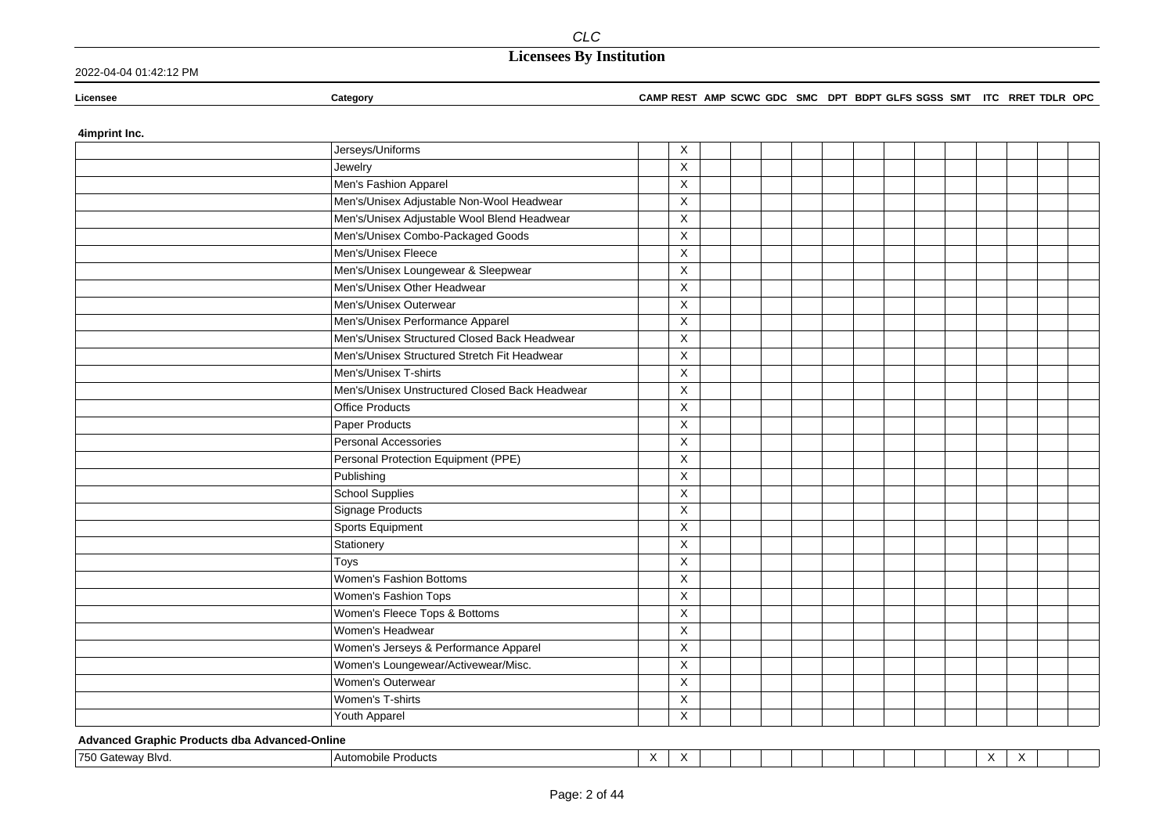### 2022-04-04 01:42:12 PM

#### **Licensee Category CAMP REST AMP SCWC GDC SMC DPT BDPT GLFS SGSS SMT ITC RRET TDLR OPC**

### **4imprint Inc.**

| Jerseys/Uniforms                               | Χ                       |  |  |  |  |  |  |
|------------------------------------------------|-------------------------|--|--|--|--|--|--|
| Jewelry                                        | X                       |  |  |  |  |  |  |
| Men's Fashion Apparel                          | X                       |  |  |  |  |  |  |
| Men's/Unisex Adjustable Non-Wool Headwear      | X                       |  |  |  |  |  |  |
| Men's/Unisex Adjustable Wool Blend Headwear    | X                       |  |  |  |  |  |  |
| Men's/Unisex Combo-Packaged Goods              | X                       |  |  |  |  |  |  |
| Men's/Unisex Fleece                            | X                       |  |  |  |  |  |  |
| Men's/Unisex Loungewear & Sleepwear            | $\overline{\mathsf{x}}$ |  |  |  |  |  |  |
| Men's/Unisex Other Headwear                    | $\mathsf X$             |  |  |  |  |  |  |
| Men's/Unisex Outerwear                         | X                       |  |  |  |  |  |  |
| Men's/Unisex Performance Apparel               | X                       |  |  |  |  |  |  |
| Men's/Unisex Structured Closed Back Headwear   | X                       |  |  |  |  |  |  |
| Men's/Unisex Structured Stretch Fit Headwear   | $\overline{\mathsf{x}}$ |  |  |  |  |  |  |
| Men's/Unisex T-shirts                          | $\overline{X}$          |  |  |  |  |  |  |
| Men's/Unisex Unstructured Closed Back Headwear | X                       |  |  |  |  |  |  |
| <b>Office Products</b>                         | X                       |  |  |  |  |  |  |
| Paper Products                                 | X                       |  |  |  |  |  |  |
| Personal Accessories                           | X                       |  |  |  |  |  |  |
| Personal Protection Equipment (PPE)            | $\overline{\mathsf{x}}$ |  |  |  |  |  |  |
| Publishing                                     | X                       |  |  |  |  |  |  |
| <b>School Supplies</b>                         | X                       |  |  |  |  |  |  |
| Signage Products                               | X                       |  |  |  |  |  |  |
| Sports Equipment                               | X                       |  |  |  |  |  |  |
| Stationery                                     | X                       |  |  |  |  |  |  |
| Toys                                           | X                       |  |  |  |  |  |  |
| Women's Fashion Bottoms                        | X                       |  |  |  |  |  |  |
| Women's Fashion Tops                           | X                       |  |  |  |  |  |  |
| Women's Fleece Tops & Bottoms                  | X                       |  |  |  |  |  |  |
| Women's Headwear                               | $\overline{\mathsf{X}}$ |  |  |  |  |  |  |
| Women's Jerseys & Performance Apparel          | $\sf X$                 |  |  |  |  |  |  |
| Women's Loungewear/Activewear/Misc.            | X                       |  |  |  |  |  |  |
| Women's Outerwear                              | X                       |  |  |  |  |  |  |
| Women's T-shirts                               | X                       |  |  |  |  |  |  |
| Youth Apparel                                  | X                       |  |  |  |  |  |  |

### **Advanced Graphic Products dba Advanced-Online**

|  | 750 Gateway Blvd. | <b>Products</b><br>. Autor<br>nobile |  |  |  |  |  |  |  |  |  |  |  |  |  |  |  |
|--|-------------------|--------------------------------------|--|--|--|--|--|--|--|--|--|--|--|--|--|--|--|
|--|-------------------|--------------------------------------|--|--|--|--|--|--|--|--|--|--|--|--|--|--|--|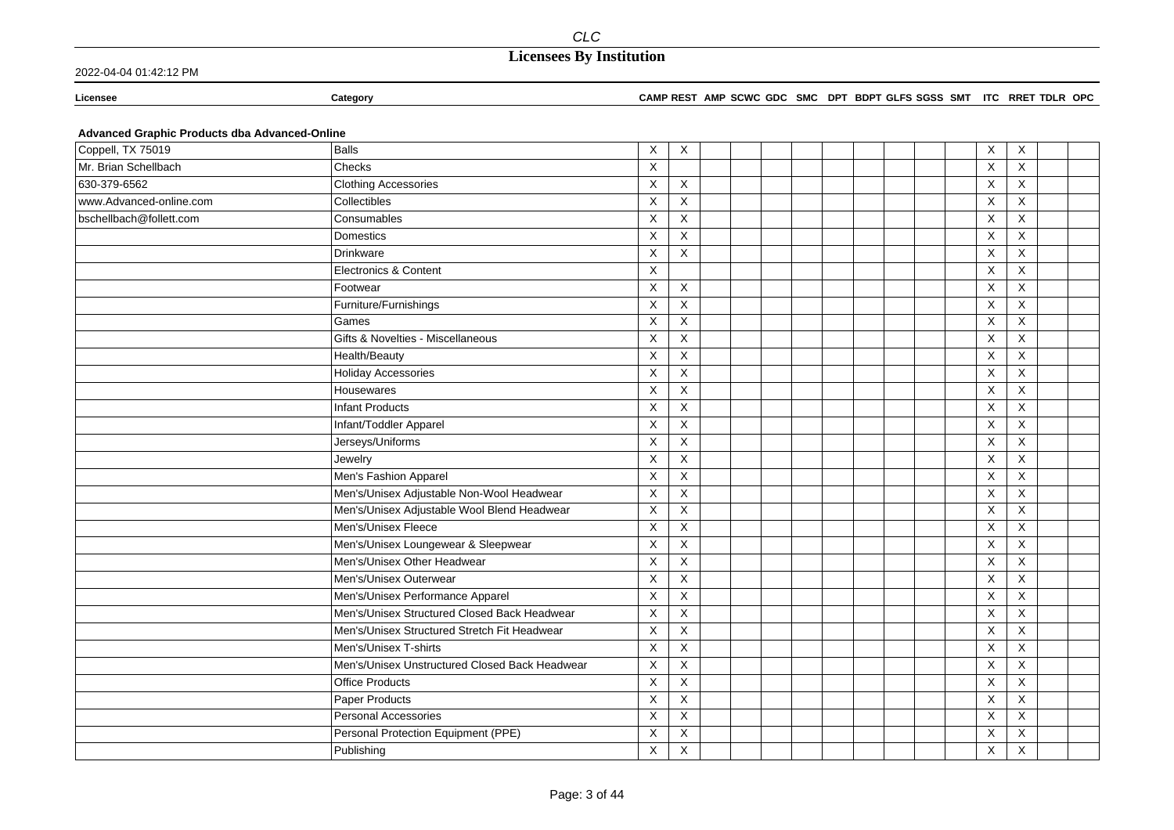2022-04-04 01:42:12 PM

**Licensee Category CAMP REST AMP SCWC GDC SMC DPT BDPT GLFS SGSS SMT ITC RRET TDLR OPC**

### **Advanced Graphic Products dba Advanced-Online**

| Coppell, TX 75019       | Balls                                          | X | $\boldsymbol{\mathsf{X}}$ |  |  |  |  | X            | X              |  |
|-------------------------|------------------------------------------------|---|---------------------------|--|--|--|--|--------------|----------------|--|
| Mr. Brian Schellbach    | Checks                                         | X |                           |  |  |  |  | X            | $\times$       |  |
| 630-379-6562            | <b>Clothing Accessories</b>                    | X | X                         |  |  |  |  | X            | $\times$       |  |
| www.Advanced-online.com | Collectibles                                   | X | $\mathsf X$               |  |  |  |  | X            | $\mathsf{X}$   |  |
| bschellbach@follett.com | Consumables                                    | X | X                         |  |  |  |  | X            | $\times$       |  |
|                         | Domestics                                      | X | X                         |  |  |  |  | $\mathsf X$  | X              |  |
|                         | Drinkware                                      | X | X                         |  |  |  |  | X            | Χ              |  |
|                         | Electronics & Content                          | X |                           |  |  |  |  | X            | X              |  |
|                         | Footwear                                       | X | X                         |  |  |  |  | X            | X              |  |
|                         | Furniture/Furnishings                          | X | X                         |  |  |  |  | $\times$     | X              |  |
|                         | Games                                          | X | $\mathsf X$               |  |  |  |  | X            | X              |  |
|                         | Gifts & Novelties - Miscellaneous              | X | X                         |  |  |  |  | X            | X              |  |
|                         | Health/Beauty                                  | X | X                         |  |  |  |  | X            | X              |  |
|                         | <b>Holiday Accessories</b>                     | X | X                         |  |  |  |  | $\times$     | X              |  |
|                         | Housewares                                     | X | X                         |  |  |  |  | X            | $\times$       |  |
|                         | Infant Products                                | X | X                         |  |  |  |  | X            | Χ              |  |
|                         | Infant/Toddler Apparel                         | X | $\mathsf X$               |  |  |  |  | $\mathsf X$  | X              |  |
|                         | Jerseys/Uniforms                               | X | X                         |  |  |  |  | X            | X              |  |
|                         | Jewelry                                        | X | X                         |  |  |  |  | X            | $\times$       |  |
|                         | Men's Fashion Apparel                          | X | X                         |  |  |  |  | X            | X              |  |
|                         | Men's/Unisex Adjustable Non-Wool Headwear      | X | X                         |  |  |  |  | $\times$     | X              |  |
|                         | Men's/Unisex Adjustable Wool Blend Headwear    | X | X                         |  |  |  |  | X            | X              |  |
|                         | Men's/Unisex Fleece                            | X | X                         |  |  |  |  | X            | X              |  |
|                         | Men's/Unisex Loungewear & Sleepwear            | X | $\mathsf X$               |  |  |  |  | X            | X              |  |
|                         | Men's/Unisex Other Headwear                    | X | $\mathsf X$               |  |  |  |  | X            | $\pmb{\times}$ |  |
|                         | Men's/Unisex Outerwear                         | X | X                         |  |  |  |  | X            | $\times$       |  |
|                         | Men's/Unisex Performance Apparel               | X | X                         |  |  |  |  | X            | X              |  |
|                         | Men's/Unisex Structured Closed Back Headwear   | X | $\mathsf X$               |  |  |  |  | $\mathsf{X}$ | $\times$       |  |
|                         | Men's/Unisex Structured Stretch Fit Headwear   | X | $\mathsf X$               |  |  |  |  | X            | $\mathsf{X}$   |  |
|                         | Men's/Unisex T-shirts                          | X | X                         |  |  |  |  | X            | $\mathsf{X}$   |  |
|                         | Men's/Unisex Unstructured Closed Back Headwear | X | X                         |  |  |  |  | $\times$     | $\mathsf{X}$   |  |
|                         | <b>Office Products</b>                         | X | X                         |  |  |  |  | Χ            | $\times$       |  |
|                         | Paper Products                                 | X | X                         |  |  |  |  | X            | X              |  |
|                         | <b>Personal Accessories</b>                    | X | X                         |  |  |  |  | X            | X              |  |
|                         | Personal Protection Equipment (PPE)            | X | X                         |  |  |  |  | X            | X              |  |
|                         | Publishing                                     | X | $\mathsf X$               |  |  |  |  | X            | X              |  |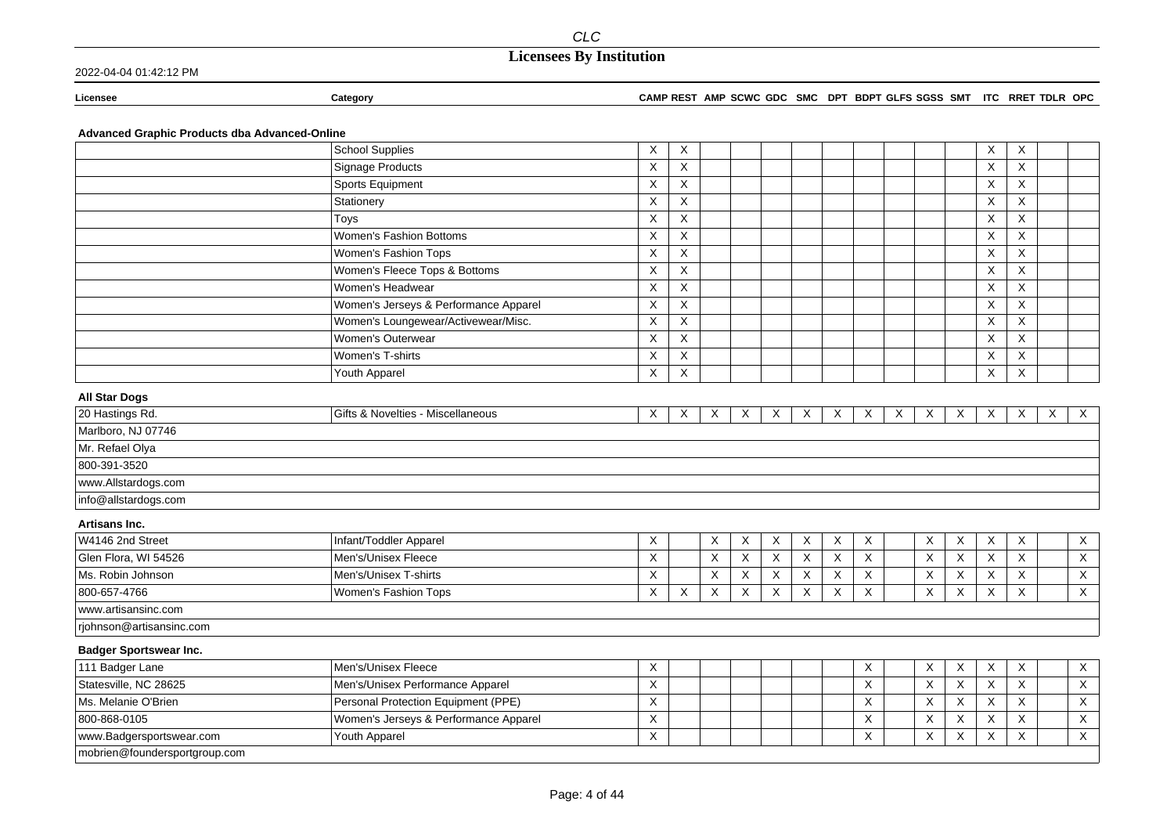# **Licensees By Institution**

### 2022-04-04 01:42:12 PM

### **Licensee Category CAMP REST AMP SCWC GDC SMC DPT BDPT GLFS SGSS SMT ITC RRET TDLR OPC**

### **Advanced Graphic Products dba Advanced-Online**

|                               | <b>School Supplies</b>                | Χ | Χ                         |                           |   |                           |   |          |   |   |                           |                           | Х                         | X            |   |                |
|-------------------------------|---------------------------------------|---|---------------------------|---------------------------|---|---------------------------|---|----------|---|---|---------------------------|---------------------------|---------------------------|--------------|---|----------------|
|                               | <b>Signage Products</b>               | X | X                         |                           |   |                           |   |          |   |   |                           |                           | X                         | $\times$     |   |                |
|                               | Sports Equipment                      | X | X                         |                           |   |                           |   |          |   |   |                           |                           | X                         | X            |   |                |
|                               | Stationery                            | X | X                         |                           |   |                           |   |          |   |   |                           |                           | X                         | X            |   |                |
|                               | Toys                                  | X | X                         |                           |   |                           |   |          |   |   |                           |                           | X                         | $\times$     |   |                |
|                               | Women's Fashion Bottoms               | X | X                         |                           |   |                           |   |          |   |   |                           |                           | X                         | X            |   |                |
|                               | Women's Fashion Tops                  | X | X                         |                           |   |                           |   |          |   |   |                           |                           | X                         | X            |   |                |
|                               | Women's Fleece Tops & Bottoms         | X | X                         |                           |   |                           |   |          |   |   |                           |                           | X                         | X            |   |                |
|                               | Women's Headwear                      | X | X                         |                           |   |                           |   |          |   |   |                           |                           | $\mathsf X$               | X            |   |                |
|                               | Women's Jerseys & Performance Apparel | X | X                         |                           |   |                           |   |          |   |   |                           |                           | X                         | $\times$     |   |                |
|                               | Women's Loungewear/Activewear/Misc.   | X | X                         |                           |   |                           |   |          |   |   |                           |                           | $\times$                  | $\times$     |   |                |
|                               | Women's Outerwear                     | X | $\boldsymbol{\mathsf{X}}$ |                           |   |                           |   |          |   |   |                           |                           | X                         | X            |   |                |
|                               | Women's T-shirts                      | X | $\boldsymbol{\mathsf{X}}$ |                           |   |                           |   |          |   |   |                           |                           | $\boldsymbol{\mathsf{X}}$ | X            |   |                |
|                               | Youth Apparel                         | X | X                         |                           |   |                           |   |          |   |   |                           |                           | $\times$                  | $\times$     |   |                |
| <b>All Star Dogs</b>          |                                       |   |                           |                           |   |                           |   |          |   |   |                           |                           |                           |              |   |                |
| 20 Hastings Rd.               | Gifts & Novelties - Miscellaneous     | X | X                         | X                         | X | X                         | X | X        | X | X | X                         | X                         | X                         | X            | X | $\mathsf X$    |
| Marlboro, NJ 07746            |                                       |   |                           |                           |   |                           |   |          |   |   |                           |                           |                           |              |   |                |
| Mr. Refael Olya               |                                       |   |                           |                           |   |                           |   |          |   |   |                           |                           |                           |              |   |                |
| 800-391-3520                  |                                       |   |                           |                           |   |                           |   |          |   |   |                           |                           |                           |              |   |                |
| www.Allstardogs.com           |                                       |   |                           |                           |   |                           |   |          |   |   |                           |                           |                           |              |   |                |
| info@allstardogs.com          |                                       |   |                           |                           |   |                           |   |          |   |   |                           |                           |                           |              |   |                |
| Artisans Inc.                 |                                       |   |                           |                           |   |                           |   |          |   |   |                           |                           |                           |              |   |                |
| W4146 2nd Street              | Infant/Toddler Apparel                | X |                           | $\boldsymbol{\mathsf{X}}$ | X | $\boldsymbol{\mathsf{X}}$ | X | Χ        | X |   | X                         | $\boldsymbol{\mathsf{X}}$ | X                         | $\mathsf X$  |   | $\mathsf X$    |
| Glen Flora, WI 54526          | Men's/Unisex Fleece                   | X |                           | X                         | X | X                         | X | X        | X |   | $\boldsymbol{\mathsf{X}}$ | $\mathsf X$               | X                         | $\mathsf{X}$ |   | $\overline{X}$ |
| Ms. Robin Johnson             | Men's/Unisex T-shirts                 | X |                           | X                         | X | X                         | X | X        | X |   | X                         | $\times$                  | X                         | X            |   | $\mathsf{X}$   |
| 800-657-4766                  | Women's Fashion Tops                  | X | X                         | X                         | X | X                         | X | $\times$ | X |   | $\sf X$                   | X                         | X                         | $\mathsf{X}$ |   | $\sf X$        |
| www.artisansinc.com           |                                       |   |                           |                           |   |                           |   |          |   |   |                           |                           |                           |              |   |                |
| rjohnson@artisansinc.com      |                                       |   |                           |                           |   |                           |   |          |   |   |                           |                           |                           |              |   |                |
| <b>Badger Sportswear Inc.</b> |                                       |   |                           |                           |   |                           |   |          |   |   |                           |                           |                           |              |   |                |
| 111 Badger Lane               | Men's/Unisex Fleece                   | X |                           |                           |   |                           |   |          | X |   | X                         | X                         | X                         | X            |   | $\mathsf{X}$   |
| Statesville, NC 28625         | Men's/Unisex Performance Apparel      | X |                           |                           |   |                           |   |          | X |   | $\times$                  | X                         | $\sf X$                   | $\sf X$      |   | $\mathsf{X}$   |
| Ms. Melanie O'Brien           | Personal Protection Equipment (PPE)   | X |                           |                           |   |                           |   |          | X |   | $\pmb{\times}$            | X                         | X                         | X            |   | $\overline{X}$ |
| 800-868-0105                  | Women's Jerseys & Performance Apparel | X |                           |                           |   |                           |   |          | X |   | X                         | X                         | X                         | X            |   | $\mathsf X$    |
| www.Badgersportswear.com      | Youth Apparel                         | X |                           |                           |   |                           |   |          | X |   | X                         | X                         | X                         | X            |   | $\mathsf{X}$   |
| mobrien@foundersportgroup.com |                                       |   |                           |                           |   |                           |   |          |   |   |                           |                           |                           |              |   |                |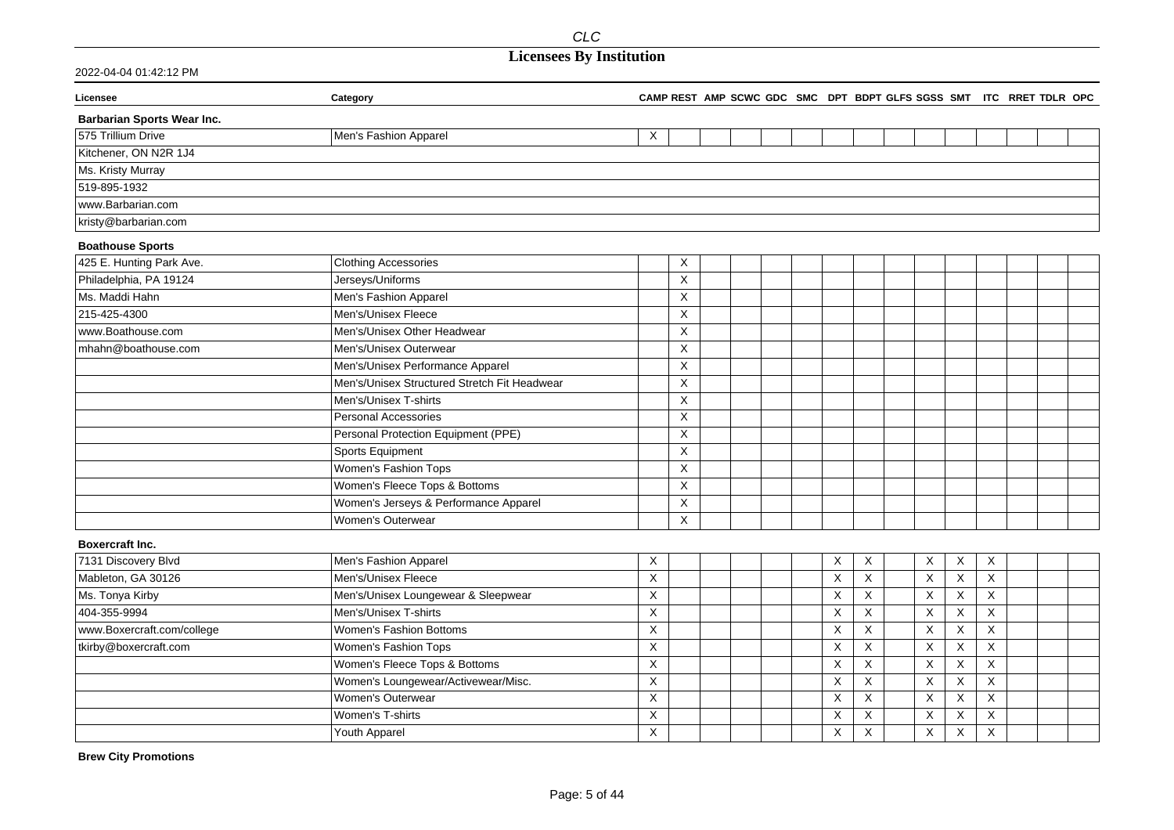## **Licensees By Institution**

| 2022-04-04 01:42:12 PM |
|------------------------|
|------------------------|

| Licensee                          | Category                                     |                         |                           |  |  |          |             |             |                           |             | CAMP REST AMP SCWC GDC SMC DPT BDPT GLFS SGSS SMT ITC RRET TDLR OPC |  |
|-----------------------------------|----------------------------------------------|-------------------------|---------------------------|--|--|----------|-------------|-------------|---------------------------|-------------|---------------------------------------------------------------------|--|
| <b>Barbarian Sports Wear Inc.</b> |                                              |                         |                           |  |  |          |             |             |                           |             |                                                                     |  |
| 575 Trillium Drive                | Men's Fashion Apparel                        | X                       |                           |  |  |          |             |             |                           |             |                                                                     |  |
| Kitchener, ON N2R 1J4             |                                              |                         |                           |  |  |          |             |             |                           |             |                                                                     |  |
| Ms. Kristy Murray                 |                                              |                         |                           |  |  |          |             |             |                           |             |                                                                     |  |
| 519-895-1932                      |                                              |                         |                           |  |  |          |             |             |                           |             |                                                                     |  |
| www.Barbarian.com                 |                                              |                         |                           |  |  |          |             |             |                           |             |                                                                     |  |
| kristy@barbarian.com              |                                              |                         |                           |  |  |          |             |             |                           |             |                                                                     |  |
| <b>Boathouse Sports</b>           |                                              |                         |                           |  |  |          |             |             |                           |             |                                                                     |  |
| 425 E. Hunting Park Ave.          | <b>Clothing Accessories</b>                  |                         | X                         |  |  |          |             |             |                           |             |                                                                     |  |
| Philadelphia, PA 19124            | Jerseys/Uniforms                             |                         | X                         |  |  |          |             |             |                           |             |                                                                     |  |
| Ms. Maddi Hahn                    | Men's Fashion Apparel                        |                         | $\boldsymbol{\mathsf{X}}$ |  |  |          |             |             |                           |             |                                                                     |  |
| 215-425-4300                      | Men's/Unisex Fleece                          |                         | X                         |  |  |          |             |             |                           |             |                                                                     |  |
| www.Boathouse.com                 | Men's/Unisex Other Headwear                  |                         | $\mathsf X$               |  |  |          |             |             |                           |             |                                                                     |  |
| mhahn@boathouse.com               | Men's/Unisex Outerwear                       |                         | X                         |  |  |          |             |             |                           |             |                                                                     |  |
|                                   | Men's/Unisex Performance Apparel             |                         | X                         |  |  |          |             |             |                           |             |                                                                     |  |
|                                   | Men's/Unisex Structured Stretch Fit Headwear |                         | X                         |  |  |          |             |             |                           |             |                                                                     |  |
|                                   | Men's/Unisex T-shirts                        |                         | $\sf X$                   |  |  |          |             |             |                           |             |                                                                     |  |
|                                   | Personal Accessories                         |                         | X                         |  |  |          |             |             |                           |             |                                                                     |  |
|                                   | Personal Protection Equipment (PPE)          |                         | X                         |  |  |          |             |             |                           |             |                                                                     |  |
|                                   | Sports Equipment                             |                         | X                         |  |  |          |             |             |                           |             |                                                                     |  |
|                                   | Women's Fashion Tops                         |                         | X                         |  |  |          |             |             |                           |             |                                                                     |  |
|                                   | Women's Fleece Tops & Bottoms                |                         | X                         |  |  |          |             |             |                           |             |                                                                     |  |
|                                   | Women's Jerseys & Performance Apparel        |                         | $\sf X$                   |  |  |          |             |             |                           |             |                                                                     |  |
|                                   | Women's Outerwear                            |                         | X                         |  |  |          |             |             |                           |             |                                                                     |  |
| <b>Boxercraft Inc.</b>            |                                              |                         |                           |  |  |          |             |             |                           |             |                                                                     |  |
| 7131 Discovery Blvd               | Men's Fashion Apparel                        | X                       |                           |  |  | X        | X           | X           | X                         | X           |                                                                     |  |
| Mableton, GA 30126                | Men's/Unisex Fleece                          | $\overline{\mathsf{X}}$ |                           |  |  | $\times$ | $\mathsf X$ | $\mathsf X$ | $\boldsymbol{\mathsf{X}}$ | $\mathsf X$ |                                                                     |  |
| Ms. Tonya Kirby                   | Men's/Unisex Loungewear & Sleepwear          | $\mathsf X$             |                           |  |  | $\times$ | $\sf X$     | X           | X                         | X           |                                                                     |  |
| 404-355-9994                      | Men's/Unisex T-shirts                        | $\overline{X}$          |                           |  |  | $\times$ | X           | X           | $\mathsf X$               | $\mathsf X$ |                                                                     |  |
| www.Boxercraft.com/college        | <b>Women's Fashion Bottoms</b>               | X                       |                           |  |  | $\times$ | X           | X           | $\boldsymbol{\mathsf{X}}$ | X           |                                                                     |  |
| tkirby@boxercraft.com             | Women's Fashion Tops                         | X                       |                           |  |  | $\times$ | X           | $\mathsf X$ | $\boldsymbol{\mathsf{X}}$ | X           |                                                                     |  |
|                                   | Women's Fleece Tops & Bottoms                | $\overline{\mathsf{x}}$ |                           |  |  | X        | X           | X           | X                         | X           |                                                                     |  |
|                                   | Women's Loungewear/Activewear/Misc.          | X                       |                           |  |  | $\times$ | X           | X           | X                         | X           |                                                                     |  |
|                                   | Women's Outerwear                            | X                       |                           |  |  | $\times$ | X           | X           | X                         | X           |                                                                     |  |
|                                   | Women's T-shirts                             | X                       |                           |  |  | X        | X           | X           | X                         | X           |                                                                     |  |
|                                   | Youth Apparel                                | X                       |                           |  |  | X        | X           | X           | X                         | X           |                                                                     |  |

**Brew City Promotions**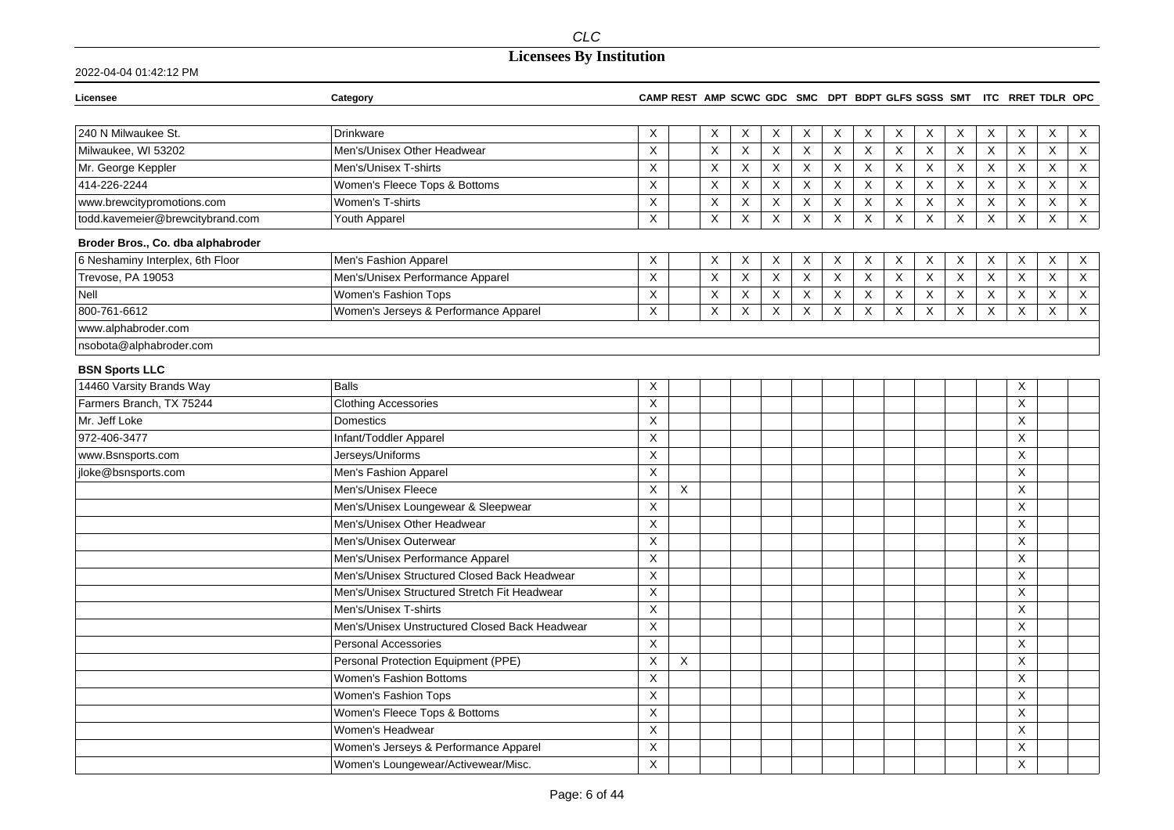## **Licensees By Institution**

| Licensee                          | Category                                       |                           |   |                           | CAMP REST AMP SCWC GDC SMC DPT BDPT GLFS SGSS SMT ITC RRET TDLR OPC |             |             |             |             |              |                           |                           |                           |                         |                |                |
|-----------------------------------|------------------------------------------------|---------------------------|---|---------------------------|---------------------------------------------------------------------|-------------|-------------|-------------|-------------|--------------|---------------------------|---------------------------|---------------------------|-------------------------|----------------|----------------|
|                                   |                                                |                           |   |                           |                                                                     |             |             |             |             |              |                           |                           |                           |                         |                |                |
| 240 N Milwaukee St.               | <b>Drinkware</b>                               | Χ                         |   | X                         | X                                                                   | X           | Χ           | Χ           | X           | X            | X                         | X                         | X                         | X                       | X              | X              |
| Milwaukee, WI 53202               | Men's/Unisex Other Headwear                    | X                         |   | X                         | X                                                                   | X           | X           | X           | X           | $\mathsf{X}$ | $\sf X$                   | $\boldsymbol{\mathsf{X}}$ | $\overline{X}$            | X                       | X              | $\overline{X}$ |
| Mr. George Keppler                | Men's/Unisex T-shirts                          | X                         |   | X                         | $\overline{X}$                                                      | X           | X           | X           | X           | X            | $\sf X$                   | X                         | $\overline{\mathsf{x}}$   | X                       | $\overline{X}$ | $\overline{X}$ |
| 414-226-2244                      | Women's Fleece Tops & Bottoms                  | X                         |   | X                         | $\mathsf{X}$                                                        | $\mathsf X$ | $\mathsf X$ | X           | X           | X            | $\mathsf X$               | $\boldsymbol{\mathsf{X}}$ | $\boldsymbol{\mathsf{X}}$ | $\mathsf X$             | X              | $\mathsf X$    |
| www.brewcitypromotions.com        | Women's T-shirts                               | X                         |   | $\boldsymbol{\mathsf{X}}$ | $\mathsf{X}$                                                        | $\mathsf X$ | X           | X           | X           | X            | X                         | X                         | $\boldsymbol{\mathsf{X}}$ | $\mathsf X$             | X              | $\mathsf X$    |
| todd.kavemeier@brewcitybrand.com  | Youth Apparel                                  | $\sf X$                   |   | $\times$                  | $\mathsf{X}$                                                        | X           | X           | $\times$    | X           | $\mathsf{X}$ | $\times$                  | $\times$                  | $\times$                  | $\sf X$                 | X              | $\mathsf{X}$   |
| Broder Bros., Co. dba alphabroder |                                                |                           |   |                           |                                                                     |             |             |             |             |              |                           |                           |                           |                         |                |                |
| 6 Neshaminy Interplex, 6th Floor  | Men's Fashion Apparel                          | X                         |   | X                         | X                                                                   | Χ           | Χ           | X           | Χ           | X            | X                         | X                         | X                         | X                       | Χ              | $\mathsf{X}$   |
| Trevose, PA 19053                 | Men's/Unisex Performance Apparel               | $\mathsf X$               |   | $\mathsf X$               | $\mathsf X$                                                         | $\mathsf X$ | $\mathsf X$ | $\mathsf X$ | $\mathsf X$ | $\mathsf X$  | $\mathsf X$               | $\boldsymbol{\mathsf{X}}$ | $\boldsymbol{\mathsf{X}}$ | $\mathsf X$             | $\pmb{\times}$ | $\overline{X}$ |
| <b>Nell</b>                       | Women's Fashion Tops                           | X                         |   | $\boldsymbol{\mathsf{X}}$ | $\mathsf{X}$                                                        | $\mathsf X$ | $\mathsf X$ | X           | $\mathsf X$ | $\mathsf X$  | $\mathsf X$               | X                         | $\mathsf X$               | $\overline{\mathsf{x}}$ | X              | $\overline{X}$ |
| 800-761-6612                      | Women's Jerseys & Performance Apparel          | X                         |   | $\boldsymbol{\mathsf{X}}$ | $\mathsf{X}$                                                        | $\mathsf X$ | X           | X           | X           | $\mathsf X$  | $\boldsymbol{\mathsf{X}}$ | X                         | $\boldsymbol{\mathsf{X}}$ | $\mathsf X$             | $\pmb{\times}$ | $\overline{X}$ |
| www.alphabroder.com               |                                                |                           |   |                           |                                                                     |             |             |             |             |              |                           |                           |                           |                         |                |                |
| nsobota@alphabroder.com           |                                                |                           |   |                           |                                                                     |             |             |             |             |              |                           |                           |                           |                         |                |                |
| <b>BSN Sports LLC</b>             |                                                |                           |   |                           |                                                                     |             |             |             |             |              |                           |                           |                           |                         |                |                |
| 14460 Varsity Brands Way          | <b>Balls</b>                                   | X                         |   |                           |                                                                     |             |             |             |             |              |                           |                           |                           | X                       |                |                |
| Farmers Branch, TX 75244          | <b>Clothing Accessories</b>                    | X                         |   |                           |                                                                     |             |             |             |             |              |                           |                           |                           | X                       |                |                |
| Mr. Jeff Loke                     | Domestics                                      | X                         |   |                           |                                                                     |             |             |             |             |              |                           |                           |                           | X                       |                |                |
| 972-406-3477                      | Infant/Toddler Apparel                         | X                         |   |                           |                                                                     |             |             |             |             |              |                           |                           |                           | $\mathsf{X}$            |                |                |
| www.Bsnsports.com                 | Jerseys/Uniforms                               | X                         |   |                           |                                                                     |             |             |             |             |              |                           |                           |                           | X                       |                |                |
| jloke@bsnsports.com               | Men's Fashion Apparel                          | $\boldsymbol{\mathsf{X}}$ |   |                           |                                                                     |             |             |             |             |              |                           |                           |                           | $\mathsf{X}$            |                |                |
|                                   | Men's/Unisex Fleece                            | $\mathsf X$               | X |                           |                                                                     |             |             |             |             |              |                           |                           |                           | X                       |                |                |
|                                   | Men's/Unisex Loungewear & Sleepwear            | $\boldsymbol{\mathsf{X}}$ |   |                           |                                                                     |             |             |             |             |              |                           |                           |                           | $\times$                |                |                |
|                                   | Men's/Unisex Other Headwear                    | X                         |   |                           |                                                                     |             |             |             |             |              |                           |                           |                           | X                       |                |                |
|                                   | Men's/Unisex Outerwear                         | $\times$                  |   |                           |                                                                     |             |             |             |             |              |                           |                           |                           | $\times$                |                |                |
|                                   | Men's/Unisex Performance Apparel               | X                         |   |                           |                                                                     |             |             |             |             |              |                           |                           |                           | X                       |                |                |
|                                   | Men's/Unisex Structured Closed Back Headwear   | Χ                         |   |                           |                                                                     |             |             |             |             |              |                           |                           |                           | X                       |                |                |
|                                   | Men's/Unisex Structured Stretch Fit Headwear   | X                         |   |                           |                                                                     |             |             |             |             |              |                           |                           |                           | X                       |                |                |
|                                   | Men's/Unisex T-shirts                          | X                         |   |                           |                                                                     |             |             |             |             |              |                           |                           |                           | X                       |                |                |
|                                   | Men's/Unisex Unstructured Closed Back Headwear | $\mathsf X$               |   |                           |                                                                     |             |             |             |             |              |                           |                           |                           | X                       |                |                |
|                                   | <b>Personal Accessories</b>                    | $\boldsymbol{\mathsf{X}}$ |   |                           |                                                                     |             |             |             |             |              |                           |                           |                           | $\times$                |                |                |
|                                   | Personal Protection Equipment (PPE)            | $\mathsf{X}$              | X |                           |                                                                     |             |             |             |             |              |                           |                           |                           | X                       |                |                |
|                                   | Women's Fashion Bottoms                        | $\sf X$                   |   |                           |                                                                     |             |             |             |             |              |                           |                           |                           | X                       |                |                |
|                                   | Women's Fashion Tops                           | X                         |   |                           |                                                                     |             |             |             |             |              |                           |                           |                           | X                       |                |                |
|                                   | Women's Fleece Tops & Bottoms                  | $\boldsymbol{\mathsf{X}}$ |   |                           |                                                                     |             |             |             |             |              |                           |                           |                           | X                       |                |                |
|                                   | Women's Headwear                               | X                         |   |                           |                                                                     |             |             |             |             |              |                           |                           |                           | $\times$                |                |                |
|                                   | Women's Jerseys & Performance Apparel          | X                         |   |                           |                                                                     |             |             |             |             |              |                           |                           |                           | X                       |                |                |
|                                   | Women's Loungewear/Activewear/Misc.            | $\mathsf{X}$              |   |                           |                                                                     |             |             |             |             |              |                           |                           |                           | $\pmb{\times}$          |                |                |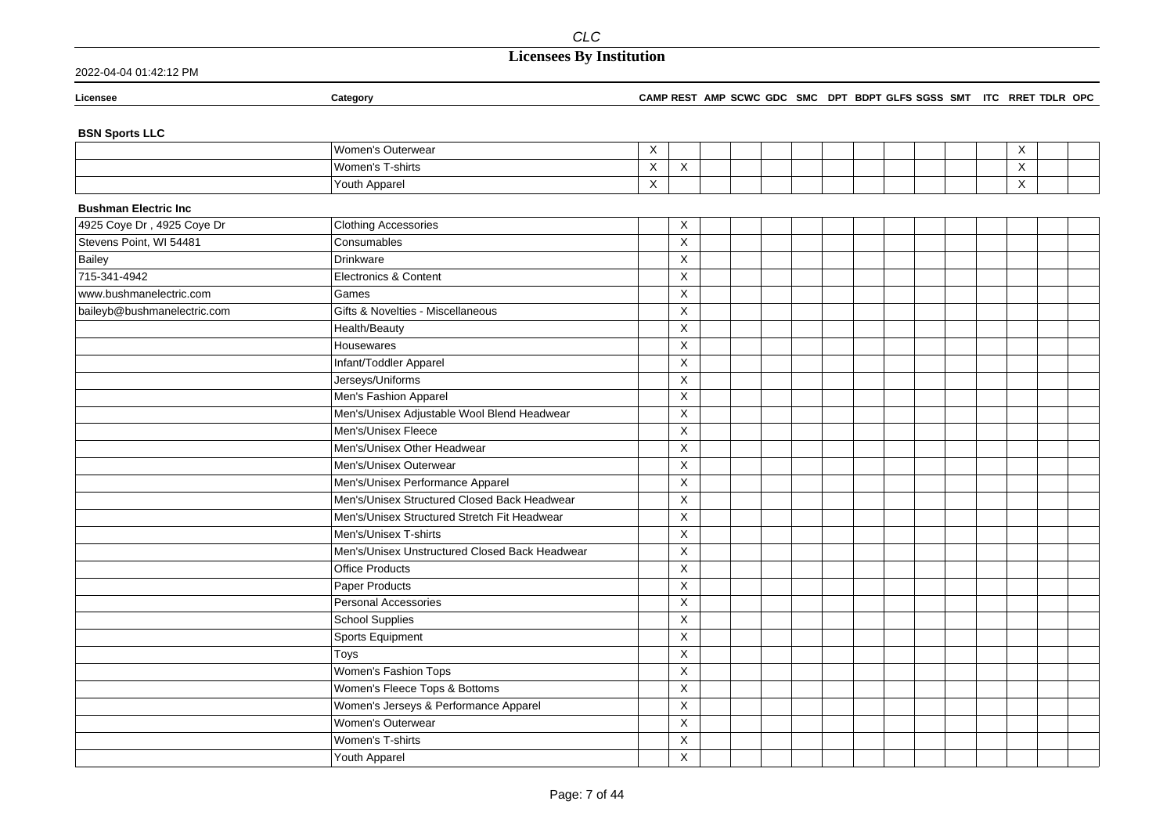## **Licensees By Institution**

| Licensee                     | Category                                       |                           |                         |  |  |  |  | CAMP REST AMP SCWC GDC SMC DPT BDPT GLFS SGSS SMT ITC RRET TDLR OPC |             |  |
|------------------------------|------------------------------------------------|---------------------------|-------------------------|--|--|--|--|---------------------------------------------------------------------|-------------|--|
| <b>BSN Sports LLC</b>        |                                                |                           |                         |  |  |  |  |                                                                     |             |  |
|                              | Women's Outerwear                              | X                         |                         |  |  |  |  |                                                                     | X           |  |
|                              | Women's T-shirts                               | $\boldsymbol{\mathsf{X}}$ | $\mathsf X$             |  |  |  |  |                                                                     | $\mathsf X$ |  |
|                              | Youth Apparel                                  | $\mathsf X$               |                         |  |  |  |  |                                                                     | X           |  |
| <b>Bushman Electric Inc.</b> |                                                |                           |                         |  |  |  |  |                                                                     |             |  |
| 4925 Coye Dr, 4925 Coye Dr   | <b>Clothing Accessories</b>                    |                           | X                       |  |  |  |  |                                                                     |             |  |
| Stevens Point, WI 54481      | Consumables                                    |                           | $\overline{\mathsf{x}}$ |  |  |  |  |                                                                     |             |  |
| Bailey                       | <b>Drinkware</b>                               |                           | $\pmb{\times}$          |  |  |  |  |                                                                     |             |  |
| 715-341-4942                 | Electronics & Content                          |                           | $\mathsf X$             |  |  |  |  |                                                                     |             |  |
| www.bushmanelectric.com      | Games                                          |                           | $\mathsf X$             |  |  |  |  |                                                                     |             |  |
| baileyb@bushmanelectric.com  | Gifts & Novelties - Miscellaneous              |                           | X                       |  |  |  |  |                                                                     |             |  |
|                              | Health/Beauty                                  |                           | X                       |  |  |  |  |                                                                     |             |  |
|                              | Housewares                                     |                           | $\pmb{\times}$          |  |  |  |  |                                                                     |             |  |
|                              | Infant/Toddler Apparel                         |                           | $\pmb{\times}$          |  |  |  |  |                                                                     |             |  |
|                              | Jerseys/Uniforms                               |                           | X                       |  |  |  |  |                                                                     |             |  |
|                              | Men's Fashion Apparel                          |                           | $\pmb{\times}$          |  |  |  |  |                                                                     |             |  |
|                              | Men's/Unisex Adjustable Wool Blend Headwear    |                           | X                       |  |  |  |  |                                                                     |             |  |
|                              | Men's/Unisex Fleece                            |                           | $\mathsf X$             |  |  |  |  |                                                                     |             |  |
|                              | Men's/Unisex Other Headwear                    |                           | X                       |  |  |  |  |                                                                     |             |  |
|                              | Men's/Unisex Outerwear                         |                           | $\pmb{\times}$          |  |  |  |  |                                                                     |             |  |
|                              | Men's/Unisex Performance Apparel               |                           | $\pmb{\times}$          |  |  |  |  |                                                                     |             |  |
|                              | Men's/Unisex Structured Closed Back Headwear   |                           | $\pmb{\times}$          |  |  |  |  |                                                                     |             |  |
|                              | Men's/Unisex Structured Stretch Fit Headwear   |                           | X                       |  |  |  |  |                                                                     |             |  |
|                              | Men's/Unisex T-shirts                          |                           | X                       |  |  |  |  |                                                                     |             |  |
|                              | Men's/Unisex Unstructured Closed Back Headwear |                           | $\pmb{\times}$          |  |  |  |  |                                                                     |             |  |
|                              | <b>Office Products</b>                         |                           | $\mathsf X$             |  |  |  |  |                                                                     |             |  |
|                              | <b>Paper Products</b>                          |                           | $\mathsf X$             |  |  |  |  |                                                                     |             |  |
|                              | Personal Accessories                           |                           | $\pmb{\times}$          |  |  |  |  |                                                                     |             |  |
|                              | <b>School Supplies</b>                         |                           | $\mathsf X$             |  |  |  |  |                                                                     |             |  |
|                              | Sports Equipment                               |                           | $\pmb{\times}$          |  |  |  |  |                                                                     |             |  |
|                              | Toys                                           |                           | $\pmb{\times}$          |  |  |  |  |                                                                     |             |  |
|                              | Women's Fashion Tops                           |                           | $\pmb{\times}$          |  |  |  |  |                                                                     |             |  |
|                              | Women's Fleece Tops & Bottoms                  |                           | $\overline{\mathsf{x}}$ |  |  |  |  |                                                                     |             |  |
|                              | Women's Jerseys & Performance Apparel          |                           | $\pmb{\times}$          |  |  |  |  |                                                                     |             |  |
|                              | Women's Outerwear                              |                           | X                       |  |  |  |  |                                                                     |             |  |
|                              | Women's T-shirts                               |                           | $\pmb{\times}$          |  |  |  |  |                                                                     |             |  |
|                              | Youth Apparel                                  |                           | $\pmb{\times}$          |  |  |  |  |                                                                     |             |  |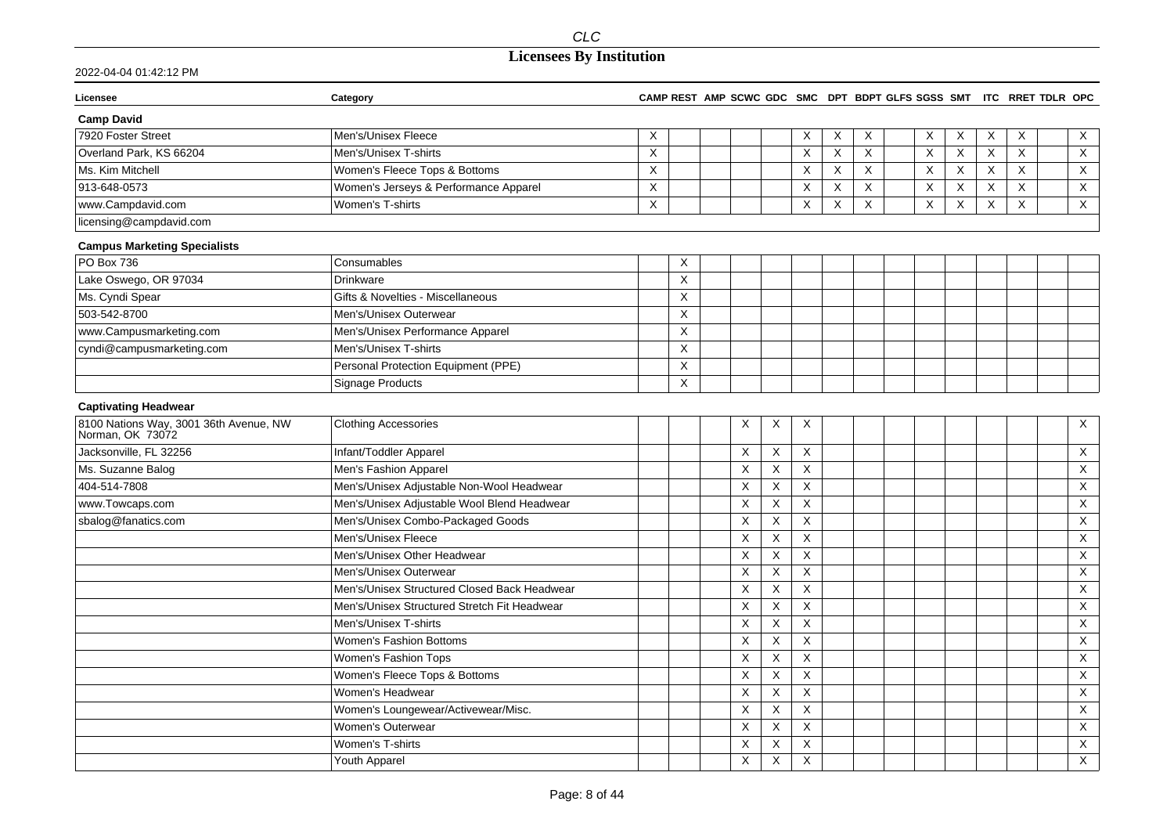## **Licensees By Institution**

| Licensee                                                   | Category                                     |             |                           |   |             |                           |   |   | CAMP REST AMP SCWC GDC SMC DPT BDPT GLFS SGSS SMT ITC RRET TDLR OPC |                           |                           |             |                           |
|------------------------------------------------------------|----------------------------------------------|-------------|---------------------------|---|-------------|---------------------------|---|---|---------------------------------------------------------------------|---------------------------|---------------------------|-------------|---------------------------|
| <b>Camp David</b>                                          |                                              |             |                           |   |             |                           |   |   |                                                                     |                           |                           |             |                           |
| 7920 Foster Street                                         | Men's/Unisex Fleece                          | X           |                           |   |             | Χ                         | X | X | Χ                                                                   | X                         | X                         | Χ           | $\boldsymbol{\mathsf{X}}$ |
| Overland Park, KS 66204                                    | Men's/Unisex T-shirts                        | $\times$    |                           |   |             | $\boldsymbol{\mathsf{X}}$ | X | X | X                                                                   | $\boldsymbol{\mathsf{X}}$ | X                         | X           | X                         |
| Ms. Kim Mitchell                                           | Women's Fleece Tops & Bottoms                | $\sf X$     |                           |   |             | $\boldsymbol{\mathsf{X}}$ | X | X | X                                                                   | $\boldsymbol{\mathsf{X}}$ | $\boldsymbol{\mathsf{X}}$ | X           | $\mathsf X$               |
| 913-648-0573                                               | Women's Jerseys & Performance Apparel        | $\mathsf X$ |                           |   |             | X                         | X | X | $\boldsymbol{\mathsf{X}}$                                           | $\boldsymbol{\mathsf{X}}$ | $\boldsymbol{\mathsf{X}}$ | $\mathsf X$ | $\boldsymbol{\mathsf{X}}$ |
| www.Campdavid.com                                          | Women's T-shirts                             | X           |                           |   |             | Χ                         | X | X | X                                                                   | X                         | X                         | $\times$    | X                         |
| licensing@campdavid.com                                    |                                              |             |                           |   |             |                           |   |   |                                                                     |                           |                           |             |                           |
| <b>Campus Marketing Specialists</b>                        |                                              |             |                           |   |             |                           |   |   |                                                                     |                           |                           |             |                           |
| PO Box 736                                                 | Consumables                                  |             | X                         |   |             |                           |   |   |                                                                     |                           |                           |             |                           |
| Lake Oswego, OR 97034                                      | <b>Drinkware</b>                             |             | $\times$                  |   |             |                           |   |   |                                                                     |                           |                           |             |                           |
| Ms. Cyndi Spear                                            | Gifts & Novelties - Miscellaneous            |             | $\boldsymbol{\mathsf{X}}$ |   |             |                           |   |   |                                                                     |                           |                           |             |                           |
| 503-542-8700                                               | Men's/Unisex Outerwear                       |             | $\boldsymbol{\mathsf{X}}$ |   |             |                           |   |   |                                                                     |                           |                           |             |                           |
| www.Campusmarketing.com                                    | Men's/Unisex Performance Apparel             |             | X                         |   |             |                           |   |   |                                                                     |                           |                           |             |                           |
| cyndi@campusmarketing.com                                  | Men's/Unisex T-shirts                        |             | X                         |   |             |                           |   |   |                                                                     |                           |                           |             |                           |
|                                                            | Personal Protection Equipment (PPE)          |             | $\boldsymbol{\mathsf{X}}$ |   |             |                           |   |   |                                                                     |                           |                           |             |                           |
|                                                            | <b>Signage Products</b>                      |             | $\boldsymbol{\mathsf{X}}$ |   |             |                           |   |   |                                                                     |                           |                           |             |                           |
| <b>Captivating Headwear</b>                                |                                              |             |                           |   |             |                           |   |   |                                                                     |                           |                           |             |                           |
| 8100 Nations Way, 3001 36th Avenue, NW<br>Norman, OK 73072 | <b>Clothing Accessories</b>                  |             |                           | Χ | $\times$    | $\times$                  |   |   |                                                                     |                           |                           |             | X                         |
| Jacksonville, FL 32256                                     | Infant/Toddler Apparel                       |             |                           | X | X           | X                         |   |   |                                                                     |                           |                           |             | $\boldsymbol{\mathsf{X}}$ |
| Ms. Suzanne Balog                                          | Men's Fashion Apparel                        |             |                           | X | X           | X                         |   |   |                                                                     |                           |                           |             | X                         |
| 404-514-7808                                               | Men's/Unisex Adjustable Non-Wool Headwear    |             |                           | X | $\times$    | $\mathsf X$               |   |   |                                                                     |                           |                           |             | X                         |
| www.Towcaps.com                                            | Men's/Unisex Adjustable Wool Blend Headwear  |             |                           | X | X           | X                         |   |   |                                                                     |                           |                           |             | X                         |
| sbalog@fanatics.com                                        | Men's/Unisex Combo-Packaged Goods            |             |                           | X | X           | X                         |   |   |                                                                     |                           |                           |             | X                         |
|                                                            | Men's/Unisex Fleece                          |             |                           | X | X           | X                         |   |   |                                                                     |                           |                           |             | X                         |
|                                                            | Men's/Unisex Other Headwear                  |             |                           | X | X           | $\mathsf X$               |   |   |                                                                     |                           |                           |             | X                         |
|                                                            | Men's/Unisex Outerwear                       |             |                           | X | X           | X                         |   |   |                                                                     |                           |                           |             | X                         |
|                                                            | Men's/Unisex Structured Closed Back Headwear |             |                           | X | $\mathsf X$ | $\mathsf X$               |   |   |                                                                     |                           |                           |             | $\mathsf X$               |
|                                                            | Men's/Unisex Structured Stretch Fit Headwear |             |                           | X | X           | $\mathsf X$               |   |   |                                                                     |                           |                           |             | X                         |
|                                                            | Men's/Unisex T-shirts                        |             |                           | X | $\mathsf X$ | $\mathsf X$               |   |   |                                                                     |                           |                           |             | $\boldsymbol{\mathsf{X}}$ |
|                                                            | Women's Fashion Bottoms                      |             |                           | X | X           | X                         |   |   |                                                                     |                           |                           |             | X                         |
|                                                            | Women's Fashion Tops                         |             |                           | X | $\mathsf X$ | $\mathsf X$               |   |   |                                                                     |                           |                           |             | $\boldsymbol{\mathsf{X}}$ |
|                                                            | Women's Fleece Tops & Bottoms                |             |                           | X | X           | X                         |   |   |                                                                     |                           |                           |             | $\boldsymbol{\mathsf{X}}$ |
|                                                            | Women's Headwear                             |             |                           | X | X           | X                         |   |   |                                                                     |                           |                           |             | X                         |
|                                                            | Women's Loungewear/Activewear/Misc.          |             |                           | X | X           | X                         |   |   |                                                                     |                           |                           |             | X                         |
|                                                            | Women's Outerwear                            |             |                           | X | X           | X                         |   |   |                                                                     |                           |                           |             | $\boldsymbol{\mathsf{X}}$ |
|                                                            | Women's T-shirts                             |             |                           | X | X           | $\mathsf X$               |   |   |                                                                     |                           |                           |             | $\boldsymbol{\mathsf{X}}$ |
|                                                            | Youth Apparel                                |             |                           | X | X           | X                         |   |   |                                                                     |                           |                           |             | X                         |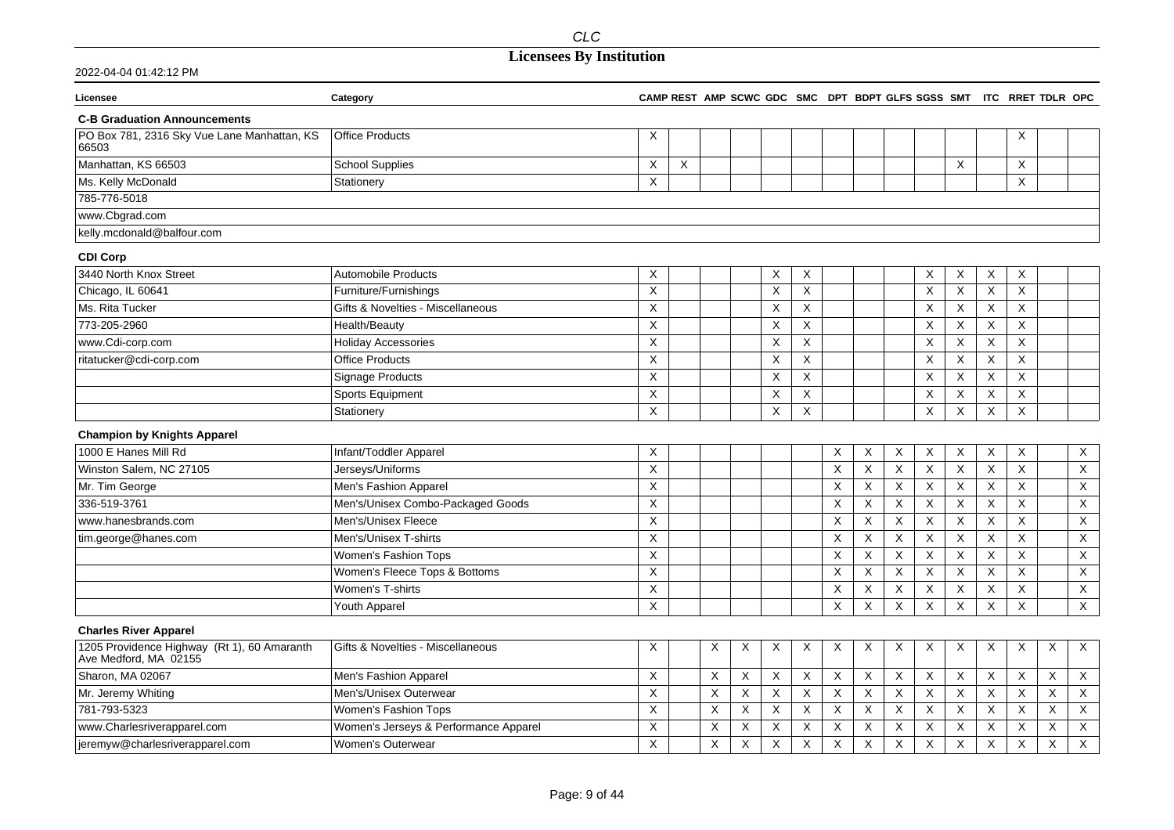## **Licensees By Institution**

| Licensee                                                             | Category                              |                           |                           |         |             |   |                |                    |                |             |                           |                           |             | CAMP REST AMP SCWC GDC SMC DPT BDPT GLFS SGSS SMT ITC RRET TDLR OPC |   |                |
|----------------------------------------------------------------------|---------------------------------------|---------------------------|---------------------------|---------|-------------|---|----------------|--------------------|----------------|-------------|---------------------------|---------------------------|-------------|---------------------------------------------------------------------|---|----------------|
| <b>C-B Graduation Announcements</b>                                  |                                       |                           |                           |         |             |   |                |                    |                |             |                           |                           |             |                                                                     |   |                |
| PO Box 781, 2316 Sky Vue Lane Manhattan, KS<br>66503                 | <b>Office Products</b>                | X                         |                           |         |             |   |                |                    |                |             |                           |                           |             | Χ                                                                   |   |                |
| Manhattan, KS 66503                                                  | <b>School Supplies</b>                | $\boldsymbol{\mathsf{X}}$ | $\boldsymbol{\mathsf{X}}$ |         |             |   |                |                    |                |             |                           | X                         |             | X                                                                   |   |                |
| Ms. Kelly McDonald                                                   | Stationery                            | X                         |                           |         |             |   |                |                    |                |             |                           |                           |             | X                                                                   |   |                |
| 785-776-5018                                                         |                                       |                           |                           |         |             |   |                |                    |                |             |                           |                           |             |                                                                     |   |                |
| www.Cbgrad.com                                                       |                                       |                           |                           |         |             |   |                |                    |                |             |                           |                           |             |                                                                     |   |                |
| kelly.mcdonald@balfour.com                                           |                                       |                           |                           |         |             |   |                |                    |                |             |                           |                           |             |                                                                     |   |                |
| <b>CDI Corp</b>                                                      |                                       |                           |                           |         |             |   |                |                    |                |             |                           |                           |             |                                                                     |   |                |
| 3440 North Knox Street                                               | <b>Automobile Products</b>            | X                         |                           |         |             | Χ | X              |                    |                |             | X                         | X                         | X           | X                                                                   |   |                |
| Chicago, IL 60641                                                    | Furniture/Furnishings                 | $\boldsymbol{\mathsf{X}}$ |                           |         |             | X | X              |                    |                |             | $\times$                  | X                         | X           | $\times$                                                            |   |                |
| Ms. Rita Tucker                                                      | Gifts & Novelties - Miscellaneous     | $\times$                  |                           |         |             | X | X              |                    |                |             | $\times$                  | X                         | X           | X                                                                   |   |                |
| 773-205-2960                                                         | Health/Beauty                         | $\times$                  |                           |         |             | X | $\pmb{\times}$ |                    |                |             | X                         | X                         | $\sf X$     | X                                                                   |   |                |
| www.Cdi-corp.com                                                     | <b>Holiday Accessories</b>            | X                         |                           |         |             | X | X              |                    |                |             | X                         | X                         | X           | X                                                                   |   |                |
| ritatucker@cdi-corp.com                                              | <b>Office Products</b>                | X                         |                           |         |             | X | Χ              |                    |                |             | X                         | X                         | X           | X                                                                   |   |                |
|                                                                      | <b>Signage Products</b>               | X                         |                           |         |             | X | X              |                    |                |             | X                         | X                         | X           | X                                                                   |   |                |
|                                                                      | Sports Equipment                      | X                         |                           |         |             | X | X              |                    |                |             | X                         | X                         | X           | X                                                                   |   |                |
|                                                                      | Stationery                            | $\boldsymbol{\mathsf{X}}$ |                           |         |             | X | X              |                    |                |             | $\times$                  | X                         | X           | X                                                                   |   |                |
| <b>Champion by Knights Apparel</b>                                   |                                       |                           |                           |         |             |   |                |                    |                |             |                           |                           |             |                                                                     |   |                |
| 1000 E Hanes Mill Rd                                                 | Infant/Toddler Apparel                | X                         |                           |         |             |   |                | X                  | X              | X           | $\times$                  | X                         | X           | Χ                                                                   |   | X              |
| Winston Salem, NC 27105                                              | Jerseys/Uniforms                      | $\boldsymbol{\mathsf{X}}$ |                           |         |             |   |                | X                  | $\pmb{\times}$ | X           | $\times$                  | $\times$                  | X           | X                                                                   |   | X              |
| Mr. Tim George                                                       | Men's Fashion Apparel                 | $\boldsymbol{\mathsf{X}}$ |                           |         |             |   |                | X                  | X              | $\sf X$     | $\boldsymbol{\mathsf{X}}$ | X                         | X           | X                                                                   |   | X              |
| 336-519-3761                                                         | Men's/Unisex Combo-Packaged Goods     | X                         |                           |         |             |   |                | Χ                  | X              | X           | $\times$                  | X                         | X           | X                                                                   |   | X              |
| www.hanesbrands.com                                                  | Men's/Unisex Fleece                   | X                         |                           |         |             |   |                | X                  | $\mathsf X$    | X           | $\boldsymbol{\mathsf{X}}$ | $\sf X$                   | $\sf X$     | X                                                                   |   | $\mathsf X$    |
| tim.george@hanes.com                                                 | Men's/Unisex T-shirts                 | X                         |                           |         |             |   |                | X                  | X              | X           | X                         | X                         | X           | X                                                                   |   | X              |
|                                                                      | Women's Fashion Tops                  | X                         |                           |         |             |   |                | X                  | X              | X           | $\times$                  | X                         | X           | X                                                                   |   | X              |
|                                                                      | Women's Fleece Tops & Bottoms         | $\boldsymbol{\mathsf{X}}$ |                           |         |             |   |                | $\times$           | X              | X           | $\boldsymbol{\mathsf{X}}$ | X                         | X           | X                                                                   |   | X              |
|                                                                      | Women's T-shirts                      | $\boldsymbol{\mathsf{X}}$ |                           |         |             |   |                | X                  | $\mathsf X$    | X           | X                         | $\boldsymbol{\mathsf{X}}$ | $\sf X$     | X                                                                   |   | $\mathsf X$    |
|                                                                      | Youth Apparel                         | X                         |                           |         |             |   |                | X                  | X              | $\times$    | X                         | Χ                         | X           | X                                                                   |   | $\overline{X}$ |
| <b>Charles River Apparel</b>                                         |                                       |                           |                           |         |             |   |                |                    |                |             |                           |                           |             |                                                                     |   |                |
| 1205 Providence Highway (Rt 1), 60 Amaranth<br>Ave Medford, MA 02155 | Gifts & Novelties - Miscellaneous     | X                         |                           | X       | Χ           | Χ | X              | X                  | X              | X           | X                         | Χ                         | Χ           | X                                                                   | X | X              |
| Sharon, MA 02067                                                     | Men's Fashion Apparel                 | $\boldsymbol{\mathsf{X}}$ |                           | X       | Χ           | X | X              | X                  | $\mathsf X$    | X           | $\boldsymbol{\mathsf{X}}$ | X                         | $\mathsf X$ | X                                                                   | X | $\mathsf X$    |
| Mr. Jeremy Whiting                                                   | Men's/Unisex Outerwear                | X                         |                           | X       | X           | X | X              | $\times$           | X              | X           | $\times$                  | X                         | X           | X                                                                   | X | X              |
| 781-793-5323                                                         | Women's Fashion Tops                  | X                         |                           | X       | X           | X | Χ              | X                  | X              | X           | X                         | X                         | X           | X                                                                   | X | X              |
| www.Charlesriverapparel.com                                          | Women's Jerseys & Performance Apparel | X                         |                           | X       | X           | X | X              | X                  | X              | X           | X                         | X                         | X           | X                                                                   | X | X              |
| jeremyw@charlesriverapparel.com                                      | Women's Outerwear                     | $\mathsf X$               |                           | $\sf X$ | $\mathsf X$ | X | X              | $\pmb{\mathsf{X}}$ | Χ              | $\mathsf X$ | $\sf X$                   | $\boldsymbol{\mathsf{X}}$ | $\sf X$     | $\mathsf X$                                                         | X | $\mathsf X$    |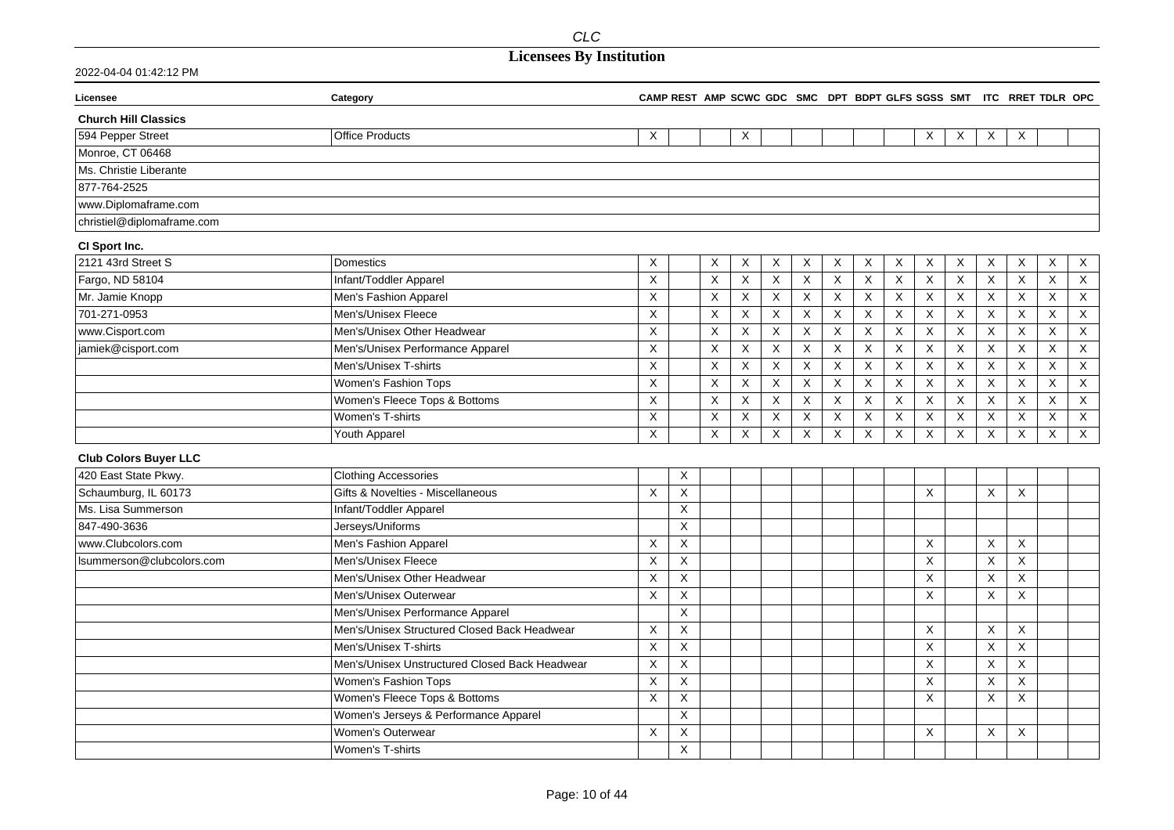| 2022-04-04 01:42:12 PM |
|------------------------|
|                        |

| Licensee                     | Category                                       |                           |                |                           |                |                           |                           |             |             |             |                |             |                         | CAMP REST AMP SCWC GDC SMC DPT BDPT GLFS SGSS SMT ITC RRET TDLR OPC |                           |                           |
|------------------------------|------------------------------------------------|---------------------------|----------------|---------------------------|----------------|---------------------------|---------------------------|-------------|-------------|-------------|----------------|-------------|-------------------------|---------------------------------------------------------------------|---------------------------|---------------------------|
| <b>Church Hill Classics</b>  |                                                |                           |                |                           |                |                           |                           |             |             |             |                |             |                         |                                                                     |                           |                           |
| 594 Pepper Street            | <b>Office Products</b>                         | X                         |                |                           | X              |                           |                           |             |             |             | X              | X           | X                       | X                                                                   |                           |                           |
| Monroe, CT 06468             |                                                |                           |                |                           |                |                           |                           |             |             |             |                |             |                         |                                                                     |                           |                           |
| Ms. Christie Liberante       |                                                |                           |                |                           |                |                           |                           |             |             |             |                |             |                         |                                                                     |                           |                           |
| 877-764-2525                 |                                                |                           |                |                           |                |                           |                           |             |             |             |                |             |                         |                                                                     |                           |                           |
| www.Diplomaframe.com         |                                                |                           |                |                           |                |                           |                           |             |             |             |                |             |                         |                                                                     |                           |                           |
| christiel@diplomaframe.com   |                                                |                           |                |                           |                |                           |                           |             |             |             |                |             |                         |                                                                     |                           |                           |
| CI Sport Inc.                |                                                |                           |                |                           |                |                           |                           |             |             |             |                |             |                         |                                                                     |                           |                           |
| 2121 43rd Street S           | <b>Domestics</b>                               | X                         |                | X                         | X              | X                         | Χ                         | X           | X           | X           | X              | X           | X                       | Χ                                                                   | Χ                         | $\boldsymbol{\mathsf{X}}$ |
| Fargo, ND 58104              | Infant/Toddler Apparel                         | $\mathsf X$               |                | $\mathsf X$               | $\mathsf X$    | $\boldsymbol{\mathsf{X}}$ | $\mathsf X$               | $\mathsf X$ | X           | $\mathsf X$ | $\pmb{\times}$ | $\mathsf X$ | $\mathsf X$             | $\mathsf X$                                                         | X                         | X                         |
| Mr. Jamie Knopp              | Men's Fashion Apparel                          | X                         |                | $\mathsf X$               | X              | X                         | X                         | X           | X           | $\times$    | X              | X           | X                       | X                                                                   | $\times$                  | $\mathsf X$               |
| 701-271-0953                 | Men's/Unisex Fleece                            | $\mathsf X$               |                | X                         | X              | X                         | X                         | X           | X           | X           | X              | X           | X                       | X                                                                   | X                         | X                         |
| www.Cisport.com              | Men's/Unisex Other Headwear                    | X                         |                | $\boldsymbol{\mathsf{X}}$ | $\mathsf X$    | X                         | $\boldsymbol{\mathsf{X}}$ | $\mathsf X$ | X           | X           | X              | $\sf X$     | $\overline{\mathsf{x}}$ | X                                                                   | $\mathsf X$               | $\mathsf X$               |
| jamiek@cisport.com           | Men's/Unisex Performance Apparel               | X                         |                | X                         | $\overline{X}$ | $\boldsymbol{\mathsf{X}}$ | X                         | X           | X           | X           | X              | X           | X                       | X                                                                   | X                         | X                         |
|                              | Men's/Unisex T-shirts                          | X                         |                | $\boldsymbol{\mathsf{X}}$ | $\mathsf X$    | $\boldsymbol{\mathsf{X}}$ | $\sf X$                   | $\mathsf X$ | $\mathsf X$ | X           | $\pmb{\times}$ | $\sf X$     | Χ                       | X                                                                   | $\boldsymbol{\mathsf{X}}$ | $\boldsymbol{\mathsf{X}}$ |
|                              | Women's Fashion Tops                           | X                         |                | X                         | $\times$       | X                         | Χ                         | X           | X           | X           | Χ              | X           | X                       | X                                                                   | Χ                         | X                         |
|                              | Women's Fleece Tops & Bottoms                  | X                         |                | $\mathsf X$               | X              | $\boldsymbol{\mathsf{X}}$ | $\times$                  | $\mathsf X$ | $\mathsf X$ | X           | X              | $\sf X$     | $\mathsf X$             | X                                                                   | X                         | $\mathsf X$               |
|                              | Women's T-shirts                               | X                         |                | X                         | X              | $\boldsymbol{\mathsf{X}}$ | $\boldsymbol{\mathsf{X}}$ | $\mathsf X$ | X           | $\times$    | X              | X           | X                       | X                                                                   | X                         | $\mathsf X$               |
|                              | Youth Apparel                                  | X                         |                | X                         | $\overline{X}$ | $\overline{\mathsf{x}}$   | $\boldsymbol{\mathsf{X}}$ | X           | X           | X           | X              | X           | X                       | X                                                                   | X                         | $\overline{X}$            |
| <b>Club Colors Buyer LLC</b> |                                                |                           |                |                           |                |                           |                           |             |             |             |                |             |                         |                                                                     |                           |                           |
| 420 East State Pkwy.         | <b>Clothing Accessories</b>                    |                           | X              |                           |                |                           |                           |             |             |             |                |             |                         |                                                                     |                           |                           |
| Schaumburg, IL 60173         | Gifts & Novelties - Miscellaneous              | X                         | $\sf X$        |                           |                |                           |                           |             |             |             | X              |             | X                       | X                                                                   |                           |                           |
| Ms. Lisa Summerson           | Infant/Toddler Apparel                         |                           | X              |                           |                |                           |                           |             |             |             |                |             |                         |                                                                     |                           |                           |
| 847-490-3636                 | Jerseys/Uniforms                               |                           | $\sf X$        |                           |                |                           |                           |             |             |             |                |             |                         |                                                                     |                           |                           |
| www.Clubcolors.com           | Men's Fashion Apparel                          | $\sf X$                   | X              |                           |                |                           |                           |             |             |             | $\sf X$        |             | X                       | X                                                                   |                           |                           |
| lsummerson@clubcolors.com    | Men's/Unisex Fleece                            | X                         | X              |                           |                |                           |                           |             |             |             | X              |             | X                       | X                                                                   |                           |                           |
|                              | Men's/Unisex Other Headwear                    | X                         | X              |                           |                |                           |                           |             |             |             | X              |             | X                       | $\times$                                                            |                           |                           |
|                              | Men's/Unisex Outerwear                         | X                         | X              |                           |                |                           |                           |             |             |             | X              |             | X                       | X                                                                   |                           |                           |
|                              | Men's/Unisex Performance Apparel               |                           | $\pmb{\times}$ |                           |                |                           |                           |             |             |             |                |             |                         |                                                                     |                           |                           |
|                              | Men's/Unisex Structured Closed Back Headwear   | $\boldsymbol{\mathsf{X}}$ | X              |                           |                |                           |                           |             |             |             | X              |             | X                       | $\mathsf{X}$                                                        |                           |                           |
|                              | Men's/Unisex T-shirts                          | X                         | $\sf X$        |                           |                |                           |                           |             |             |             | X              |             | X                       | X                                                                   |                           |                           |
|                              | Men's/Unisex Unstructured Closed Back Headwear | X                         | X              |                           |                |                           |                           |             |             |             | X              |             | X                       | X                                                                   |                           |                           |
|                              | Women's Fashion Tops                           | X                         | $\sf X$        |                           |                |                           |                           |             |             |             | X              |             | Χ                       | X                                                                   |                           |                           |
|                              | Women's Fleece Tops & Bottoms                  | X                         | X              |                           |                |                           |                           |             |             |             | X              |             | X                       | X                                                                   |                           |                           |
|                              | Women's Jerseys & Performance Apparel          |                           | X              |                           |                |                           |                           |             |             |             |                |             |                         |                                                                     |                           |                           |
|                              | <b>Women's Outerwear</b>                       | X                         | Χ              |                           |                |                           |                           |             |             |             | X              |             | X                       | Χ                                                                   |                           |                           |
|                              | Women's T-shirts                               |                           | X              |                           |                |                           |                           |             |             |             |                |             |                         |                                                                     |                           |                           |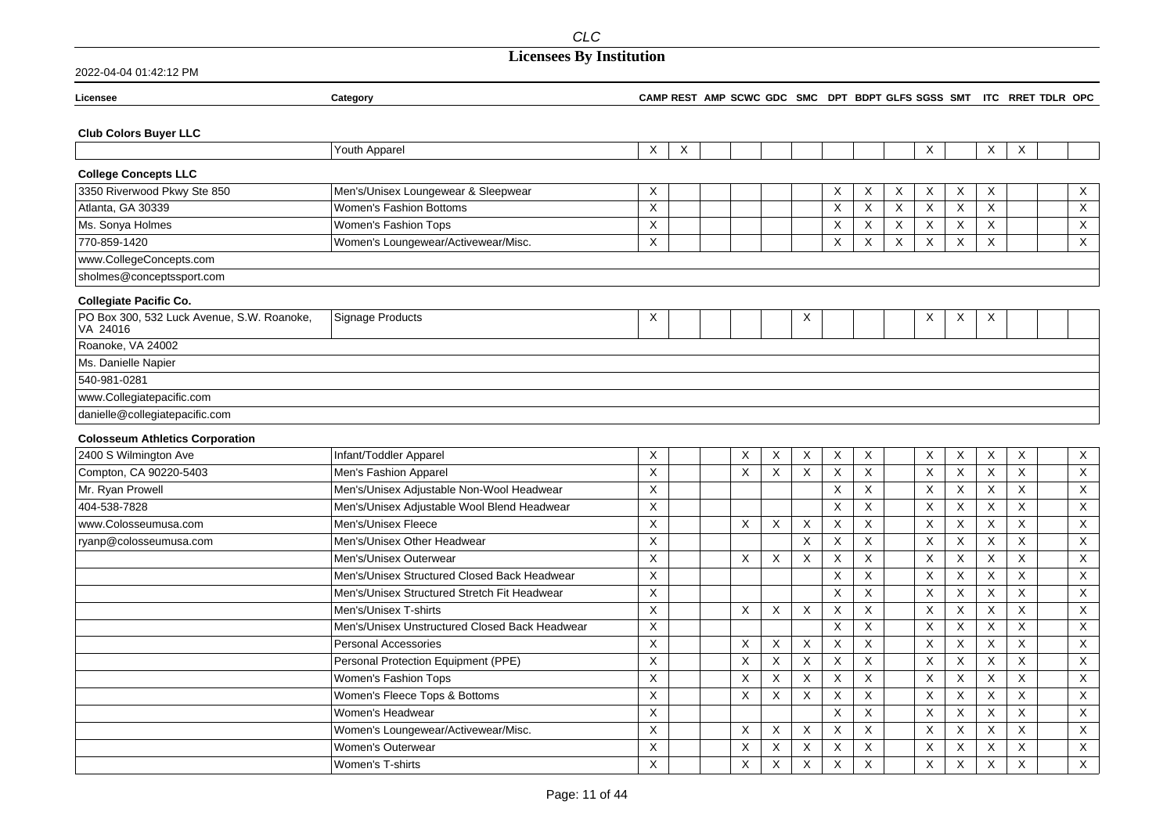| Licensee                                               | Category                                       |                  |   |          |                           |                           |          |                |   |                           |                           |          |          | CAMP REST AMP SCWC GDC SMC DPT BDPT GLFS SGSS SMT ITC RRET TDLR OPC |              |
|--------------------------------------------------------|------------------------------------------------|------------------|---|----------|---------------------------|---------------------------|----------|----------------|---|---------------------------|---------------------------|----------|----------|---------------------------------------------------------------------|--------------|
| <b>Club Colors Buyer LLC</b>                           |                                                |                  |   |          |                           |                           |          |                |   |                           |                           |          |          |                                                                     |              |
|                                                        | Youth Apparel                                  | X                | X |          |                           |                           |          |                |   | Χ                         |                           | X        | $\times$ |                                                                     |              |
| <b>College Concepts LLC</b>                            |                                                |                  |   |          |                           |                           |          |                |   |                           |                           |          |          |                                                                     |              |
| 3350 Riverwood Pkwy Ste 850                            | Men's/Unisex Loungewear & Sleepwear            | $\times$         |   |          |                           |                           | X        | Χ              | X | Χ                         | Χ                         | X        |          |                                                                     | X            |
| Atlanta, GA 30339                                      | <b>Women's Fashion Bottoms</b>                 | X                |   |          |                           |                           | X        | X              | X | $\pmb{\times}$            | $\sf X$                   | X        |          |                                                                     | X            |
| Ms. Sonya Holmes                                       | Women's Fashion Tops                           | $\pmb{\times}$   |   |          |                           |                           | X        | $\mathsf X$    | X | $\mathsf X$               | $\boldsymbol{\mathsf{X}}$ | X        |          |                                                                     | X            |
| 770-859-1420                                           | Women's Loungewear/Activewear/Misc.            | X                |   |          |                           |                           | X        | X              | X | X                         | X                         | X        |          |                                                                     | $\times$     |
| www.CollegeConcepts.com                                |                                                |                  |   |          |                           |                           |          |                |   |                           |                           |          |          |                                                                     |              |
| sholmes@conceptssport.com                              |                                                |                  |   |          |                           |                           |          |                |   |                           |                           |          |          |                                                                     |              |
| <b>Collegiate Pacific Co.</b>                          |                                                |                  |   |          |                           |                           |          |                |   |                           |                           |          |          |                                                                     |              |
| PO Box 300, 532 Luck Avenue, S.W. Roanoke,<br>VA 24016 | <b>Signage Products</b>                        | X                |   |          |                           | X                         |          |                |   | Χ                         | Χ                         | X        |          |                                                                     |              |
| Roanoke, VA 24002                                      |                                                |                  |   |          |                           |                           |          |                |   |                           |                           |          |          |                                                                     |              |
| Ms. Danielle Napier                                    |                                                |                  |   |          |                           |                           |          |                |   |                           |                           |          |          |                                                                     |              |
| 540-981-0281                                           |                                                |                  |   |          |                           |                           |          |                |   |                           |                           |          |          |                                                                     |              |
| www.Collegiatepacific.com                              |                                                |                  |   |          |                           |                           |          |                |   |                           |                           |          |          |                                                                     |              |
| danielle@collegiatepacific.com                         |                                                |                  |   |          |                           |                           |          |                |   |                           |                           |          |          |                                                                     |              |
| <b>Colosseum Athletics Corporation</b>                 |                                                |                  |   |          |                           |                           |          |                |   |                           |                           |          |          |                                                                     |              |
| 2400 S Wilmington Ave                                  | Infant/Toddler Apparel                         | Χ                |   | Χ        | X                         | X                         | X        | X              |   | X                         | X                         | X        | Χ        |                                                                     | X            |
| Compton, CA 90220-5403                                 | Men's Fashion Apparel                          | $\times$         |   | X        | $\times$                  | X                         | $\times$ | X              |   | X                         | X                         | X        | X        |                                                                     | X            |
| Mr. Ryan Prowell                                       | Men's/Unisex Adjustable Non-Wool Headwear      | $\pmb{\times}$   |   |          |                           |                           | X        | X              |   | $\pmb{\times}$            | $\mathsf X$               | X        | X        |                                                                     | X            |
| 404-538-7828                                           | Men's/Unisex Adjustable Wool Blend Headwear    | X                |   |          |                           |                           | X        | X              |   | X                         | X                         | X        | X        |                                                                     | X            |
| www.Colosseumusa.com                                   | Men's/Unisex Fleece                            | X                |   | X        | X                         | X                         | X        | X              |   | X                         | X                         | X        | Χ        |                                                                     | X            |
| ryanp@colosseumusa.com                                 | Men's/Unisex Other Headwear                    | X                |   |          |                           | X                         | X        | X              |   | X                         | X                         | X        | X        |                                                                     | X            |
|                                                        | Men's/Unisex Outerwear                         | $\times$         |   | X        | X                         | $\times$                  | X        | $\overline{X}$ |   | X                         | $\times$                  | X        | X        |                                                                     | X            |
|                                                        | Men's/Unisex Structured Closed Back Headwear   | $\times$         |   |          |                           |                           | X        | $\sf X$        |   | Χ                         | X                         | X        | X        |                                                                     | X            |
|                                                        | Men's/Unisex Structured Stretch Fit Headwear   | X                |   |          |                           |                           | X        | X              |   | X                         | X                         | X        | X        |                                                                     | X            |
|                                                        | Men's/Unisex T-shirts                          | $\boldsymbol{X}$ |   | X        | $\boldsymbol{\mathsf{X}}$ | X                         | X        | X              |   | X                         | $\mathsf X$               | X        | X        |                                                                     | X            |
|                                                        | Men's/Unisex Unstructured Closed Back Headwear | X                |   |          |                           |                           | X        | X              |   | X                         | X                         | X        | X        |                                                                     | X            |
|                                                        | <b>Personal Accessories</b>                    | $\mathsf X$      |   | X        | X                         | X                         | X        | X              |   | X                         | X                         | X        | X        |                                                                     | X            |
|                                                        | Personal Protection Equipment (PPE)            | $\pmb{\times}$   |   | $\times$ | $\times$                  | X                         | $\times$ | $\mathsf{X}$   |   | X                         | $\sf X$                   | $\sf X$  | X        |                                                                     | X            |
|                                                        | Women's Fashion Tops                           | $\mathsf X$      |   | X        | X                         | $\times$                  | $\times$ | $\mathsf X$    |   | X                         | $\sf X$                   | X        | X        |                                                                     | X            |
|                                                        | Women's Fleece Tops & Bottoms                  | $\times$         |   | X        | X                         | X                         | X        | $\times$       |   | X                         | X                         | $\times$ | X        |                                                                     | X            |
|                                                        | Women's Headwear                               | X                |   |          |                           |                           | X        | X              |   | X                         | $\mathsf X$               | X        | X        |                                                                     | X            |
|                                                        | Women's Loungewear/Activewear/Misc.            | $\pmb{\times}$   |   | Χ        | X                         | X                         | X        | X              |   | $\boldsymbol{\mathsf{X}}$ | $\sf X$                   | X        | X        |                                                                     | X            |
|                                                        | <b>Women's Outerwear</b>                       | $\mathsf{X}$     |   | X        | X                         | X                         | X        | X              |   | X                         | X                         | X        | X        |                                                                     | X            |
|                                                        | Women's T-shirts                               | $\pmb{\times}$   |   | $\sf X$  | $\sf X$                   | $\boldsymbol{\mathsf{X}}$ | X        | X              |   | X                         | $\times$                  | X        | X        |                                                                     | $\mathsf{X}$ |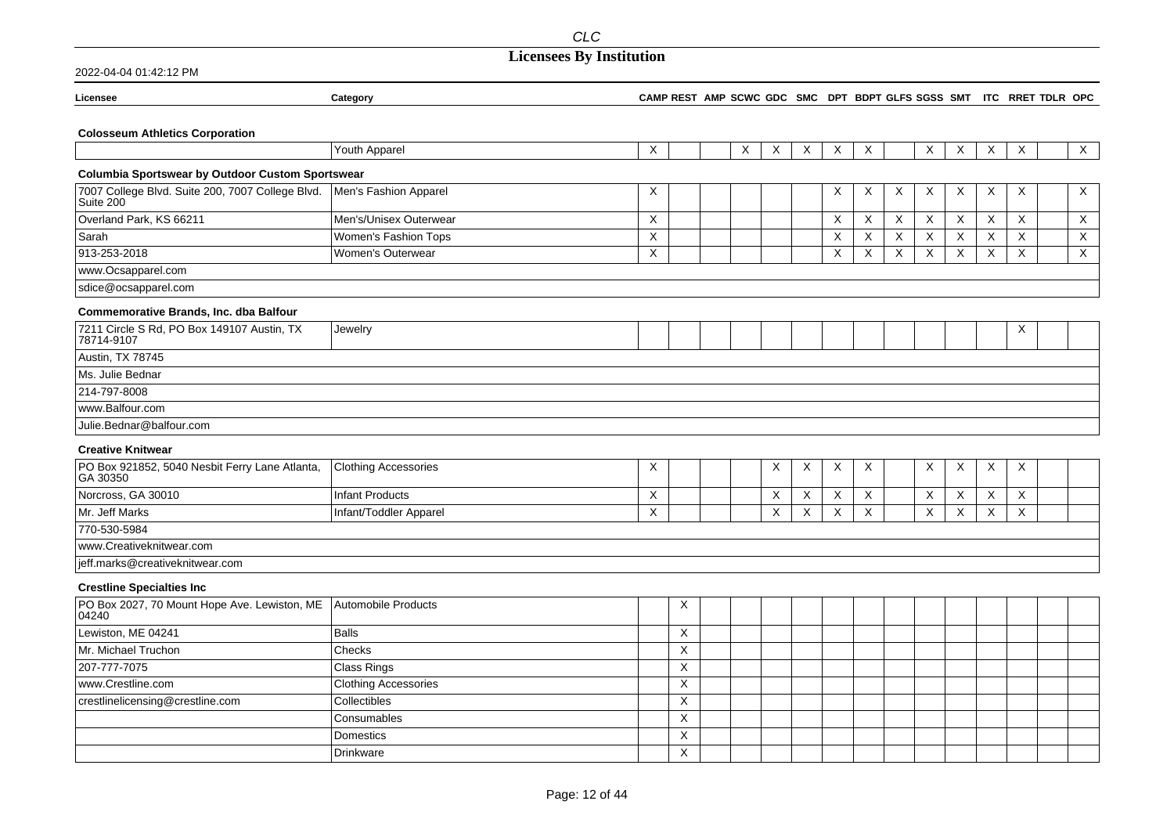| Licensee                                                                              | Category                    |   |                           |   |          |                           |   |          |              |                           |   |             | CAMP REST AMP SCWC GDC SMC DPT BDPT GLFS SGSS SMT ITC RRET TDLR OPC |              |
|---------------------------------------------------------------------------------------|-----------------------------|---|---------------------------|---|----------|---------------------------|---|----------|--------------|---------------------------|---|-------------|---------------------------------------------------------------------|--------------|
|                                                                                       |                             |   |                           |   |          |                           |   |          |              |                           |   |             |                                                                     |              |
| <b>Colosseum Athletics Corporation</b>                                                |                             |   |                           |   |          |                           |   |          |              |                           |   |             |                                                                     |              |
|                                                                                       | Youth Apparel               | X |                           | Χ | $\times$ | X                         | X | X        |              | X                         | X | X           | $\boldsymbol{\mathsf{X}}$                                           | $\mathsf{X}$ |
| Columbia Sportswear by Outdoor Custom Sportswear                                      |                             |   |                           |   |          |                           |   |          |              |                           |   |             |                                                                     |              |
| 7007 College Blvd. Suite 200, 7007 College Blvd.   Men's Fashion Apparel<br>Suite 200 |                             | X |                           |   |          |                           | X | X        | X            | X                         | X | X           | X                                                                   | $\mathsf X$  |
| Overland Park, KS 66211                                                               | Men's/Unisex Outerwear      | X |                           |   |          |                           | X | $\times$ | $\mathsf{X}$ | $\times$                  | X | X           | X                                                                   | X            |
| Sarah                                                                                 | Women's Fashion Tops        | X |                           |   |          |                           | X | X        | X            | $\boldsymbol{\mathsf{X}}$ | X | $\mathsf X$ | X                                                                   | $\mathsf X$  |
| 913-253-2018                                                                          | Women's Outerwear           | X |                           |   |          |                           | X | X        | X            | X                         | X | X           | X                                                                   | $\mathsf{X}$ |
| www.Ocsapparel.com                                                                    |                             |   |                           |   |          |                           |   |          |              |                           |   |             |                                                                     |              |
| sdice@ocsapparel.com                                                                  |                             |   |                           |   |          |                           |   |          |              |                           |   |             |                                                                     |              |
| <b>Commemorative Brands, Inc. dba Balfour</b>                                         |                             |   |                           |   |          |                           |   |          |              |                           |   |             |                                                                     |              |
| 7211 Circle S Rd, PO Box 149107 Austin, TX<br>78714-9107                              | Jewelry                     |   |                           |   |          |                           |   |          |              |                           |   |             | Х                                                                   |              |
| Austin, TX 78745                                                                      |                             |   |                           |   |          |                           |   |          |              |                           |   |             |                                                                     |              |
| Ms. Julie Bednar                                                                      |                             |   |                           |   |          |                           |   |          |              |                           |   |             |                                                                     |              |
| 214-797-8008                                                                          |                             |   |                           |   |          |                           |   |          |              |                           |   |             |                                                                     |              |
| www.Balfour.com                                                                       |                             |   |                           |   |          |                           |   |          |              |                           |   |             |                                                                     |              |
| Julie.Bednar@balfour.com                                                              |                             |   |                           |   |          |                           |   |          |              |                           |   |             |                                                                     |              |
| <b>Creative Knitwear</b>                                                              |                             |   |                           |   |          |                           |   |          |              |                           |   |             |                                                                     |              |
| PO Box 921852, 5040 Nesbit Ferry Lane Atlanta,<br>GA 30350                            | <b>Clothing Accessories</b> | X |                           |   | X        | $\boldsymbol{\mathsf{X}}$ | Χ | Χ        |              | X                         | Χ | Χ           | Χ                                                                   |              |
| Norcross, GA 30010                                                                    | <b>Infant Products</b>      | X |                           |   | X        | X                         | X | Χ        |              | X                         | X | X           | Χ                                                                   |              |
| Mr. Jeff Marks                                                                        | Infant/Toddler Apparel      | X |                           |   | $\times$ | X                         | X | X        |              | $\times$                  | X | X           | X                                                                   |              |
| 770-530-5984                                                                          |                             |   |                           |   |          |                           |   |          |              |                           |   |             |                                                                     |              |
| www.Creativeknitwear.com                                                              |                             |   |                           |   |          |                           |   |          |              |                           |   |             |                                                                     |              |
| jeff.marks@creativeknitwear.com                                                       |                             |   |                           |   |          |                           |   |          |              |                           |   |             |                                                                     |              |
| <b>Crestline Specialties Inc</b>                                                      |                             |   |                           |   |          |                           |   |          |              |                           |   |             |                                                                     |              |
| PO Box 2027, 70 Mount Hope Ave. Lewiston, ME<br>04240                                 | Automobile Products         |   | X                         |   |          |                           |   |          |              |                           |   |             |                                                                     |              |
| Lewiston, ME 04241                                                                    | <b>Balls</b>                |   | X                         |   |          |                           |   |          |              |                           |   |             |                                                                     |              |
| Mr. Michael Truchon                                                                   | Checks                      |   | $\boldsymbol{\mathsf{X}}$ |   |          |                           |   |          |              |                           |   |             |                                                                     |              |
| 207-777-7075                                                                          | Class Rings                 |   | X                         |   |          |                           |   |          |              |                           |   |             |                                                                     |              |
| www.Crestline.com                                                                     | <b>Clothing Accessories</b> |   | $\boldsymbol{\mathsf{X}}$ |   |          |                           |   |          |              |                           |   |             |                                                                     |              |
| crestlinelicensing@crestline.com                                                      | Collectibles                |   | X                         |   |          |                           |   |          |              |                           |   |             |                                                                     |              |
|                                                                                       | Consumables                 |   | X                         |   |          |                           |   |          |              |                           |   |             |                                                                     |              |
|                                                                                       | Domestics                   |   | X                         |   |          |                           |   |          |              |                           |   |             |                                                                     |              |
|                                                                                       | <b>Drinkware</b>            |   | X                         |   |          |                           |   |          |              |                           |   |             |                                                                     |              |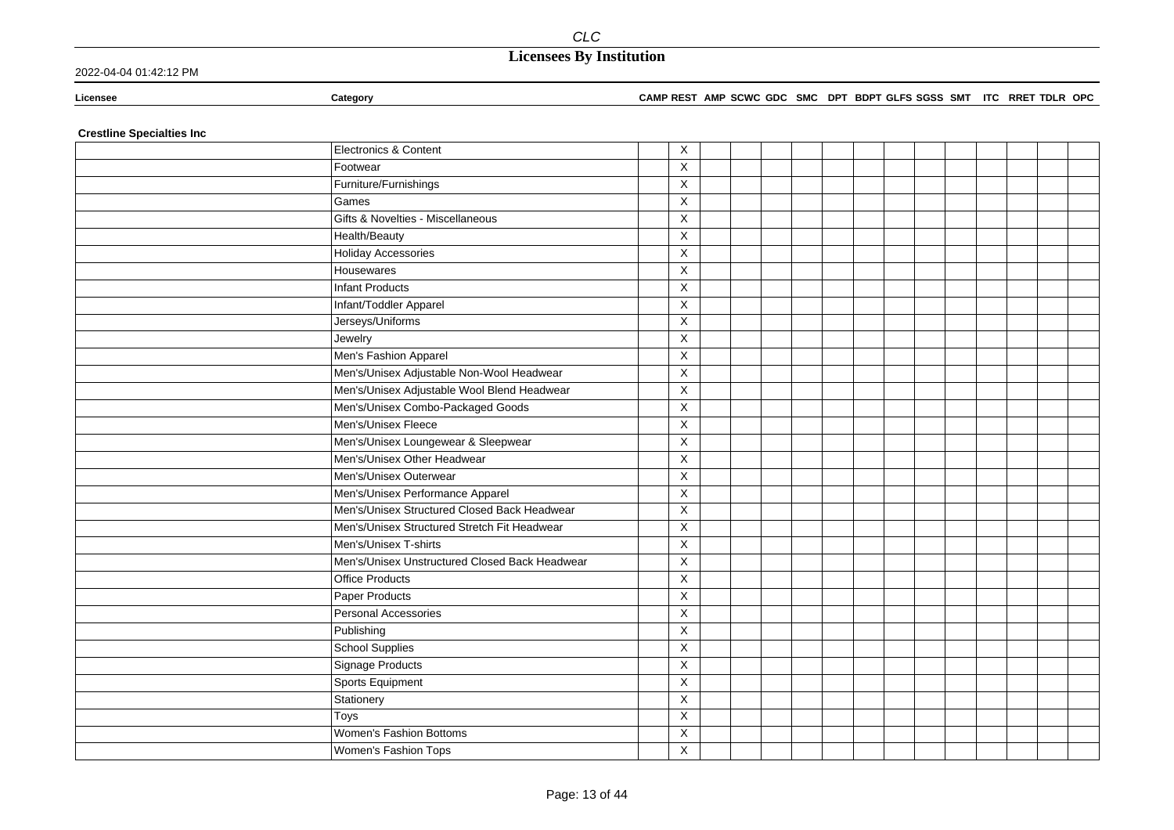### 2022-04-04 01:42:12 PM

### **Licensee Category CAMP REST AMP SCWC GDC SMC DPT BDPT GLFS SGSS SMT ITC RRET TDLR OPC**

**Crestline Specialties Inc**

| Electronics & Content                          | $\overline{\mathsf{x}}$ |  |  |  |  |  |  |  |
|------------------------------------------------|-------------------------|--|--|--|--|--|--|--|
| Footwear                                       | X                       |  |  |  |  |  |  |  |
| Furniture/Furnishings                          | X                       |  |  |  |  |  |  |  |
| Games                                          | X                       |  |  |  |  |  |  |  |
| Gifts & Novelties - Miscellaneous              | $\times$                |  |  |  |  |  |  |  |
| Health/Beauty                                  | $\mathsf X$             |  |  |  |  |  |  |  |
| <b>Holiday Accessories</b>                     | X                       |  |  |  |  |  |  |  |
| Housewares                                     | X                       |  |  |  |  |  |  |  |
| <b>Infant Products</b>                         | X                       |  |  |  |  |  |  |  |
| Infant/Toddler Apparel                         | X                       |  |  |  |  |  |  |  |
| Jerseys/Uniforms                               | X                       |  |  |  |  |  |  |  |
| Jewelry                                        | X                       |  |  |  |  |  |  |  |
| Men's Fashion Apparel                          | $\overline{\mathsf{x}}$ |  |  |  |  |  |  |  |
| Men's/Unisex Adjustable Non-Wool Headwear      | $\mathsf X$             |  |  |  |  |  |  |  |
| Men's/Unisex Adjustable Wool Blend Headwear    | $\mathsf X$             |  |  |  |  |  |  |  |
| Men's/Unisex Combo-Packaged Goods              | X                       |  |  |  |  |  |  |  |
| Men's/Unisex Fleece                            | $\mathsf X$             |  |  |  |  |  |  |  |
| Men's/Unisex Loungewear & Sleepwear            | $\mathsf X$             |  |  |  |  |  |  |  |
| Men's/Unisex Other Headwear                    | $\overline{\mathsf{X}}$ |  |  |  |  |  |  |  |
| Men's/Unisex Outerwear                         | $\mathsf X$             |  |  |  |  |  |  |  |
| Men's/Unisex Performance Apparel               | X                       |  |  |  |  |  |  |  |
| Men's/Unisex Structured Closed Back Headwear   | $\mathsf X$             |  |  |  |  |  |  |  |
| Men's/Unisex Structured Stretch Fit Headwear   | X                       |  |  |  |  |  |  |  |
| Men's/Unisex T-shirts                          | X                       |  |  |  |  |  |  |  |
| Men's/Unisex Unstructured Closed Back Headwear | $\mathsf X$             |  |  |  |  |  |  |  |
| <b>Office Products</b>                         | $\mathsf X$             |  |  |  |  |  |  |  |
| Paper Products                                 | $\mathsf X$             |  |  |  |  |  |  |  |
| Personal Accessories                           | $\mathsf X$             |  |  |  |  |  |  |  |
| Publishing                                     | X                       |  |  |  |  |  |  |  |
| <b>School Supplies</b>                         | X                       |  |  |  |  |  |  |  |
| Signage Products                               | X                       |  |  |  |  |  |  |  |
| Sports Equipment                               | X                       |  |  |  |  |  |  |  |
| Stationery                                     | $\sf X$                 |  |  |  |  |  |  |  |
| Toys                                           | X                       |  |  |  |  |  |  |  |
| Women's Fashion Bottoms                        | $\mathsf X$             |  |  |  |  |  |  |  |
| Women's Fashion Tops                           | $\mathsf X$             |  |  |  |  |  |  |  |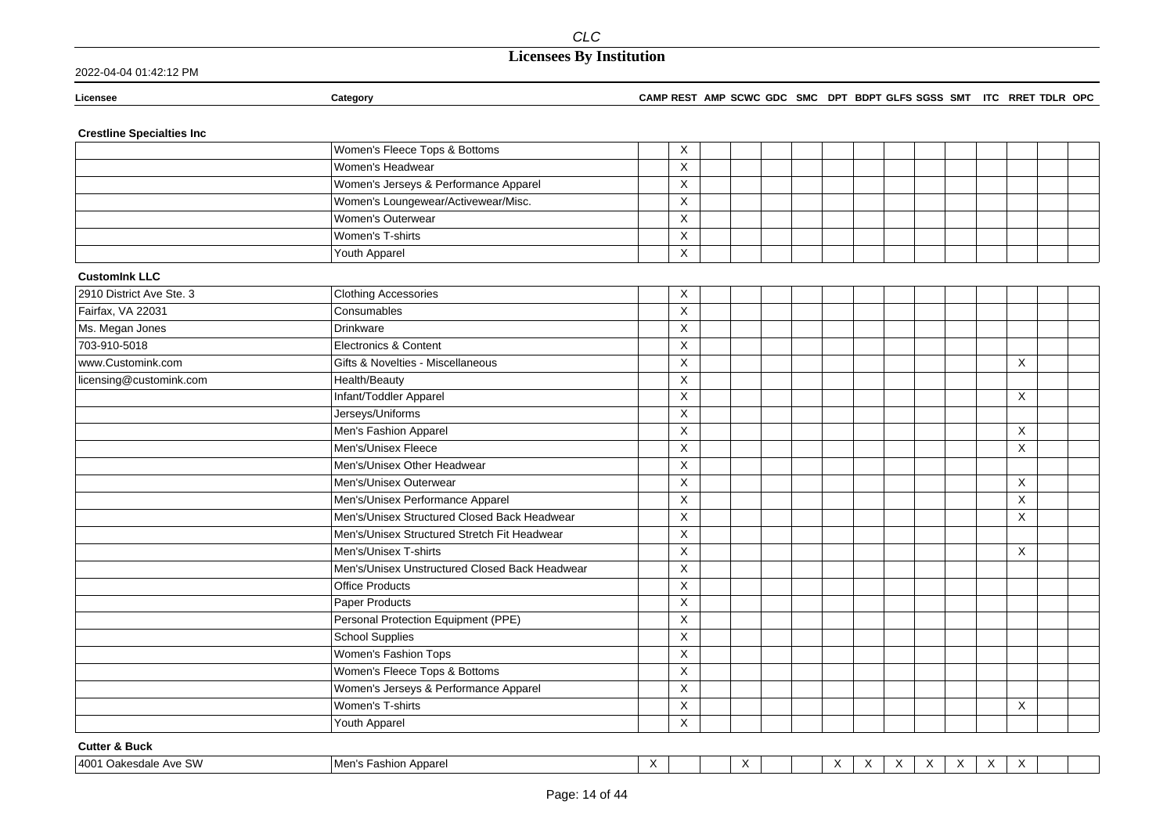| 2022-04-04 01:42:12 PM |  |
|------------------------|--|
|------------------------|--|

| Licensee | Category | <b>CAMP REST</b> | AMP SCWC GDC | <b>SMC</b> | <b>DPT</b> | GLFS SGSS<br><b>BDPT</b> | SMT | <b>ITC</b> | <b>OPC</b><br><b>TDLR</b><br><b>RRET</b> |
|----------|----------|------------------|--------------|------------|------------|--------------------------|-----|------------|------------------------------------------|
|          |          |                  |              |            |            |                          |     |            |                                          |

### **Crestline Specialties Inc**

|                          | Women's Fleece Tops & Bottoms                  | X                       |  |  |  |          |  |
|--------------------------|------------------------------------------------|-------------------------|--|--|--|----------|--|
|                          | Women's Headwear                               | X                       |  |  |  |          |  |
|                          | Women's Jerseys & Performance Apparel          | X                       |  |  |  |          |  |
|                          | Women's Loungewear/Activewear/Misc.            | X                       |  |  |  |          |  |
|                          | Women's Outerwear                              | X                       |  |  |  |          |  |
|                          | Women's T-shirts                               | X                       |  |  |  |          |  |
|                          | Youth Apparel                                  | $\mathsf X$             |  |  |  |          |  |
| <b>CustomInk LLC</b>     |                                                |                         |  |  |  |          |  |
| 2910 District Ave Ste. 3 | <b>Clothing Accessories</b>                    | Χ                       |  |  |  |          |  |
| Fairfax, VA 22031        | Consumables                                    | X                       |  |  |  |          |  |
| Ms. Megan Jones          | Drinkware                                      | $\overline{\mathsf{x}}$ |  |  |  |          |  |
| 703-910-5018             | Electronics & Content                          | X                       |  |  |  |          |  |
| www.Customink.com        | Gifts & Novelties - Miscellaneous              | X                       |  |  |  | X        |  |
| licensing@customink.com  | Health/Beauty                                  | $\pmb{\times}$          |  |  |  |          |  |
|                          | Infant/Toddler Apparel                         | X                       |  |  |  | $\times$ |  |
|                          | Jerseys/Uniforms                               | X                       |  |  |  |          |  |
|                          | Men's Fashion Apparel                          | X                       |  |  |  | $\sf X$  |  |
|                          | Men's/Unisex Fleece                            | X                       |  |  |  | X        |  |
|                          | Men's/Unisex Other Headwear                    | X                       |  |  |  |          |  |
|                          | Men's/Unisex Outerwear                         | $\pmb{\times}$          |  |  |  | X        |  |
|                          | Men's/Unisex Performance Apparel               | X                       |  |  |  | $\times$ |  |
|                          | Men's/Unisex Structured Closed Back Headwear   | X                       |  |  |  | X        |  |
|                          | Men's/Unisex Structured Stretch Fit Headwear   | X                       |  |  |  |          |  |
|                          | Men's/Unisex T-shirts                          | X                       |  |  |  | $\sf X$  |  |
|                          | Men's/Unisex Unstructured Closed Back Headwear | X                       |  |  |  |          |  |
|                          | <b>Office Products</b>                         | $\pmb{\times}$          |  |  |  |          |  |
|                          | Paper Products                                 | X                       |  |  |  |          |  |
|                          | Personal Protection Equipment (PPE)            | X                       |  |  |  |          |  |
|                          | <b>School Supplies</b>                         | X                       |  |  |  |          |  |
|                          | Women's Fashion Tops                           | X                       |  |  |  |          |  |
|                          | Women's Fleece Tops & Bottoms                  | X                       |  |  |  |          |  |
|                          | Women's Jerseys & Performance Apparel          | Χ                       |  |  |  |          |  |
|                          | Women's T-shirts                               | X                       |  |  |  | X        |  |
|                          | Youth Apparel                                  | X                       |  |  |  |          |  |

### **Cutter & Buck**

| $\sim$<br> 4001<br>M<br>Apparel<br>$'$ Inkoco<br><b>AVE Sy.</b><br>חסור<br>50<br>гαэι<br>ט וסושו | $\cdot$<br>$\sqrt{ }$<br>. . |  |  |  |  | $\cdot$<br>$\overline{\phantom{a}}$ | . . | $\cdot$<br>$\lambda$ |  |  |  |  |  |
|--------------------------------------------------------------------------------------------------|------------------------------|--|--|--|--|-------------------------------------|-----|----------------------|--|--|--|--|--|
|--------------------------------------------------------------------------------------------------|------------------------------|--|--|--|--|-------------------------------------|-----|----------------------|--|--|--|--|--|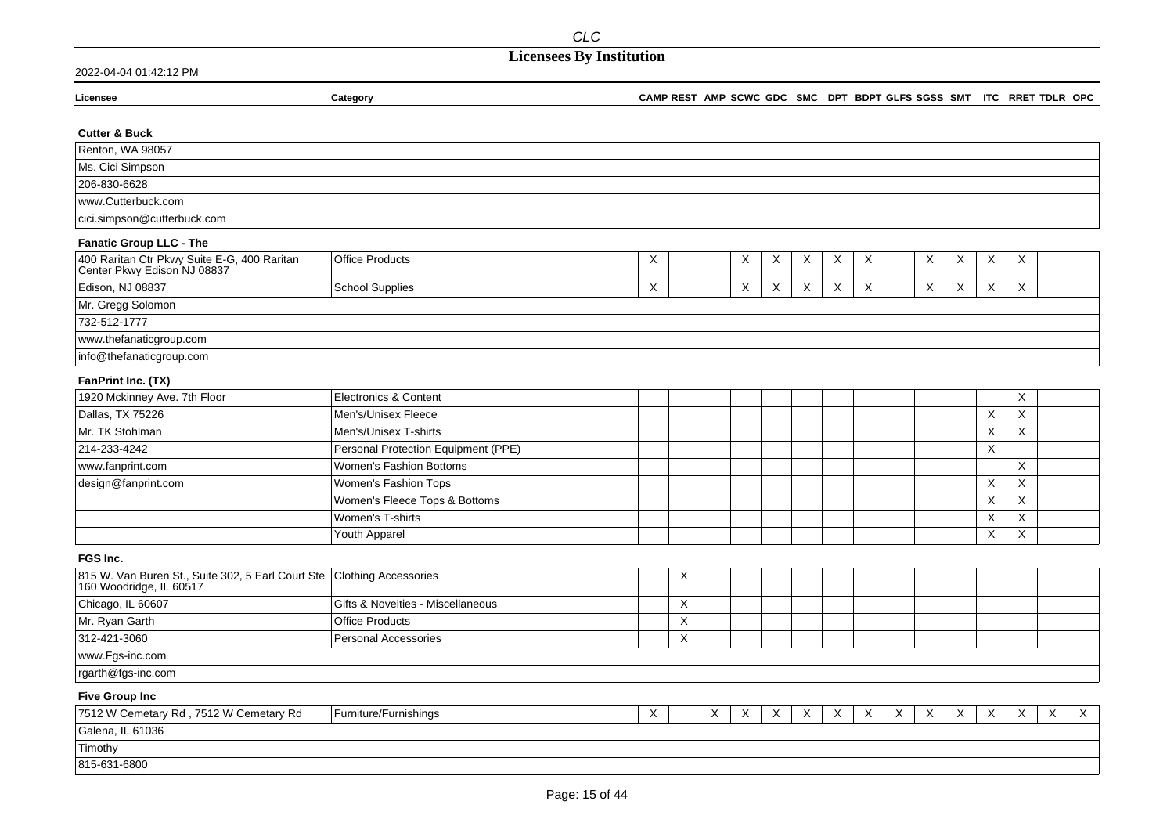| Licensee                                                                   | Category                            |             |             |   |   |   |             |                           |   | CAMP REST AMP SCWC GDC SMC DPT BDPT GLFS SGSS SMT ITC RRET TDLR OPC |                           |   |                           |                           |   |             |
|----------------------------------------------------------------------------|-------------------------------------|-------------|-------------|---|---|---|-------------|---------------------------|---|---------------------------------------------------------------------|---------------------------|---|---------------------------|---------------------------|---|-------------|
|                                                                            |                                     |             |             |   |   |   |             |                           |   |                                                                     |                           |   |                           |                           |   |             |
| <b>Cutter &amp; Buck</b>                                                   |                                     |             |             |   |   |   |             |                           |   |                                                                     |                           |   |                           |                           |   |             |
| Renton, WA 98057                                                           |                                     |             |             |   |   |   |             |                           |   |                                                                     |                           |   |                           |                           |   |             |
| Ms. Cici Simpson                                                           |                                     |             |             |   |   |   |             |                           |   |                                                                     |                           |   |                           |                           |   |             |
| 206-830-6628                                                               |                                     |             |             |   |   |   |             |                           |   |                                                                     |                           |   |                           |                           |   |             |
| www.Cutterbuck.com                                                         |                                     |             |             |   |   |   |             |                           |   |                                                                     |                           |   |                           |                           |   |             |
| cici.simpson@cutterbuck.com                                                |                                     |             |             |   |   |   |             |                           |   |                                                                     |                           |   |                           |                           |   |             |
| <b>Fanatic Group LLC - The</b>                                             |                                     |             |             |   |   |   |             |                           |   |                                                                     |                           |   |                           |                           |   |             |
| 400 Raritan Ctr Pkwy Suite E-G, 400 Raritan<br>Center Pkwy Edison NJ 08837 | <b>Office Products</b>              | X           |             |   | X | X | X           | X                         | X |                                                                     | X                         | X | X                         | X                         |   |             |
| Edison, NJ 08837                                                           | <b>School Supplies</b>              | X           |             |   | X | X | $\mathsf X$ | $\boldsymbol{\mathsf{X}}$ | X |                                                                     | $\boldsymbol{\mathsf{X}}$ | X | X                         | X                         |   |             |
| Mr. Gregg Solomon                                                          |                                     |             |             |   |   |   |             |                           |   |                                                                     |                           |   |                           |                           |   |             |
| 732-512-1777                                                               |                                     |             |             |   |   |   |             |                           |   |                                                                     |                           |   |                           |                           |   |             |
| www.thefanaticgroup.com                                                    |                                     |             |             |   |   |   |             |                           |   |                                                                     |                           |   |                           |                           |   |             |
| info@thefanaticgroup.com                                                   |                                     |             |             |   |   |   |             |                           |   |                                                                     |                           |   |                           |                           |   |             |
| FanPrint Inc. (TX)                                                         |                                     |             |             |   |   |   |             |                           |   |                                                                     |                           |   |                           |                           |   |             |
| 1920 Mckinney Ave. 7th Floor                                               | Electronics & Content               |             |             |   |   |   |             |                           |   |                                                                     |                           |   |                           | X                         |   |             |
| Dallas, TX 75226                                                           | Men's/Unisex Fleece                 |             |             |   |   |   |             |                           |   |                                                                     |                           |   | X                         | X                         |   |             |
| Mr. TK Stohlman                                                            | Men's/Unisex T-shirts               |             |             |   |   |   |             |                           |   |                                                                     |                           |   | X                         | $\times$                  |   |             |
| 214-233-4242                                                               | Personal Protection Equipment (PPE) |             |             |   |   |   |             |                           |   |                                                                     |                           |   | $\boldsymbol{\mathsf{X}}$ |                           |   |             |
| www.fanprint.com                                                           | Women's Fashion Bottoms             |             |             |   |   |   |             |                           |   |                                                                     |                           |   |                           | X                         |   |             |
| design@fanprint.com                                                        | Women's Fashion Tops                |             |             |   |   |   |             |                           |   |                                                                     |                           |   | X                         | $\boldsymbol{\mathsf{X}}$ |   |             |
|                                                                            | Women's Fleece Tops & Bottoms       |             |             |   |   |   |             |                           |   |                                                                     |                           |   | X                         | X                         |   |             |
|                                                                            | Women's T-shirts                    |             |             |   |   |   |             |                           |   |                                                                     |                           |   | X                         | X                         |   |             |
|                                                                            | Youth Apparel                       |             |             |   |   |   |             |                           |   |                                                                     |                           |   | X                         | X                         |   |             |
| FGS Inc.                                                                   |                                     |             |             |   |   |   |             |                           |   |                                                                     |                           |   |                           |                           |   |             |
| 815 W. Van Buren St., Suite 302, 5 Earl Court Ste                          | <b>Clothing Accessories</b>         |             | $\mathsf X$ |   |   |   |             |                           |   |                                                                     |                           |   |                           |                           |   |             |
| 160 Woodridge, IL 60517                                                    |                                     |             |             |   |   |   |             |                           |   |                                                                     |                           |   |                           |                           |   |             |
| Chicago, IL 60607                                                          | Gifts & Novelties - Miscellaneous   |             | X           |   |   |   |             |                           |   |                                                                     |                           |   |                           |                           |   |             |
| Mr. Ryan Garth                                                             | <b>Office Products</b>              |             | X           |   |   |   |             |                           |   |                                                                     |                           |   |                           |                           |   |             |
| 312-421-3060                                                               | Personal Accessories                |             | $\mathsf X$ |   |   |   |             |                           |   |                                                                     |                           |   |                           |                           |   |             |
| www.Fgs-inc.com                                                            |                                     |             |             |   |   |   |             |                           |   |                                                                     |                           |   |                           |                           |   |             |
| rgarth@fgs-inc.com                                                         |                                     |             |             |   |   |   |             |                           |   |                                                                     |                           |   |                           |                           |   |             |
| <b>Five Group Inc</b>                                                      |                                     |             |             |   |   |   |             |                           |   |                                                                     |                           |   |                           |                           |   |             |
| 7512 W Cemetary Rd, 7512 W Cemetary Rd                                     | Furniture/Furnishings               | $\mathsf X$ |             | X | X | X | X           | X                         | X | X                                                                   | X                         | X | X                         | X                         | X | $\mathsf X$ |
| Galena, IL 61036                                                           |                                     |             |             |   |   |   |             |                           |   |                                                                     |                           |   |                           |                           |   |             |
| Timothy                                                                    |                                     |             |             |   |   |   |             |                           |   |                                                                     |                           |   |                           |                           |   |             |
| 815-631-6800                                                               |                                     |             |             |   |   |   |             |                           |   |                                                                     |                           |   |                           |                           |   |             |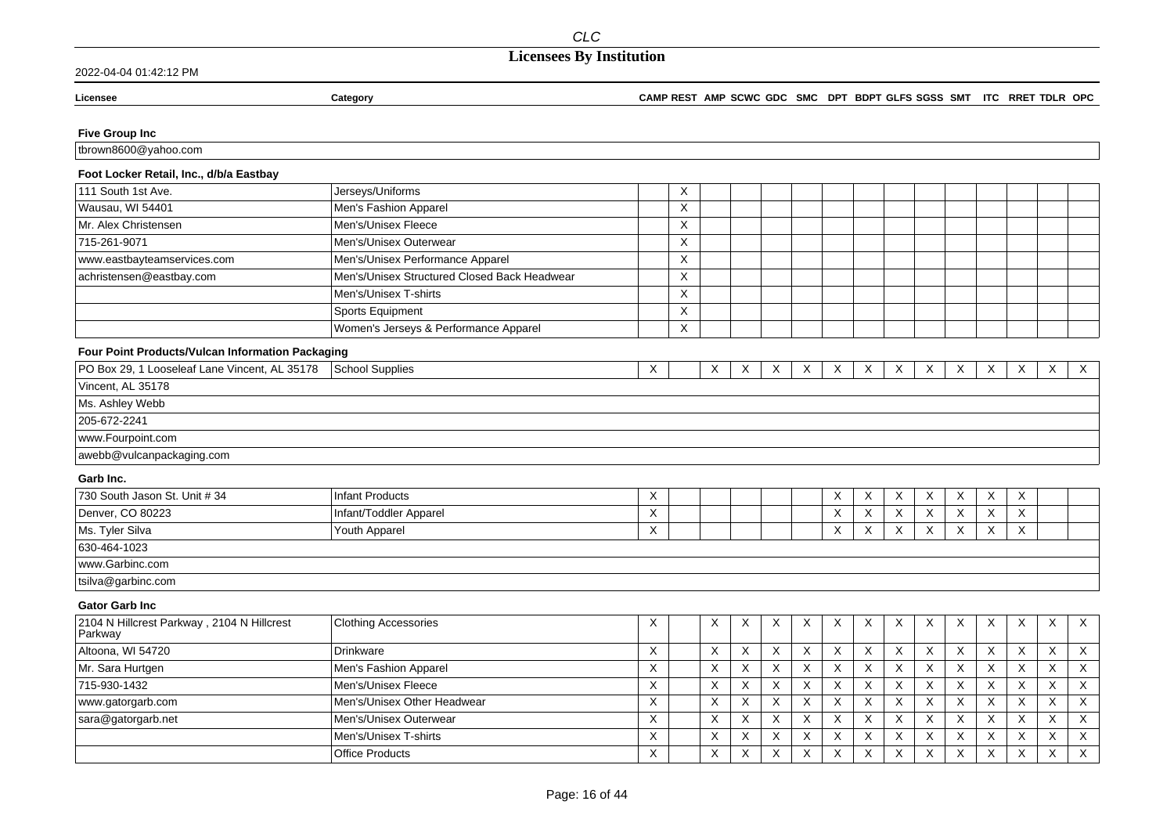### **Licensees By Institution**

#### 2022-04-04 01:42:12 PM

Licensee

#### CAMP REST AMP SCWC GDC SMC DPT BDPT GLFS SGSS SMT ITC RRET TDLR OPC

### **Five Group Inc**

tbrown8600@yahoo.com

### Foot Locker Retail, Inc., d/b/a Eastbay

Category

| 111 South 1st Ave.          | Jerseys/Uniforms                             | ⌒         |  |  |  |  |  |  |
|-----------------------------|----------------------------------------------|-----------|--|--|--|--|--|--|
| Wausau, WI 54401            | Men's Fashion Apparel                        |           |  |  |  |  |  |  |
| Mr. Alex Christensen        | Men's/Unisex Fleece                          |           |  |  |  |  |  |  |
| 715-261-9071                | Men's/Unisex Outerwear                       |           |  |  |  |  |  |  |
| www.eastbayteamservices.com | Men's/Unisex Performance Apparel             | $\lambda$ |  |  |  |  |  |  |
| achristensen@eastbay.com    | Men's/Unisex Structured Closed Back Headwear | $\lambda$ |  |  |  |  |  |  |
|                             | Men's/Unisex T-shirts                        | $\lambda$ |  |  |  |  |  |  |
|                             | Sports Equipment                             | $\lambda$ |  |  |  |  |  |  |
|                             | Women's Jerseys & Performance Apparel        | $\lambda$ |  |  |  |  |  |  |

### Four Point Products/Vulcan Information Packaging

| PO Box 29, 1 Looseleaf Lane Vincent, AL 35178 | School Supplies | X |  | X | X | $\sqrt{}$ | X. | X | X | X | X | X | $\vee$ |
|-----------------------------------------------|-----------------|---|--|---|---|-----------|----|---|---|---|---|---|--------|
| Vincent, AL 35178                             |                 |   |  |   |   |           |    |   |   |   |   |   |        |
| Ms. Ashley Webb                               |                 |   |  |   |   |           |    |   |   |   |   |   |        |
| 205-672-2241                                  |                 |   |  |   |   |           |    |   |   |   |   |   |        |
| www.Fourpoint.com                             |                 |   |  |   |   |           |    |   |   |   |   |   |        |
| awebb@vulcanpackaging.com                     |                 |   |  |   |   |           |    |   |   |   |   |   |        |

#### Garb Inc.

| 730 South Jason St. Unit # 34 | Infant Products        | $\checkmark$<br>$\lambda$ |  |  | $\lambda$ | $\sqrt{}$ | $\checkmark$ | $\checkmark$<br>$\sqrt{ }$ | $\sqrt{}$<br>$\sqrt{ }$ |  |
|-------------------------------|------------------------|---------------------------|--|--|-----------|-----------|--------------|----------------------------|-------------------------|--|
| Denver, CO 80223              | Infant/Toddler Apparel | $\lambda$                 |  |  |           |           |              |                            | $\lambda$<br>$\sqrt{ }$ |  |
| Ms. Tyler Silva               | Youth Apparel          | ⋏                         |  |  | $\lambda$ | $\sqrt{}$ |              | $\mathbf v$<br>$\lambda$   | $\lambda$<br>$\sqrt{ }$ |  |
| 630-464-1023                  |                        |                           |  |  |           |           |              |                            |                         |  |
| www.Garbinc.com               |                        |                           |  |  |           |           |              |                            |                         |  |
| itsilva@aarbinc.com           |                        |                           |  |  |           |           |              |                            |                         |  |

#### **Gator Garb Inc**

| 2104 N Hillcrest Parkway, 2104 N Hillcrest<br>Parkway | <b>Clothing Accessories</b> | х | X         | X         | X        | $\times$                  | X           | X                         | X | $\times$     | X | $\mathsf{X}$    | X                      | $\times$ | $\mathsf{X}$ |
|-------------------------------------------------------|-----------------------------|---|-----------|-----------|----------|---------------------------|-------------|---------------------------|---|--------------|---|-----------------|------------------------|----------|--------------|
| Altoona, WI 54720                                     | Drinkware                   | ⌒ |           | $\lambda$ | X        | $\times$                  | X           | $\checkmark$<br>$\lambda$ | X | X            |   | $\sqrt{}$<br>X. | $\checkmark$<br>ㅅ      | X        | $\checkmark$ |
| Mr. Sara Hurtgen                                      | Men's Fashion Apparel       |   |           |           | X        | $\checkmark$<br>$\lambda$ |             | $\sqrt{}$<br>$\sim$       | X |              |   |                 | $\lambda$<br>$\lambda$ |          | $\checkmark$ |
| 715-930-1432                                          | Men's/Unisex Fleece         |   |           | $\lambda$ | $\times$ | $\mathbf{v}$<br>$\lambda$ | $\lambda$   | $\sqrt{}$<br>$\sim$       | X |              |   |                 | $\sqrt{}$<br>$\lambda$ |          |              |
| www.gatorgarb.com                                     | Men's/Unisex Other Headwear |   |           |           |          | $\times$                  |             | $\checkmark$<br>$\lambda$ | X | X            |   |                 | $\lambda$              |          |              |
| sara@gatorgarb.net                                    | Men's/Unisex Outerwear      |   | $\sqrt{}$ | $\lambda$ | $\times$ | $\times$                  | X           | $\checkmark$<br>$\lambda$ | X | $\times$     |   | X               | X                      | X        | X            |
|                                                       | Men's/Unisex T-shirts       |   |           | $\lambda$ | $\times$ | $\checkmark$<br>$\lambda$ | $\check{ }$ | $\sqrt{}$<br>$\sim$       | X | $\checkmark$ |   | $\sqrt{}$       | $\lambda$<br>ㅅ         |          | $\checkmark$ |
|                                                       | <b>Office Products</b>      | ⌒ |           | $\lambda$ | X        | $\checkmark$<br>$\lambda$ |             | $\checkmark$<br>$\sim$    | X | X            |   |                 | $\checkmark$<br>ᄉ      |          | $\times$     |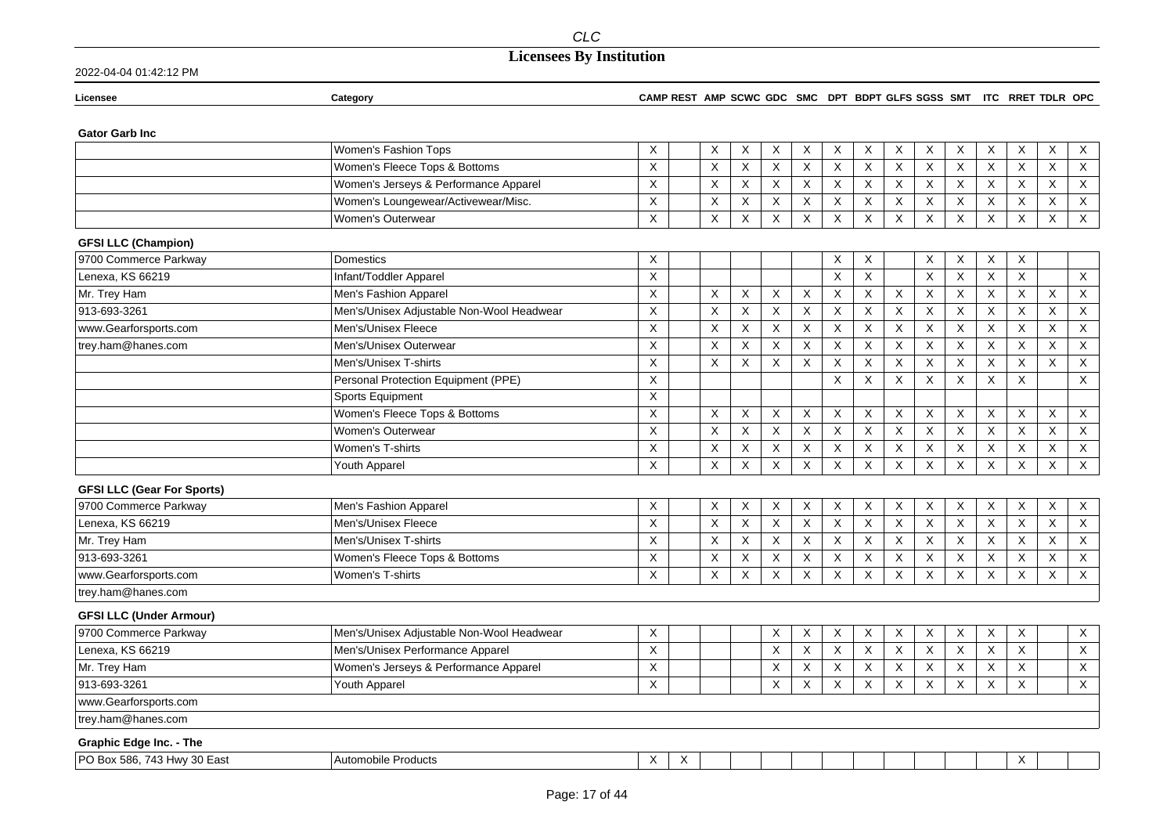## **Licensees By Institution**

| Licensee                          | Category                                  | CAMP REST AMP SCWC GDC SMC DPT BDPT GLFS SGSS SMT ITC RRET TDLR OPC |   |                |                |                           |                |         |             |             |                           |                           |                |              |                           |                           |
|-----------------------------------|-------------------------------------------|---------------------------------------------------------------------|---|----------------|----------------|---------------------------|----------------|---------|-------------|-------------|---------------------------|---------------------------|----------------|--------------|---------------------------|---------------------------|
| <b>Gator Garb Inc.</b>            |                                           |                                                                     |   |                |                |                           |                |         |             |             |                           |                           |                |              |                           |                           |
|                                   | Women's Fashion Tops                      | X                                                                   |   | X              | X              | X                         | X              | X       | X           | X           | X                         | X                         | X              | X            | X                         | $\mathsf X$               |
|                                   | Women's Fleece Tops & Bottoms             | $\mathsf{X}$                                                        |   | X              | X              | X                         | $\pmb{\times}$ | X       | X           | X           | $\sf X$                   | $\boldsymbol{\mathsf{X}}$ | $\overline{X}$ | $\mathsf X$  | $\mathsf X$               | $\mathsf X$               |
|                                   | Women's Jerseys & Performance Apparel     | X                                                                   |   | X              | X              | X                         | X              | X       | X           | X           | X                         | X                         | X              | X            | X                         | $\mathsf{X}$              |
|                                   | Women's Loungewear/Activewear/Misc.       | X                                                                   |   | X              | X              | $\boldsymbol{\mathsf{X}}$ | X              | X       | X           | X           | X                         | X                         | $\mathsf X$    | X            | X                         | X                         |
|                                   | Women's Outerwear                         | X                                                                   |   | X              | X              | X                         | Χ              | X       | X           | X           | X                         | $\boldsymbol{\mathsf{X}}$ | X              | X            | X                         | $\mathsf X$               |
| <b>GFSI LLC (Champion)</b>        |                                           |                                                                     |   |                |                |                           |                |         |             |             |                           |                           |                |              |                           |                           |
| 9700 Commerce Parkway             | <b>Domestics</b>                          | X                                                                   |   |                |                |                           |                | Χ       | X           |             | X                         | X                         | X              | X            |                           |                           |
| Lenexa, KS 66219                  | Infant/Toddler Apparel                    | X                                                                   |   |                |                |                           |                | X       | X           |             | X                         | X                         | $\mathsf X$    | X            |                           | X                         |
| Mr. Trey Ham                      | Men's Fashion Apparel                     | X                                                                   |   | X              | X              | X                         | $\pmb{\times}$ | X       | $\mathsf X$ | X           | $\boldsymbol{\mathsf{X}}$ | $\boldsymbol{\mathsf{X}}$ | $\mathsf X$    | X            | X                         | $\boldsymbol{\mathsf{X}}$ |
| 913-693-3261                      | Men's/Unisex Adjustable Non-Wool Headwear | X                                                                   |   | X              | X              | X                         | X              | X       | $\times$    | X           | X                         | X                         | $\mathsf{X}$   | X            | Χ                         | X                         |
| www.Gearforsports.com             | Men's/Unisex Fleece                       | X                                                                   |   | X              | X              | X                         | X              | X       | X           | X           | X                         | X                         | $\overline{X}$ | X            | X                         | X                         |
| trey.ham@hanes.com                | Men's/Unisex Outerwear                    | X                                                                   |   | X              | X              | X                         | X              | $\sf X$ | X           | X           | $\mathsf X$               | $\sf X$                   | $\mathsf X$    | X            | X                         | $\mathsf X$               |
|                                   | Men's/Unisex T-shirts                     | $\mathsf X$                                                         |   | X              | X              | X                         | Χ              | X       | X           | X           | X                         | $\boldsymbol{\mathsf{X}}$ | $\mathsf X$    | X            | Χ                         | $\mathsf X$               |
|                                   | Personal Protection Equipment (PPE)       | X                                                                   |   |                |                |                           |                | X       | X           | X           | X                         | X                         | X              | $\times$     |                           | X                         |
|                                   | Sports Equipment                          | X                                                                   |   |                |                |                           |                |         |             |             |                           |                           |                |              |                           |                           |
|                                   | Women's Fleece Tops & Bottoms             | X                                                                   |   | X              | X              | X                         | X              | X       | X           | X           | X                         | X                         | X              | X            | X                         | X                         |
|                                   | Women's Outerwear                         | X                                                                   |   | $\sf X$        | $\mathsf X$    | X                         | X              | X       | $\mathsf X$ | $\mathsf X$ | $\boldsymbol{\mathsf{X}}$ | $\boldsymbol{\mathsf{X}}$ | $\mathsf X$    | X            | $\boldsymbol{\mathsf{X}}$ | $\mathsf X$               |
|                                   | Women's T-shirts                          | X                                                                   |   | X              | X              | X                         | X              | X       | X           | X           | X                         | X                         | X              | X            | X                         | X                         |
|                                   | <b>Youth Apparel</b>                      | X                                                                   |   | $\pmb{\times}$ | $\pmb{\times}$ | X                         | X              | X       | X           | $\sf X$     | X                         | $\boldsymbol{\mathsf{X}}$ | X              | X            | $\mathsf X$               | $\mathsf X$               |
| <b>GFSI LLC (Gear For Sports)</b> |                                           |                                                                     |   |                |                |                           |                |         |             |             |                           |                           |                |              |                           |                           |
| 9700 Commerce Parkway             | Men's Fashion Apparel                     | X                                                                   |   | X              | X              | X                         | X              | X       | X           | X           | X                         | X                         | X              | X            | X                         | $\mathsf X$               |
| Lenexa, KS 66219                  | Men's/Unisex Fleece                       | X                                                                   |   | X              | X              | $\mathsf{X}$              | X              | X       | X           | X           | X                         | $\times$                  | X              | X            | X                         | X                         |
| Mr. Trey Ham                      | Men's/Unisex T-shirts                     | X                                                                   |   | X              | $\mathsf X$    | $\mathsf X$               | X              | X       | X           | X           | $\sf X$                   | $\times$                  | $\mathsf X$    | X            | $\boldsymbol{\mathsf{X}}$ | $\mathsf X$               |
| 913-693-3261                      | Women's Fleece Tops & Bottoms             | X                                                                   |   | X              | $\mathsf X$    | X                         | X              | X       | X           | X           | X                         | X                         | $\mathsf X$    | $\mathsf X$  | X                         | $\mathsf X$               |
| www.Gearforsports.com             | Women's T-shirts                          | X                                                                   |   | $\mathsf X$    | X              | X                         | X              | X       | X           | X           | X                         | X                         | X              | X            | $\boldsymbol{\mathsf{X}}$ | $\mathsf X$               |
| trey.ham@hanes.com                |                                           |                                                                     |   |                |                |                           |                |         |             |             |                           |                           |                |              |                           |                           |
| <b>GFSI LLC (Under Armour)</b>    |                                           |                                                                     |   |                |                |                           |                |         |             |             |                           |                           |                |              |                           |                           |
| 9700 Commerce Parkway             | Men's/Unisex Adjustable Non-Wool Headwear | X                                                                   |   |                |                | X                         | X              | X       | X           | X           | X                         | X                         | X              | X            |                           | $\mathsf X$               |
| Lenexa, KS 66219                  | Men's/Unisex Performance Apparel          | $\mathsf X$                                                         |   |                |                | X                         | $\pmb{\times}$ | $\sf X$ | $\mathsf X$ | $\mathsf X$ | $\boldsymbol{\mathsf{X}}$ | $\boldsymbol{\mathsf{X}}$ | $\mathsf X$    | $\times$     |                           | $\boldsymbol{\mathsf{X}}$ |
| Mr. Trey Ham                      | Women's Jerseys & Performance Apparel     | X                                                                   |   |                |                | X                         | X              | X       | X           | X           | X                         | X                         | X              | X            |                           | X                         |
| 913-693-3261                      | <b>Youth Apparel</b>                      | X                                                                   |   |                |                | X                         | X              | $\sf X$ | X           | $\mathsf X$ | $\mathsf X$               | X                         | X              | $\mathsf{X}$ |                           | $\mathsf X$               |
| www.Gearforsports.com             |                                           |                                                                     |   |                |                |                           |                |         |             |             |                           |                           |                |              |                           |                           |
| trey.ham@hanes.com                |                                           |                                                                     |   |                |                |                           |                |         |             |             |                           |                           |                |              |                           |                           |
| <b>Graphic Edge Inc. - The</b>    |                                           |                                                                     |   |                |                |                           |                |         |             |             |                           |                           |                |              |                           |                           |
| PO Box 586, 743 Hwy 30 East       | <b>Automobile Products</b>                | X                                                                   | X |                |                |                           |                |         |             |             |                           |                           |                | X            |                           |                           |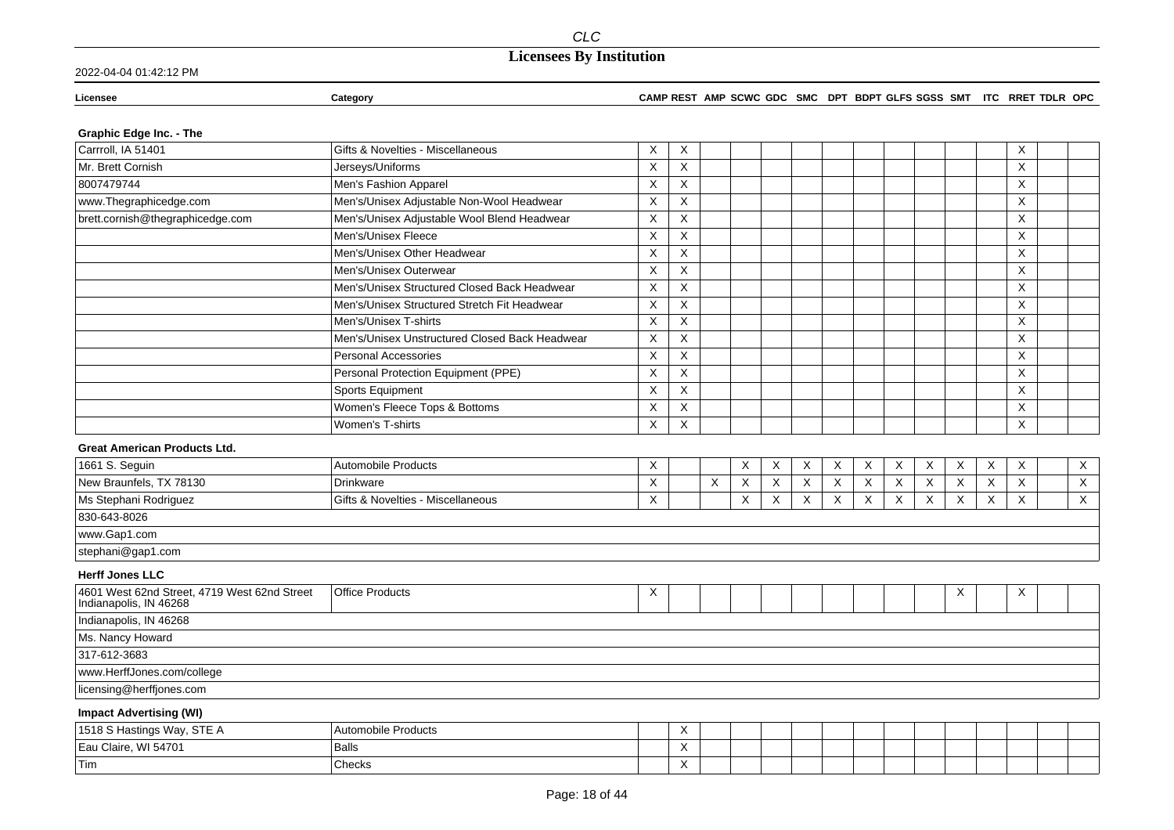2022-04-04 01:42:12 PM

#### **Licensee Category CAMP REST AMP SCWC GDC SMC DPT BDPT GLFS SGSS SMT ITC RRET TDLR OPC**

### **Graphic Edge Inc. - The**

| Carrroll, IA 51401                                                     | Gifts & Novelties - Miscellaneous              | X | X |   |   |   |   |          |   |   |          |   |   | X        |                           |
|------------------------------------------------------------------------|------------------------------------------------|---|---|---|---|---|---|----------|---|---|----------|---|---|----------|---------------------------|
| Mr. Brett Cornish                                                      | Jerseys/Uniforms                               | X | X |   |   |   |   |          |   |   |          |   |   | X        |                           |
| 8007479744                                                             | Men's Fashion Apparel                          | Χ | X |   |   |   |   |          |   |   |          |   |   | X        |                           |
| www.Thegraphicedge.com                                                 | Men's/Unisex Adjustable Non-Wool Headwear      | X | X |   |   |   |   |          |   |   |          |   |   | X        |                           |
| brett.cornish@thegraphicedge.com                                       | Men's/Unisex Adjustable Wool Blend Headwear    | X | X |   |   |   |   |          |   |   |          |   |   | X        |                           |
|                                                                        | Men's/Unisex Fleece                            | X | X |   |   |   |   |          |   |   |          |   |   | Χ        |                           |
|                                                                        | Men's/Unisex Other Headwear                    | X | X |   |   |   |   |          |   |   |          |   |   | X        |                           |
|                                                                        | Men's/Unisex Outerwear                         | X | X |   |   |   |   |          |   |   |          |   |   | X        |                           |
|                                                                        | Men's/Unisex Structured Closed Back Headwear   | X | X |   |   |   |   |          |   |   |          |   |   | X        |                           |
|                                                                        | Men's/Unisex Structured Stretch Fit Headwear   | X | X |   |   |   |   |          |   |   |          |   |   | X        |                           |
|                                                                        | Men's/Unisex T-shirts                          | X | X |   |   |   |   |          |   |   |          |   |   | X        |                           |
|                                                                        | Men's/Unisex Unstructured Closed Back Headwear | X | X |   |   |   |   |          |   |   |          |   |   | X        |                           |
|                                                                        | Personal Accessories                           | X | X |   |   |   |   |          |   |   |          |   |   | X        |                           |
|                                                                        | Personal Protection Equipment (PPE)            | X | X |   |   |   |   |          |   |   |          |   |   | X        |                           |
|                                                                        | Sports Equipment                               | X | X |   |   |   |   |          |   |   |          |   |   | X        |                           |
|                                                                        | Women's Fleece Tops & Bottoms                  | X | X |   |   |   |   |          |   |   |          |   |   | Χ        |                           |
|                                                                        | Women's T-shirts                               | X | X |   |   |   |   |          |   |   |          |   |   | $\times$ |                           |
| <b>Great American Products Ltd.</b>                                    |                                                |   |   |   |   |   |   |          |   |   |          |   |   |          |                           |
| 1661 S. Seguin                                                         | Automobile Products                            | X |   |   | X | X | X | X        | X | X | X        | X | X | X        | $\mathsf{X}$              |
| New Braunfels, TX 78130                                                | <b>Drinkware</b>                               | X |   | X | X | X | X | $\times$ | X | X | X        | X | X | $\times$ | $\mathsf{X}$              |
| Ms Stephani Rodriguez                                                  | Gifts & Novelties - Miscellaneous              | X |   |   | Χ | Χ | X | Χ        | X | X | $\times$ | X | Χ | Χ        | $\boldsymbol{\mathsf{X}}$ |
| 830-643-8026                                                           |                                                |   |   |   |   |   |   |          |   |   |          |   |   |          |                           |
| www.Gap1.com                                                           |                                                |   |   |   |   |   |   |          |   |   |          |   |   |          |                           |
| stephani@gap1.com                                                      |                                                |   |   |   |   |   |   |          |   |   |          |   |   |          |                           |
| <b>Herff Jones LLC</b>                                                 |                                                |   |   |   |   |   |   |          |   |   |          |   |   |          |                           |
| 4601 West 62nd Street, 4719 West 62nd Street<br>Indianapolis, IN 46268 | <b>Office Products</b>                         | X |   |   |   |   |   |          |   |   |          | X |   | Χ        |                           |
| Indianapolis, IN 46268                                                 |                                                |   |   |   |   |   |   |          |   |   |          |   |   |          |                           |
| Ms. Nancy Howard                                                       |                                                |   |   |   |   |   |   |          |   |   |          |   |   |          |                           |
| 317-612-3683                                                           |                                                |   |   |   |   |   |   |          |   |   |          |   |   |          |                           |
| www.HerffJones.com/college                                             |                                                |   |   |   |   |   |   |          |   |   |          |   |   |          |                           |
| licensing@herffjones.com                                               |                                                |   |   |   |   |   |   |          |   |   |          |   |   |          |                           |
| <b>Impact Advertising (WI)</b>                                         |                                                |   |   |   |   |   |   |          |   |   |          |   |   |          |                           |

| Hastings Wav. STE A<br>1518 S H | Automobile Products | $\ddot{\phantom{1}}$ |  |  |  |  |  |  |
|---------------------------------|---------------------|----------------------|--|--|--|--|--|--|
| . WI 54701<br>Eau Claire,       | Balls               |                      |  |  |  |  |  |  |
| <b>Tim</b>                      | <b>Checks</b>       | $\lambda$            |  |  |  |  |  |  |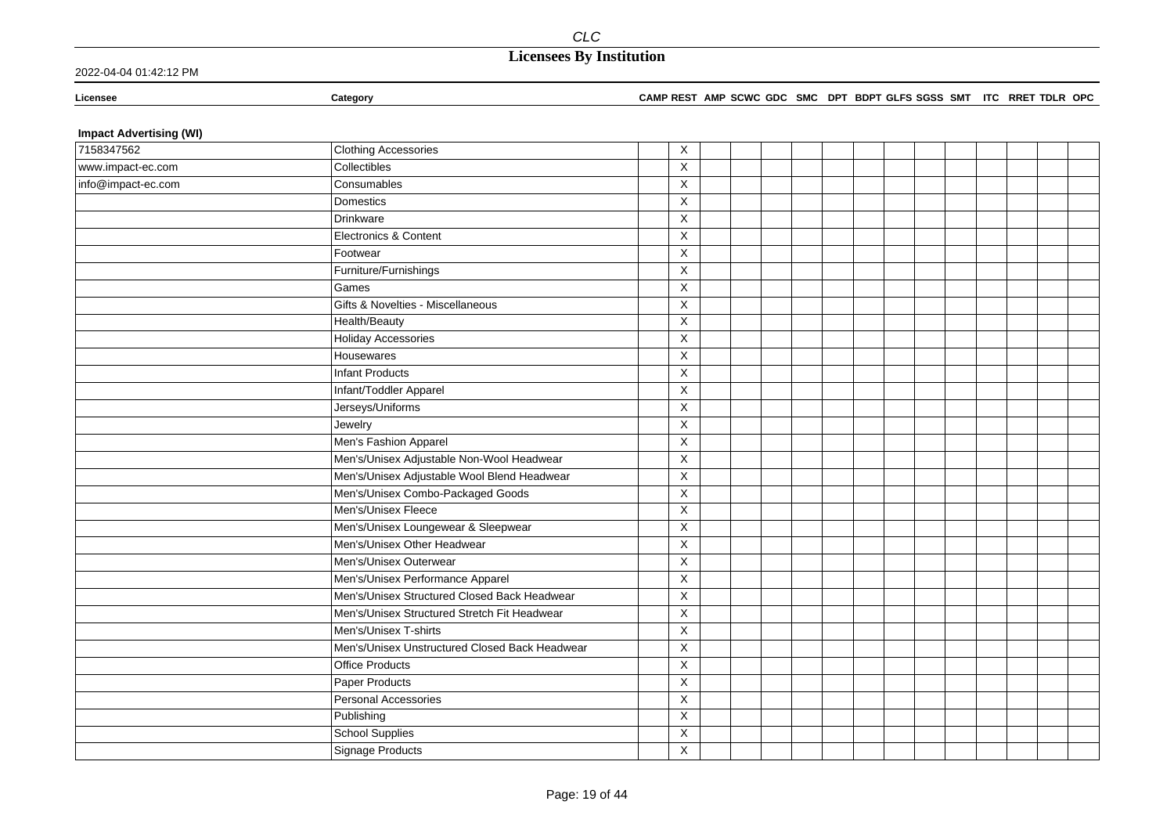**Licensee Category CAMP REST AMP SCWC GDC SMC DPT BDPT GLFS SGSS SMT ITC RRET TDLR OPC**

### **Impact Advertising (WI)**

| 7158347562         | <b>Clothing Accessories</b>                    | X                         |  |  |  |  |  |  |  |
|--------------------|------------------------------------------------|---------------------------|--|--|--|--|--|--|--|
| www.impact-ec.com  | Collectibles                                   | X                         |  |  |  |  |  |  |  |
| info@impact-ec.com | Consumables                                    | X                         |  |  |  |  |  |  |  |
|                    | Domestics                                      | $\mathsf X$               |  |  |  |  |  |  |  |
|                    | Drinkware                                      | $\mathsf{X}$              |  |  |  |  |  |  |  |
|                    | Electronics & Content                          | X                         |  |  |  |  |  |  |  |
|                    | Footwear                                       | $\pmb{\times}$            |  |  |  |  |  |  |  |
|                    | Furniture/Furnishings                          | X                         |  |  |  |  |  |  |  |
|                    | Games                                          | X                         |  |  |  |  |  |  |  |
|                    | Gifts & Novelties - Miscellaneous              | $\mathsf X$               |  |  |  |  |  |  |  |
|                    | Health/Beauty                                  | X                         |  |  |  |  |  |  |  |
|                    | <b>Holiday Accessories</b>                     | $\mathsf X$               |  |  |  |  |  |  |  |
|                    | Housewares                                     | X                         |  |  |  |  |  |  |  |
|                    | <b>Infant Products</b>                         | $\mathsf X$               |  |  |  |  |  |  |  |
|                    | Infant/Toddler Apparel                         | $\mathsf X$               |  |  |  |  |  |  |  |
|                    | Jerseys/Uniforms                               | $\mathsf X$               |  |  |  |  |  |  |  |
|                    | Jewelry                                        | X                         |  |  |  |  |  |  |  |
|                    | Men's Fashion Apparel                          | X                         |  |  |  |  |  |  |  |
|                    | Men's/Unisex Adjustable Non-Wool Headwear      | X                         |  |  |  |  |  |  |  |
|                    | Men's/Unisex Adjustable Wool Blend Headwear    | $\mathsf X$               |  |  |  |  |  |  |  |
|                    | Men's/Unisex Combo-Packaged Goods              | $\boldsymbol{\mathsf{X}}$ |  |  |  |  |  |  |  |
|                    | Men's/Unisex Fleece                            | $\mathsf X$               |  |  |  |  |  |  |  |
|                    | Men's/Unisex Loungewear & Sleepwear            | X                         |  |  |  |  |  |  |  |
|                    | Men's/Unisex Other Headwear                    | X                         |  |  |  |  |  |  |  |
|                    | Men's/Unisex Outerwear                         | X                         |  |  |  |  |  |  |  |
|                    | Men's/Unisex Performance Apparel               | $\mathsf X$               |  |  |  |  |  |  |  |
|                    | Men's/Unisex Structured Closed Back Headwear   | $\mathsf X$               |  |  |  |  |  |  |  |
|                    | Men's/Unisex Structured Stretch Fit Headwear   | $\mathsf X$               |  |  |  |  |  |  |  |
|                    | Men's/Unisex T-shirts                          | $\overline{\mathsf{x}}$   |  |  |  |  |  |  |  |
|                    | Men's/Unisex Unstructured Closed Back Headwear | X                         |  |  |  |  |  |  |  |
|                    | <b>Office Products</b>                         | X                         |  |  |  |  |  |  |  |
|                    | Paper Products                                 | $\mathsf X$               |  |  |  |  |  |  |  |
|                    | Personal Accessories                           | $\mathsf X$               |  |  |  |  |  |  |  |
|                    | Publishing                                     | $\mathsf X$               |  |  |  |  |  |  |  |
|                    | <b>School Supplies</b>                         | X                         |  |  |  |  |  |  |  |
|                    | Signage Products                               | X                         |  |  |  |  |  |  |  |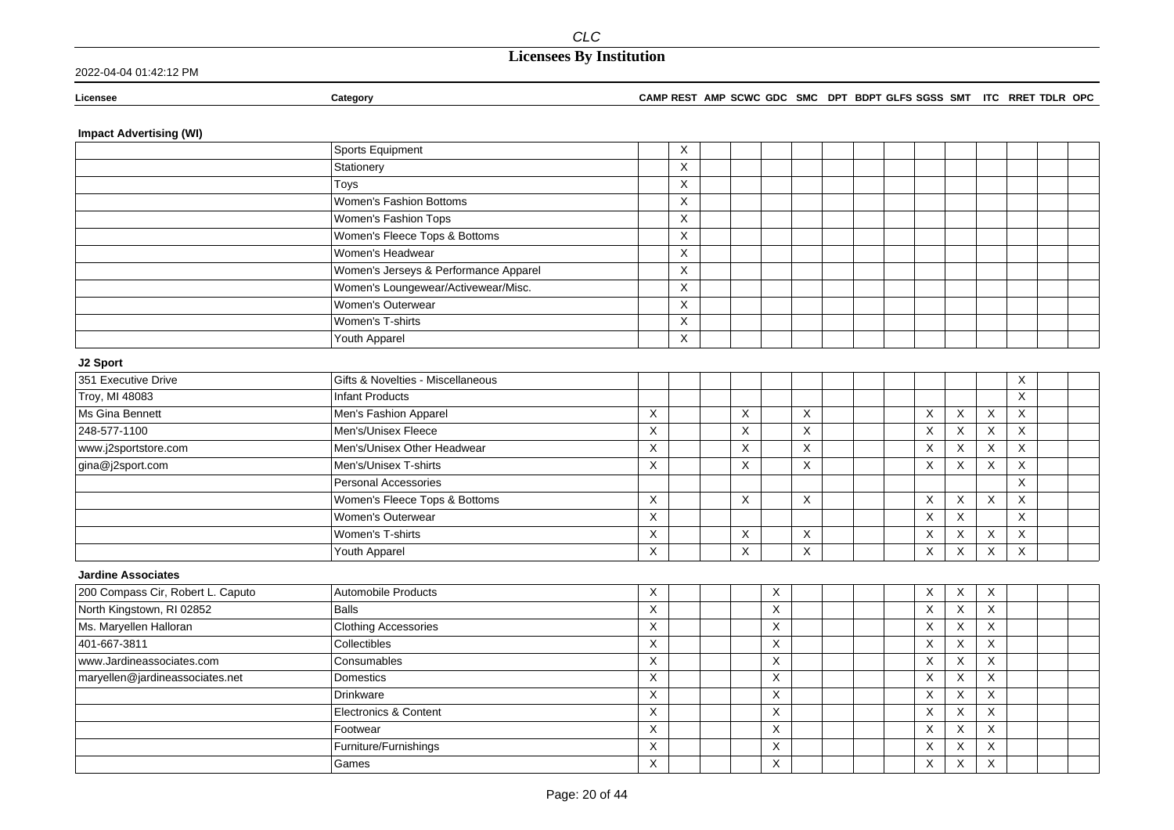**Licensee Category CAMP REST AMP SCWC GDC SMC DPT BDPT GLFS SGSS SMT ITC RRET TDLR OPC**

### **Impact Advertising (WI)**

|                                   | Sports Equipment                      |             | X           |   |   |   |  |                           |                           |                |              |  |
|-----------------------------------|---------------------------------------|-------------|-------------|---|---|---|--|---------------------------|---------------------------|----------------|--------------|--|
|                                   | Stationery                            |             | X           |   |   |   |  |                           |                           |                |              |  |
|                                   | Toys                                  |             | X           |   |   |   |  |                           |                           |                |              |  |
|                                   | Women's Fashion Bottoms               |             | X           |   |   |   |  |                           |                           |                |              |  |
|                                   | Women's Fashion Tops                  |             | X           |   |   |   |  |                           |                           |                |              |  |
|                                   | Women's Fleece Tops & Bottoms         |             | X           |   |   |   |  |                           |                           |                |              |  |
|                                   | Women's Headwear                      |             | X           |   |   |   |  |                           |                           |                |              |  |
|                                   | Women's Jerseys & Performance Apparel |             | X           |   |   |   |  |                           |                           |                |              |  |
|                                   | Women's Loungewear/Activewear/Misc.   |             | X           |   |   |   |  |                           |                           |                |              |  |
|                                   | Women's Outerwear                     |             | X           |   |   |   |  |                           |                           |                |              |  |
|                                   | Women's T-shirts                      |             | $\mathsf X$ |   |   |   |  |                           |                           |                |              |  |
|                                   | Youth Apparel                         |             | X           |   |   |   |  |                           |                           |                |              |  |
| J2 Sport                          |                                       |             |             |   |   |   |  |                           |                           |                |              |  |
| 351 Executive Drive               | Gifts & Novelties - Miscellaneous     |             |             |   |   |   |  |                           |                           |                | X            |  |
| Troy, MI 48083                    | <b>Infant Products</b>                |             |             |   |   |   |  |                           |                           |                | $\mathsf X$  |  |
| Ms Gina Bennett                   | Men's Fashion Apparel                 | X           |             | X |   | X |  | $\boldsymbol{\mathsf{X}}$ | $\mathsf X$               | $\times$       | $\times$     |  |
| 248-577-1100                      | Men's/Unisex Fleece                   | X           |             | X |   | X |  | $\times$                  | $\sf X$                   | X              | $\mathsf{X}$ |  |
| www.j2sportstore.com              | Men's/Unisex Other Headwear           | $\mathsf X$ |             | X |   | X |  | $\mathsf X$               | $\sf X$                   | X              | $\mathsf{X}$ |  |
| gina@j2sport.com                  | Men's/Unisex T-shirts                 | X           |             | X |   | Χ |  | $\boldsymbol{\mathsf{X}}$ | X                         | X              | X            |  |
|                                   | Personal Accessories                  |             |             |   |   |   |  |                           |                           |                | X            |  |
|                                   | Women's Fleece Tops & Bottoms         | X           |             | X |   | X |  | X                         | X                         | X              | X            |  |
|                                   | Women's Outerwear                     | X           |             |   |   |   |  | $\mathsf{X}$              | X                         |                | X            |  |
|                                   | Women's T-shirts                      | $\mathsf X$ |             | X |   | X |  | $\mathsf X$               | X                         | X              | X            |  |
|                                   | Youth Apparel                         | X           |             | X |   | X |  | $\boldsymbol{\mathsf{X}}$ | X                         | X              | X            |  |
| <b>Jardine Associates</b>         |                                       |             |             |   |   |   |  |                           |                           |                |              |  |
| 200 Compass Cir, Robert L. Caputo | Automobile Products                   | X           |             |   | Χ |   |  | X                         | X                         | X              |              |  |
| North Kingstown, RI 02852         | <b>Balls</b>                          | X           |             |   | X |   |  | $\boldsymbol{\mathsf{X}}$ | $\boldsymbol{\mathsf{X}}$ | X              |              |  |
| Ms. Maryellen Halloran            | <b>Clothing Accessories</b>           | X           |             |   | X |   |  | $\times$                  | $\boldsymbol{\mathsf{X}}$ | X              |              |  |
| 401-667-3811                      | Collectibles                          | X           |             |   | X |   |  | $\times$                  | X                         | X              |              |  |
| www.Jardineassociates.com         | Consumables                           | X           |             |   | Χ |   |  | $\overline{\mathsf{x}}$   | $\boldsymbol{\mathsf{X}}$ | $\overline{X}$ |              |  |
| maryellen@jardineassociates.net   | Domestics                             | X           |             |   | Χ |   |  | $\boldsymbol{\mathsf{X}}$ | $\times$                  | X              |              |  |
|                                   | Drinkware                             | X           |             |   | X |   |  | X                         | $\boldsymbol{\mathsf{X}}$ | $\mathsf X$    |              |  |
|                                   | Electronics & Content                 | X           |             |   | X |   |  | X                         | $\boldsymbol{\mathsf{X}}$ | $\mathsf X$    |              |  |
|                                   | Footwear                              | X           |             |   | X |   |  | X                         | $\times$                  | X              |              |  |
|                                   | Furniture/Furnishings                 | X           |             |   | X |   |  | X                         | $\times$                  | X              |              |  |
|                                   | Games                                 | X           |             |   | X |   |  | X                         | $\times$                  | $\times$       |              |  |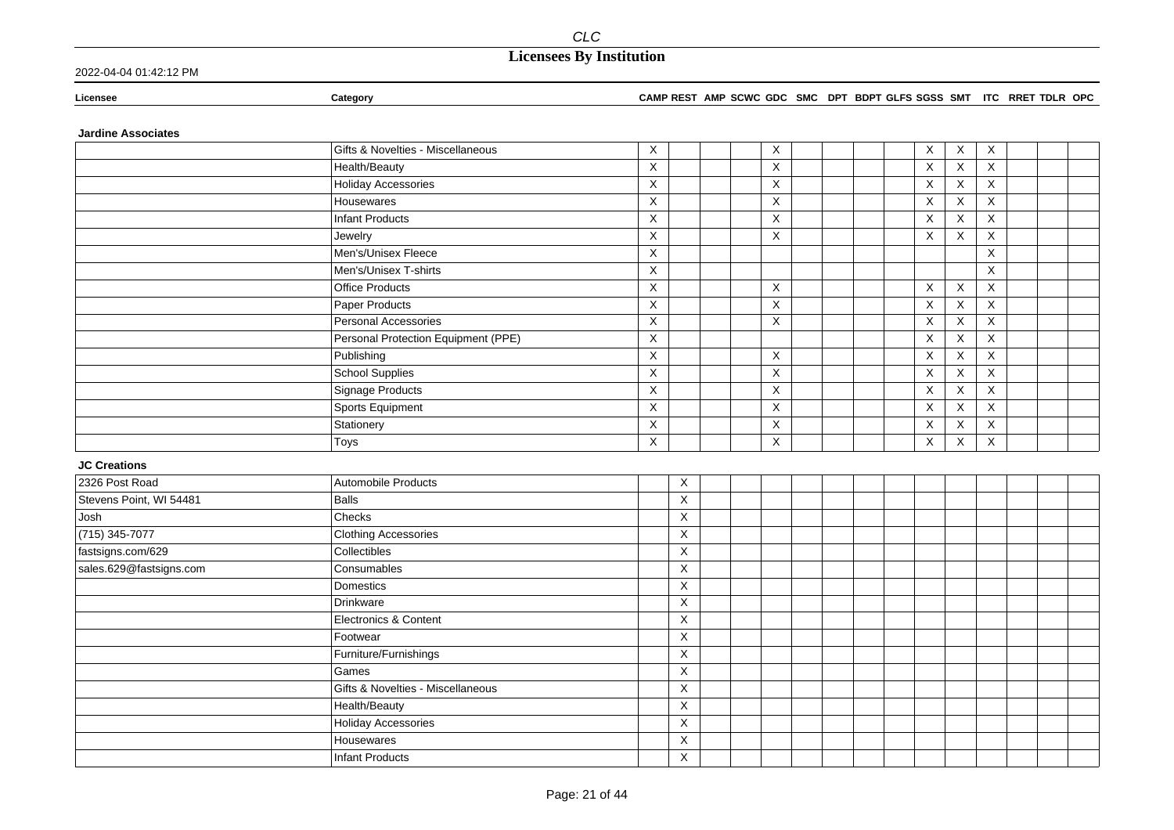### 2022-04-04 01:42:12 PM

**Licensee Category CAMP REST AMP SCWC GDC SMC DPT BDPT GLFS SGSS SMT ITC RRET TDLR OPC**

### **Jardine Associates**

|                                              | Gifts & Novelties - Miscellaneous   | X                       |                           |  | X              |  |  | X           | X           | X                       |  |  |
|----------------------------------------------|-------------------------------------|-------------------------|---------------------------|--|----------------|--|--|-------------|-------------|-------------------------|--|--|
|                                              | Health/Beauty                       | $\overline{\mathsf{x}}$ |                           |  | X              |  |  | X           | X           | $\overline{X}$          |  |  |
|                                              | <b>Holiday Accessories</b>          | $\overline{\mathsf{x}}$ |                           |  | $\overline{X}$ |  |  | X           | X           | $\overline{\mathsf{x}}$ |  |  |
|                                              | Housewares                          | $\mathsf X$             |                           |  | $\mathsf X$    |  |  | $\mathsf X$ | $\mathsf X$ | $\overline{X}$          |  |  |
|                                              | <b>Infant Products</b>              | $\mathsf X$             |                           |  | X              |  |  | $\mathsf X$ | $\mathsf X$ | $\mathsf X$             |  |  |
|                                              | Jewelry                             | $\mathsf X$             |                           |  | $\mathsf X$    |  |  | $\mathsf X$ | X           | X                       |  |  |
|                                              | Men's/Unisex Fleece                 | $\mathsf X$             |                           |  |                |  |  |             |             | X                       |  |  |
|                                              | Men's/Unisex T-shirts               | X                       |                           |  |                |  |  |             |             | X                       |  |  |
|                                              | <b>Office Products</b>              | $\mathsf X$             |                           |  | X              |  |  | X           | X           | X                       |  |  |
|                                              | <b>Paper Products</b>               | $\mathsf X$             |                           |  | X              |  |  | X           | X           | X                       |  |  |
|                                              | Personal Accessories                | $\mathsf X$             |                           |  | $\mathsf X$    |  |  | $\mathsf X$ | X           | X                       |  |  |
|                                              | Personal Protection Equipment (PPE) | X                       |                           |  |                |  |  | X           | X           | X                       |  |  |
|                                              | Publishing                          | $\mathsf X$             |                           |  | X              |  |  | $\mathsf X$ | $\mathsf X$ | $\overline{X}$          |  |  |
|                                              | School Supplies                     | X                       |                           |  | X              |  |  | $\mathsf X$ | $\mathsf X$ | X                       |  |  |
|                                              | <b>Signage Products</b>             | $\mathsf X$             |                           |  | X              |  |  | $\mathsf X$ | $\mathsf X$ | X                       |  |  |
|                                              | Sports Equipment                    | X                       |                           |  | X              |  |  | X           | X           | X                       |  |  |
|                                              | Stationery                          | X                       |                           |  | X              |  |  | X           | X           | $\mathsf X$             |  |  |
|                                              | Toys                                | $\mathsf X$             |                           |  | X              |  |  | X           | X           | X                       |  |  |
| <b>JC Creations</b>                          |                                     |                         |                           |  |                |  |  |             |             |                         |  |  |
| 2326 Post Road                               | Automobile Products                 |                         | $\boldsymbol{\mathsf{X}}$ |  |                |  |  |             |             |                         |  |  |
| Stevens Point, WI 54481                      | <b>Balls</b>                        |                         | $\overline{X}$            |  |                |  |  |             |             |                         |  |  |
|                                              |                                     |                         |                           |  |                |  |  |             |             |                         |  |  |
| Josh                                         | Checks                              |                         | $\mathsf X$               |  |                |  |  |             |             |                         |  |  |
| $(715)$ 345-7077                             | <b>Clothing Accessories</b>         |                         | $\mathsf X$               |  |                |  |  |             |             |                         |  |  |
|                                              | Collectibles                        |                         | $\mathsf X$               |  |                |  |  |             |             |                         |  |  |
| fastsigns.com/629<br>sales.629@fastsigns.com | Consumables                         |                         | $\mathsf X$               |  |                |  |  |             |             |                         |  |  |
|                                              | Domestics                           |                         | $\overline{\mathsf{X}}$   |  |                |  |  |             |             |                         |  |  |
|                                              | Drinkware                           |                         | $\mathsf X$               |  |                |  |  |             |             |                         |  |  |
|                                              | Electronics & Content               |                         | $\mathsf X$               |  |                |  |  |             |             |                         |  |  |
|                                              | Footwear                            |                         | $\sf X$                   |  |                |  |  |             |             |                         |  |  |
|                                              | Furniture/Furnishings               |                         | $\pmb{\times}$            |  |                |  |  |             |             |                         |  |  |
|                                              | Games                               |                         | $\boldsymbol{\mathsf{X}}$ |  |                |  |  |             |             |                         |  |  |
|                                              | Gifts & Novelties - Miscellaneous   |                         | $\mathsf X$               |  |                |  |  |             |             |                         |  |  |
|                                              | Health/Beauty                       |                         | $\mathsf X$               |  |                |  |  |             |             |                         |  |  |
|                                              | <b>Holiday Accessories</b>          |                         | $\pmb{\times}$            |  |                |  |  |             |             |                         |  |  |
|                                              | Housewares                          |                         | $\pmb{\times}$            |  |                |  |  |             |             |                         |  |  |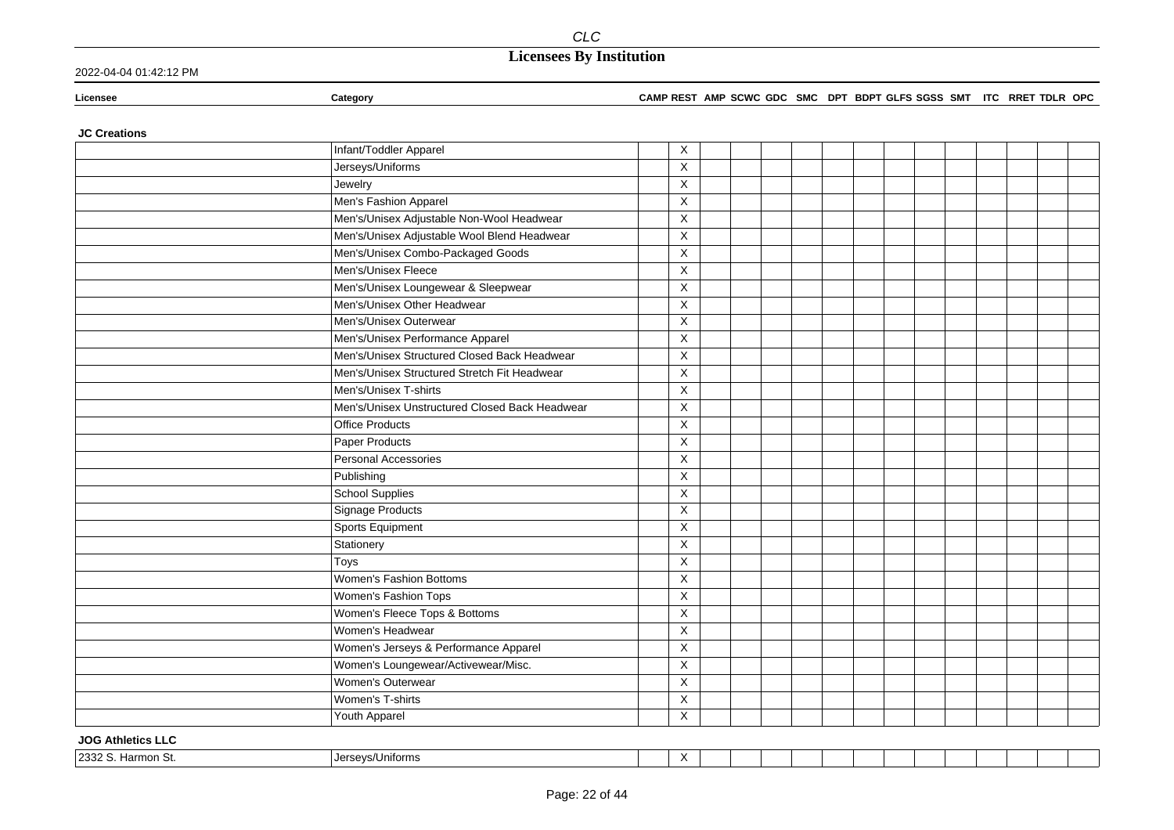2022-04-04 01:42:12 PM

### **Licensee Category CAMP REST AMP SCWC GDC SMC DPT BDPT GLFS SGSS SMT ITC RRET TDLR OPC**

### **JC Creations**

| $\overline{\mathsf{x}}$<br>Jerseys/Uniforms<br>Jewelry<br>X<br>Men's Fashion Apparel<br>X<br>Men's/Unisex Adjustable Non-Wool Headwear<br>X<br>Men's/Unisex Adjustable Wool Blend Headwear<br>X<br>Men's/Unisex Combo-Packaged Goods<br>X<br>Men's/Unisex Fleece<br>$\overline{\mathsf{x}}$<br>Men's/Unisex Loungewear & Sleepwear<br>$\mathsf X$<br>Men's/Unisex Other Headwear<br>Χ<br>Men's/Unisex Outerwear<br>X<br>Men's/Unisex Performance Apparel<br>X<br>Men's/Unisex Structured Closed Back Headwear<br>$\overline{\mathsf{x}}$<br>Men's/Unisex Structured Stretch Fit Headwear<br>X<br>Men's/Unisex T-shirts<br>X<br>Men's/Unisex Unstructured Closed Back Headwear<br>X<br>X<br><b>Office Products</b><br>Paper Products<br>X<br>$\overline{\mathsf{X}}$<br>Personal Accessories<br>X<br>Publishing<br><b>School Supplies</b><br>X<br>X<br>Signage Products<br><b>Sports Equipment</b><br>X<br>Stationery<br>X<br>X<br>Toys | Infant/Toddler Apparel  | X |  |  |  |  |  |
|----------------------------------------------------------------------------------------------------------------------------------------------------------------------------------------------------------------------------------------------------------------------------------------------------------------------------------------------------------------------------------------------------------------------------------------------------------------------------------------------------------------------------------------------------------------------------------------------------------------------------------------------------------------------------------------------------------------------------------------------------------------------------------------------------------------------------------------------------------------------------------------------------------------------------------------|-------------------------|---|--|--|--|--|--|
|                                                                                                                                                                                                                                                                                                                                                                                                                                                                                                                                                                                                                                                                                                                                                                                                                                                                                                                                        |                         |   |  |  |  |  |  |
|                                                                                                                                                                                                                                                                                                                                                                                                                                                                                                                                                                                                                                                                                                                                                                                                                                                                                                                                        |                         |   |  |  |  |  |  |
|                                                                                                                                                                                                                                                                                                                                                                                                                                                                                                                                                                                                                                                                                                                                                                                                                                                                                                                                        |                         |   |  |  |  |  |  |
|                                                                                                                                                                                                                                                                                                                                                                                                                                                                                                                                                                                                                                                                                                                                                                                                                                                                                                                                        |                         |   |  |  |  |  |  |
|                                                                                                                                                                                                                                                                                                                                                                                                                                                                                                                                                                                                                                                                                                                                                                                                                                                                                                                                        |                         |   |  |  |  |  |  |
|                                                                                                                                                                                                                                                                                                                                                                                                                                                                                                                                                                                                                                                                                                                                                                                                                                                                                                                                        |                         |   |  |  |  |  |  |
|                                                                                                                                                                                                                                                                                                                                                                                                                                                                                                                                                                                                                                                                                                                                                                                                                                                                                                                                        |                         |   |  |  |  |  |  |
|                                                                                                                                                                                                                                                                                                                                                                                                                                                                                                                                                                                                                                                                                                                                                                                                                                                                                                                                        |                         |   |  |  |  |  |  |
|                                                                                                                                                                                                                                                                                                                                                                                                                                                                                                                                                                                                                                                                                                                                                                                                                                                                                                                                        |                         |   |  |  |  |  |  |
|                                                                                                                                                                                                                                                                                                                                                                                                                                                                                                                                                                                                                                                                                                                                                                                                                                                                                                                                        |                         |   |  |  |  |  |  |
|                                                                                                                                                                                                                                                                                                                                                                                                                                                                                                                                                                                                                                                                                                                                                                                                                                                                                                                                        |                         |   |  |  |  |  |  |
|                                                                                                                                                                                                                                                                                                                                                                                                                                                                                                                                                                                                                                                                                                                                                                                                                                                                                                                                        |                         |   |  |  |  |  |  |
|                                                                                                                                                                                                                                                                                                                                                                                                                                                                                                                                                                                                                                                                                                                                                                                                                                                                                                                                        |                         |   |  |  |  |  |  |
|                                                                                                                                                                                                                                                                                                                                                                                                                                                                                                                                                                                                                                                                                                                                                                                                                                                                                                                                        |                         |   |  |  |  |  |  |
|                                                                                                                                                                                                                                                                                                                                                                                                                                                                                                                                                                                                                                                                                                                                                                                                                                                                                                                                        |                         |   |  |  |  |  |  |
|                                                                                                                                                                                                                                                                                                                                                                                                                                                                                                                                                                                                                                                                                                                                                                                                                                                                                                                                        |                         |   |  |  |  |  |  |
|                                                                                                                                                                                                                                                                                                                                                                                                                                                                                                                                                                                                                                                                                                                                                                                                                                                                                                                                        |                         |   |  |  |  |  |  |
|                                                                                                                                                                                                                                                                                                                                                                                                                                                                                                                                                                                                                                                                                                                                                                                                                                                                                                                                        |                         |   |  |  |  |  |  |
|                                                                                                                                                                                                                                                                                                                                                                                                                                                                                                                                                                                                                                                                                                                                                                                                                                                                                                                                        |                         |   |  |  |  |  |  |
|                                                                                                                                                                                                                                                                                                                                                                                                                                                                                                                                                                                                                                                                                                                                                                                                                                                                                                                                        |                         |   |  |  |  |  |  |
|                                                                                                                                                                                                                                                                                                                                                                                                                                                                                                                                                                                                                                                                                                                                                                                                                                                                                                                                        |                         |   |  |  |  |  |  |
|                                                                                                                                                                                                                                                                                                                                                                                                                                                                                                                                                                                                                                                                                                                                                                                                                                                                                                                                        |                         |   |  |  |  |  |  |
|                                                                                                                                                                                                                                                                                                                                                                                                                                                                                                                                                                                                                                                                                                                                                                                                                                                                                                                                        |                         |   |  |  |  |  |  |
|                                                                                                                                                                                                                                                                                                                                                                                                                                                                                                                                                                                                                                                                                                                                                                                                                                                                                                                                        |                         |   |  |  |  |  |  |
| $\mathsf X$                                                                                                                                                                                                                                                                                                                                                                                                                                                                                                                                                                                                                                                                                                                                                                                                                                                                                                                            | Women's Fashion Bottoms |   |  |  |  |  |  |
| Women's Fashion Tops<br>X                                                                                                                                                                                                                                                                                                                                                                                                                                                                                                                                                                                                                                                                                                                                                                                                                                                                                                              |                         |   |  |  |  |  |  |
| Women's Fleece Tops & Bottoms<br>X                                                                                                                                                                                                                                                                                                                                                                                                                                                                                                                                                                                                                                                                                                                                                                                                                                                                                                     |                         |   |  |  |  |  |  |
| Women's Headwear<br>X                                                                                                                                                                                                                                                                                                                                                                                                                                                                                                                                                                                                                                                                                                                                                                                                                                                                                                                  |                         |   |  |  |  |  |  |
| Women's Jerseys & Performance Apparel<br>X                                                                                                                                                                                                                                                                                                                                                                                                                                                                                                                                                                                                                                                                                                                                                                                                                                                                                             |                         |   |  |  |  |  |  |
| Women's Loungewear/Activewear/Misc.<br>$\mathsf X$                                                                                                                                                                                                                                                                                                                                                                                                                                                                                                                                                                                                                                                                                                                                                                                                                                                                                     |                         |   |  |  |  |  |  |
| Women's Outerwear<br>$\mathsf X$                                                                                                                                                                                                                                                                                                                                                                                                                                                                                                                                                                                                                                                                                                                                                                                                                                                                                                       |                         |   |  |  |  |  |  |
| Women's T-shirts<br>X                                                                                                                                                                                                                                                                                                                                                                                                                                                                                                                                                                                                                                                                                                                                                                                                                                                                                                                  |                         |   |  |  |  |  |  |
| Youth Apparel<br>X                                                                                                                                                                                                                                                                                                                                                                                                                                                                                                                                                                                                                                                                                                                                                                                                                                                                                                                     |                         |   |  |  |  |  |  |

### **JOG Athletics LLC**

| . . | 2332 S | /Unitorms<br><b>AAI</b> |  | $\lambda$<br>$\lambda$ |  |  |  |  |  |  |  |  |  |  |  |  |
|-----|--------|-------------------------|--|------------------------|--|--|--|--|--|--|--|--|--|--|--|--|
|-----|--------|-------------------------|--|------------------------|--|--|--|--|--|--|--|--|--|--|--|--|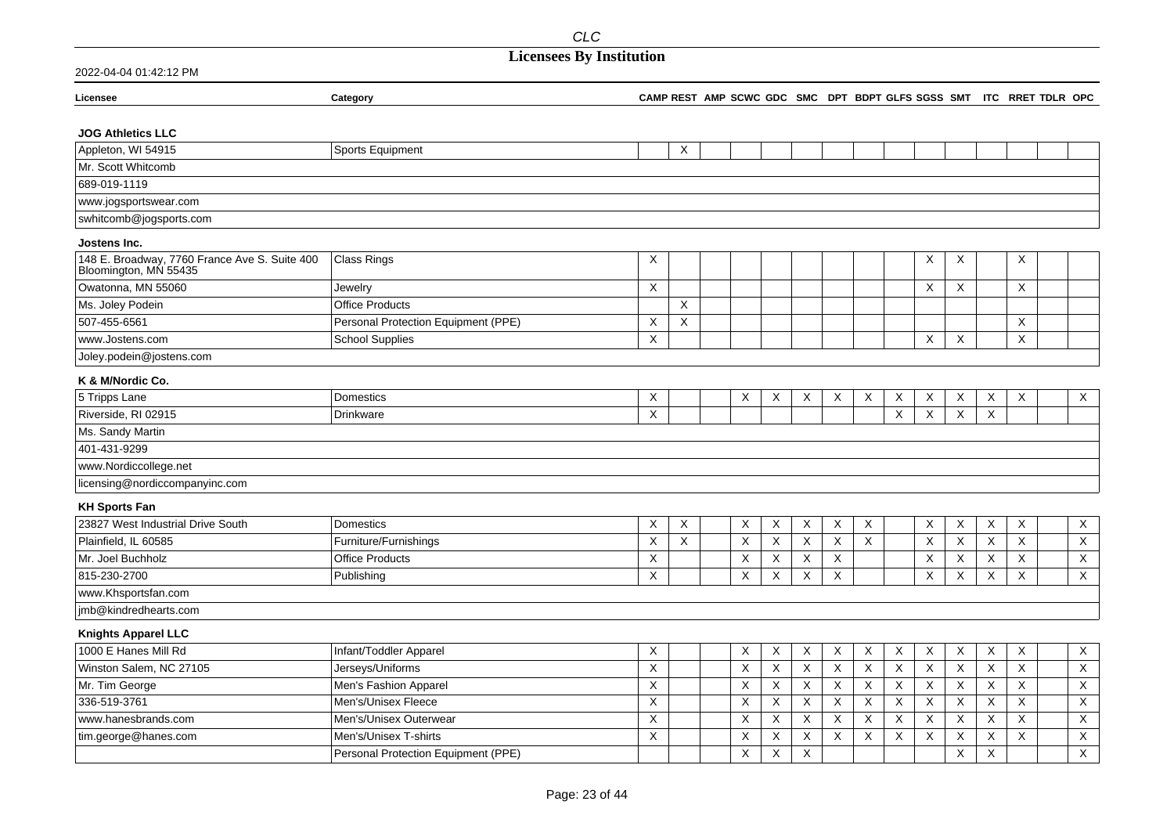## **Licensees By Institution**

| Licensee                                                               | Category                            |          |             |             |          |             |          |                           |                           |                           |          |             | CAMP REST AMP SCWC GDC SMC DPT BDPT GLFS SGSS SMT ITC RRET TDLR OPC |              |
|------------------------------------------------------------------------|-------------------------------------|----------|-------------|-------------|----------|-------------|----------|---------------------------|---------------------------|---------------------------|----------|-------------|---------------------------------------------------------------------|--------------|
|                                                                        |                                     |          |             |             |          |             |          |                           |                           |                           |          |             |                                                                     |              |
| <b>JOG Athletics LLC</b>                                               |                                     |          |             |             |          |             |          |                           |                           |                           |          |             |                                                                     |              |
| Appleton, WI 54915                                                     | Sports Equipment                    |          | Χ           |             |          |             |          |                           |                           |                           |          |             |                                                                     |              |
| Mr. Scott Whitcomb                                                     |                                     |          |             |             |          |             |          |                           |                           |                           |          |             |                                                                     |              |
| 689-019-1119                                                           |                                     |          |             |             |          |             |          |                           |                           |                           |          |             |                                                                     |              |
| www.jogsportswear.com                                                  |                                     |          |             |             |          |             |          |                           |                           |                           |          |             |                                                                     |              |
| swhitcomb@jogsports.com                                                |                                     |          |             |             |          |             |          |                           |                           |                           |          |             |                                                                     |              |
| Jostens Inc.                                                           |                                     |          |             |             |          |             |          |                           |                           |                           |          |             |                                                                     |              |
| 148 E. Broadway, 7760 France Ave S. Suite 400<br>Bloomington, MN 55435 | Class Rings                         | Χ        |             |             |          |             |          |                           |                           | X                         | X        |             | X                                                                   |              |
| Owatonna, MN 55060                                                     | Jewelry                             | X        |             |             |          |             |          |                           |                           | $\times$                  | X        |             | X                                                                   |              |
| Ms. Joley Podein                                                       | <b>Office Products</b>              |          | X           |             |          |             |          |                           |                           |                           |          |             |                                                                     |              |
| 507-455-6561                                                           | Personal Protection Equipment (PPE) | Χ        | X           |             |          |             |          |                           |                           |                           |          |             | Χ                                                                   |              |
| www.Jostens.com                                                        | <b>School Supplies</b>              | X        |             |             |          |             |          |                           |                           | $\times$                  | X        |             | X                                                                   |              |
| Joley.podein@jostens.com                                               |                                     |          |             |             |          |             |          |                           |                           |                           |          |             |                                                                     |              |
| K & M/Nordic Co.                                                       |                                     |          |             |             |          |             |          |                           |                           |                           |          |             |                                                                     |              |
| 5 Tripps Lane                                                          | Domestics                           | Χ        |             | X           | X        | X           | X        | X                         | X                         | X                         | X        | X           | X                                                                   | $\mathsf X$  |
| Riverside, RI 02915                                                    | <b>Drinkware</b>                    | X        |             |             |          |             |          |                           | $\times$                  | $\times$                  | $\times$ | $\times$    |                                                                     |              |
| Ms. Sandy Martin                                                       |                                     |          |             |             |          |             |          |                           |                           |                           |          |             |                                                                     |              |
| 401-431-9299                                                           |                                     |          |             |             |          |             |          |                           |                           |                           |          |             |                                                                     |              |
| www.Nordiccollege.net                                                  |                                     |          |             |             |          |             |          |                           |                           |                           |          |             |                                                                     |              |
| licensing@nordiccompanyinc.com                                         |                                     |          |             |             |          |             |          |                           |                           |                           |          |             |                                                                     |              |
| <b>KH Sports Fan</b>                                                   |                                     |          |             |             |          |             |          |                           |                           |                           |          |             |                                                                     |              |
| 23827 West Industrial Drive South                                      | <b>Domestics</b>                    | Χ        | $\mathsf X$ | X           | X        | X           | $\times$ | X                         |                           | X                         | X        | X           | X                                                                   | $\mathsf X$  |
| Plainfield. IL 60585                                                   | Furniture/Furnishings               | X        | X           | $\mathsf X$ | X        | $\mathsf X$ | $\times$ | X                         |                           | X                         | X        | $\mathsf X$ | X                                                                   | $\mathsf X$  |
| Mr. Joel Buchholz                                                      | <b>Office Products</b>              | X        |             | X           | X        | X           | $\times$ |                           |                           | $\times$                  | X        | X           | X                                                                   | $\mathsf X$  |
| 815-230-2700                                                           | Publishing                          | Χ        |             | Χ           | X        | X           | X        |                           |                           | $\times$                  | X        | X           | X                                                                   | $\times$     |
| www.Khsportsfan.com                                                    |                                     |          |             |             |          |             |          |                           |                           |                           |          |             |                                                                     |              |
| jmb@kindredhearts.com                                                  |                                     |          |             |             |          |             |          |                           |                           |                           |          |             |                                                                     |              |
| <b>Knights Apparel LLC</b>                                             |                                     |          |             |             |          |             |          |                           |                           |                           |          |             |                                                                     |              |
| 1000 E Hanes Mill Rd                                                   | Infant/Toddler Apparel              | X        |             | X           | X        | X           | X        | X                         | $\boldsymbol{\mathsf{X}}$ | $\boldsymbol{\mathsf{X}}$ | X        | X           | X                                                                   | $\mathsf X$  |
| Winston Salem, NC 27105                                                | Jerseys/Uniforms                    | X        |             | X           | X        | X           | X        | X                         | X                         | X                         | X        | X           | X                                                                   | $\mathsf X$  |
| Mr. Tim George                                                         | Men's Fashion Apparel               | X        |             | X           | X        | X           | X        | X                         | X                         | Χ                         | Χ        | X           | X                                                                   | $\mathsf X$  |
| 336-519-3761                                                           | Men's/Unisex Fleece                 | $\times$ |             | X           | $\times$ | X           | X        | $\boldsymbol{\mathsf{X}}$ | X                         | $\times$                  | X        | X           | $\times$                                                            | $\mathsf X$  |
| www.hanesbrands.com                                                    | Men's/Unisex Outerwear              | X        |             | X           | X        | X           | $\times$ | X                         | X                         | X                         | X        | X           | X                                                                   | $\mathsf{X}$ |
| tim.george@hanes.com                                                   | Men's/Unisex T-shirts               | X        |             | X           | Χ        | X           | X        | Χ                         | X                         | Χ                         | X        | Χ           | Χ                                                                   | X            |
|                                                                        | Personal Protection Equipment (PPE) |          |             | X           | X        | X           |          |                           |                           |                           | X        | X           |                                                                     | X            |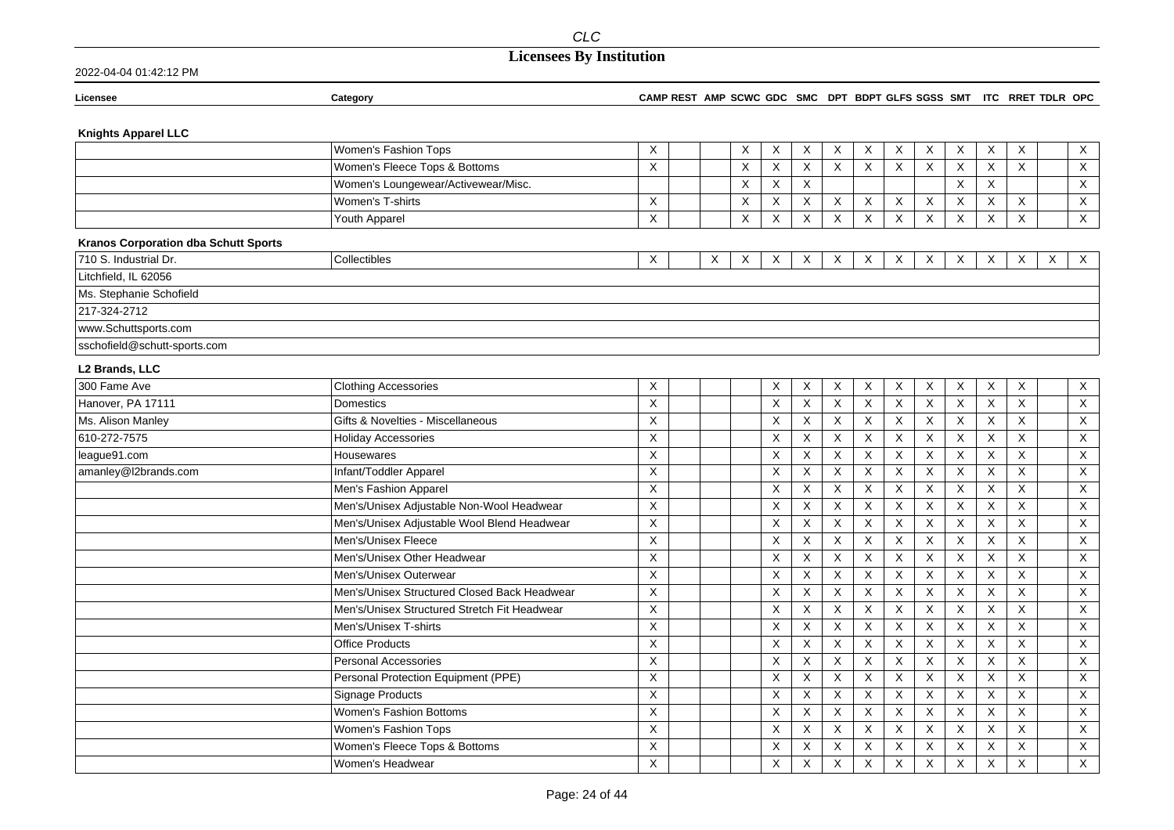|                                             | <b>CLC</b>                                  |                                                                     |   |                           |             |              |          |   |                           |                           |              |              |          |   |                           |
|---------------------------------------------|---------------------------------------------|---------------------------------------------------------------------|---|---------------------------|-------------|--------------|----------|---|---------------------------|---------------------------|--------------|--------------|----------|---|---------------------------|
|                                             | <b>Licensees By Institution</b>             |                                                                     |   |                           |             |              |          |   |                           |                           |              |              |          |   |                           |
| 2022-04-04 01:42:12 PM                      |                                             |                                                                     |   |                           |             |              |          |   |                           |                           |              |              |          |   |                           |
| Licensee                                    | Category                                    | CAMP REST AMP SCWC GDC SMC DPT BDPT GLFS SGSS SMT ITC RRET TDLR OPC |   |                           |             |              |          |   |                           |                           |              |              |          |   |                           |
| <b>Knights Apparel LLC</b>                  |                                             |                                                                     |   |                           |             |              |          |   |                           |                           |              |              |          |   |                           |
|                                             | Women's Fashion Tops                        | Χ                                                                   |   | $\boldsymbol{\mathsf{X}}$ | X           | X            | $\times$ | X | X                         | X                         | X            | X            | X        |   | X                         |
|                                             | Women's Fleece Tops & Bottoms               | X                                                                   |   | X                         | X           | X            | X        | Χ | X                         | X                         | X            | X            | X        |   | X                         |
|                                             | Women's Loungewear/Activewear/Misc.         |                                                                     |   | $\times$                  | $\sf X$     | X            |          |   |                           |                           | X            | X            |          |   | $\sf X$                   |
|                                             | Women's T-shirts                            | X                                                                   |   | X                         | $\mathsf X$ | X            | X        | Χ | X                         | $\boldsymbol{\mathsf{X}}$ | X            | X            | X        |   | X                         |
|                                             | Youth Apparel                               | X                                                                   |   | X                         | X           | X            | $\times$ | X | X                         | $\mathsf{X}$              | X            | $\times$     | X        |   | $\mathsf{X}$              |
| <b>Kranos Corporation dba Schutt Sports</b> |                                             |                                                                     |   |                           |             |              |          |   |                           |                           |              |              |          |   |                           |
| 710 S. Industrial Dr.                       | Collectibles                                | Χ                                                                   | X | X                         | X           | $\mathsf{X}$ | X        | X | X                         | X                         | $\mathsf{X}$ | X            | $\times$ | X | $\boldsymbol{\mathsf{X}}$ |
| Litchfield, IL 62056                        |                                             |                                                                     |   |                           |             |              |          |   |                           |                           |              |              |          |   |                           |
| Ms. Stephanie Schofield                     |                                             |                                                                     |   |                           |             |              |          |   |                           |                           |              |              |          |   |                           |
| 217-324-2712                                |                                             |                                                                     |   |                           |             |              |          |   |                           |                           |              |              |          |   |                           |
| www.Schuttsports.com                        |                                             |                                                                     |   |                           |             |              |          |   |                           |                           |              |              |          |   |                           |
| sschofield@schutt-sports.com                |                                             |                                                                     |   |                           |             |              |          |   |                           |                           |              |              |          |   |                           |
| L2 Brands, LLC                              |                                             |                                                                     |   |                           |             |              |          |   |                           |                           |              |              |          |   |                           |
| 300 Fame Ave                                | <b>Clothing Accessories</b>                 | X                                                                   |   |                           | X           | X            | X        | X | X                         | X                         | X            | X            | X        |   | X                         |
| Hanover, PA 17111                           | Domestics                                   | X                                                                   |   |                           | X           | X            | $\times$ | X | $\boldsymbol{\mathsf{X}}$ | $\sf X$                   | X            | X            | X        |   | $\times$                  |
| Ms. Alison Manley                           | Gifts & Novelties - Miscellaneous           | X                                                                   |   |                           | X           | X            | X        | Χ | X                         | X                         | X            | X            | X        |   | X                         |
| 610-272-7575                                | <b>Holiday Accessories</b>                  | X                                                                   |   |                           | X           | Χ            | X        | X | Χ                         | $\times$                  | Χ            | X            | X        |   | X                         |
| league91.com                                | Housewares                                  | X                                                                   |   |                           | X           | X            | X        | X | X                         | X                         | X            | X            | X        |   | X                         |
| amanley@l2brands.com                        | Infant/Toddler Apparel                      | X                                                                   |   |                           | X           | X            | X        | X | X                         | X                         | X            | X            | X        |   | X                         |
|                                             | Men's Fashion Apparel                       | $\mathsf{X}$                                                        |   |                           | X           | X            | $\times$ | X | $\boldsymbol{\mathsf{X}}$ | $\sf X$                   | X            | $\mathsf{X}$ | $\times$ |   | $\sf X$                   |
|                                             | Men's/Unisex Adjustable Non-Wool Headwear   | X                                                                   |   |                           | X           | X            | X        | X | $\boldsymbol{\mathsf{X}}$ | X                         | X            | X            | X        |   | $\mathsf X$               |
|                                             | Men's/Unisex Adjustable Wool Blend Headwear | X                                                                   |   |                           | X           | X            | X        | X | X                         | $\mathsf{X}$              | X            | X            | X        |   | $\mathsf{X}$              |
|                                             | Men's/Unisex Fleece                         | $\mathsf X$                                                         |   |                           | X           | X            | X        | X | $\boldsymbol{\mathsf{X}}$ | $\mathsf X$               | X            | X            | $\sf X$  |   | $\mathsf X$               |
|                                             | Men's/Unisex Other Headwear                 | X                                                                   |   |                           | X           | X            | X        | X | X                         | X                         | X            | X            | X        |   | X                         |
|                                             | Men's/Unisex Outerwear                      | X                                                                   |   |                           | X           | X            | X        | X | X                         | X                         | X            | X            | $\times$ |   | X                         |

Men's/Unisex Structured Closed Back Headwear

Men's/Unisex Structured Stretch Fit Headwear

Personal Protection Equipment (PPE)

Women's Fleece Tops & Bottoms

Men's/Unisex T-shirts

Personal Accessories

Women's Fashion Tops

Women's Headwear

Signage Products Women's Fashion Bottoms

**Office Products** 

 $\overline{\mathsf{x}}$ 

 $\overline{X}$ 

 $\overline{X}$ 

 $\boldsymbol{\mathsf{X}}$ 

 $\overline{X}$ 

 $\overline{X}$ 

 $\overline{\mathsf{x}}$ 

 $\mathsf{X}$ 

 $\boldsymbol{\mathsf{X}}$ 

 $\overline{X}$ 

 $\overline{X}$ 

 $\overline{X}$ 

 $\overline{X}$ 

 $\overline{\mathsf{x}}$ 

 $\mathsf X$ 

 $\overline{X}$ 

 $\overline{X}$ 

 $\mathsf X$ 

 $\mathsf{X}$ 

 $\boldsymbol{\mathsf{X}}$ 

 $\overline{\mathsf{x}}$ 

 $\overline{X}$ 

 $\overline{X}$ 

 $\overline{X}$ 

 $\overline{X}$ 

 $\mathsf{X}$ 

 $\overline{X}$ 

 $\overline{X}$ 

 $\mathsf X$ 

 $\mathsf X$ 

 $\mathsf X$ 

 $\mathsf X$ 

 $\overline{X}$ 

 $\overline{X}$ 

 $\overline{X}$ 

 $\overline{\mathsf{x}}$ 

 $\overline{X}$ 

 $\overline{X}$ 

 $\overline{X}$ 

 $\overline{X}$ 

 $\mathsf{X}$ 

 $\mathsf X$ 

 $\mathsf X$ 

 $\overline{X}$ 

 $\overline{X}$ 

 $\overline{\mathsf{x}}$ 

 $\overline{\mathsf{x}}$ 

 $\mathsf X$ 

 $\overline{X}$ 

 $\overline{X}$ 

 $\boldsymbol{\mathsf{X}}$ 

 $\mathsf X$ 

 $\mathsf X$ 

 $\overline{\mathsf{x}}$ 

 $\overline{X}$ 

 $\overline{X}$ 

 $\overline{\mathsf{x}}$ 

 $\overline{\mathsf{x}}$ 

 $\overline{X}$ 

 $\overline{X}$ 

 $\overline{X}$ 

 $\overline{X}$ 

 $\boldsymbol{\mathsf{X}}$ 

 $\overline{X}$ 

 $\overline{\mathsf{x}}$ 

 $\overline{X}$ 

 $\overline{X}$ 

 $\overline{X}$ 

 $\overline{X}$ 

 $\mathsf{X}$ 

 $\overline{X}$ 

 $\overline{X}$ 

 $\overline{X}$ 

 $\times$ 

 $\mathsf X$ 

 $\overline{\mathsf{x}}$ 

 $\overline{X}$ 

 $\overline{X}$ 

 $\overline{X}$ 

 $\overline{X}$ 

 $\mathsf X$ 

 $\overline{X}$ 

 $\overline{X}$ 

 $\overline{X}$ 

 $\overline{X}$ 

 $\mathsf X$ 

 $\overline{X}$ 

 $\overline{X}$ 

 $\overline{X}$ 

 $\overline{X}$ 

 $\overline{x}$ 

 $\mathsf X$ 

 $\overline{X}$ 

 $\overline{X}$ 

 $\overline{X}$ 

 $\mathsf{X}$ 

 $\mathsf X$ 

 $\overline{X}$ 

 $\overline{X}$ 

 $\overline{X}$ 

 $\mathsf{X}$ 

 $\overline{X}$ 

 $\mathsf{X}$ 

 $\mathsf{X}$ 

 $\overline{X}$ 

 $\overline{X}$ 

 $\mathsf{X}$ 

 $\mathsf{X}$ 

 $\overline{X}$ 

 $\overline{X}$ 

 $\overline{X}$ 

 $\overline{X}$ 

 $\overline{X}$ 

 $\mathsf{X}$ 

 $\overline{X}$ 

 $\overline{X}$ 

 $\overline{X}$ 

 $\overline{X}$ 

 $\mathsf{X}$ 

 $\overline{X}$ 

 $\overline{X}$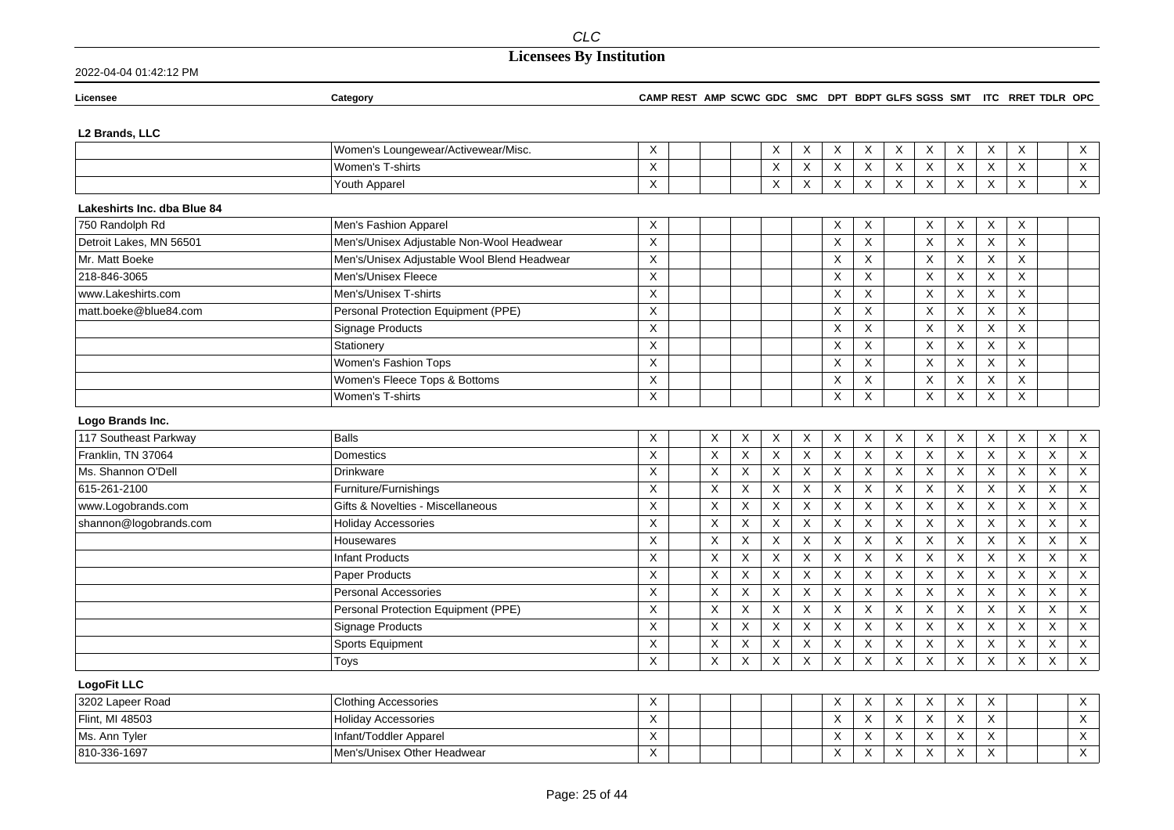## **Licensees By Institution**

| Licensee                                       | Category                                    | CAMP REST AMP SCWC GDC SMC DPT BDPT GLFS SGSS SMT ITC RRET TDLR OPC |             |   |             |                           |                         |                         |                           |                           |                           |                |                         |                           |                         |
|------------------------------------------------|---------------------------------------------|---------------------------------------------------------------------|-------------|---|-------------|---------------------------|-------------------------|-------------------------|---------------------------|---------------------------|---------------------------|----------------|-------------------------|---------------------------|-------------------------|
| L2 Brands, LLC                                 |                                             |                                                                     |             |   |             |                           |                         |                         |                           |                           |                           |                |                         |                           |                         |
|                                                | Women's Loungewear/Activewear/Misc.         | X                                                                   |             |   | Χ           | X                         | X                       | X                       | X                         | X                         | $\mathsf{X}$              | X              | X                       |                           | $\mathsf X$             |
|                                                | Women's T-shirts                            | X                                                                   |             |   | X           | X                         | X                       | X                       | X                         | X                         | X                         | X              | $\mathsf X$             |                           | $\overline{X}$          |
|                                                | Youth Apparel                               | X                                                                   |             |   | X           | X                         | X                       | $\overline{X}$          | $\boldsymbol{\mathsf{X}}$ | X                         | $\overline{X}$            | $\mathsf{X}$   | X                       |                           | $\overline{\mathsf{X}}$ |
|                                                |                                             |                                                                     |             |   |             |                           |                         |                         |                           |                           |                           |                |                         |                           |                         |
| Lakeshirts Inc. dba Blue 84<br>750 Randolph Rd | Men's Fashion Apparel                       | X                                                                   |             |   |             |                           | X                       | X                       |                           | X                         | X                         | X              | X                       |                           |                         |
| Detroit Lakes, MN 56501                        | Men's/Unisex Adjustable Non-Wool Headwear   | X                                                                   |             |   |             |                           | X                       | X                       |                           | X                         | $\overline{\mathsf{x}}$   | X              | X                       |                           |                         |
| Mr. Matt Boeke                                 | Men's/Unisex Adjustable Wool Blend Headwear | $\mathsf X$                                                         |             |   |             |                           | X                       | X                       |                           | X                         | $\mathsf X$               | X              | $\mathsf X$             |                           |                         |
| 218-846-3065                                   | Men's/Unisex Fleece                         | X                                                                   |             |   |             |                           | X                       | X                       |                           | X                         | X                         | X              | X                       |                           |                         |
|                                                |                                             |                                                                     |             |   |             |                           |                         |                         |                           |                           |                           |                |                         |                           |                         |
| www.Lakeshirts.com                             | Men's/Unisex T-shirts                       | X                                                                   |             |   |             |                           | X                       | X                       |                           | X                         | X                         | X              | X                       |                           |                         |
| matt.boeke@blue84.com                          | Personal Protection Equipment (PPE)         | X                                                                   |             |   |             |                           | X                       | X                       |                           | X                         | X                         | X              | X                       |                           |                         |
|                                                | Signage Products                            | $\overline{\mathsf{x}}$                                             |             |   |             |                           | Χ                       | X                       |                           | $\sf X$                   | $\overline{\mathsf{x}}$   | X              | $\overline{X}$          |                           |                         |
|                                                | Stationery                                  | X                                                                   |             |   |             |                           | X                       | X                       |                           | $\boldsymbol{\mathsf{X}}$ | $\times$                  | X              | $\mathsf X$             |                           |                         |
|                                                | Women's Fashion Tops                        | X                                                                   |             |   |             |                           | Χ                       | X                       |                           | $\sf X$                   | $\boldsymbol{\mathsf{X}}$ | X              | $\mathsf X$             |                           |                         |
|                                                | Women's Fleece Tops & Bottoms               | X                                                                   |             |   |             |                           | X                       | X                       |                           | X                         | X                         | X              | $\mathsf X$             |                           |                         |
|                                                | Women's T-shirts                            | X                                                                   |             |   |             |                           | X                       | $\mathsf X$             |                           | X                         | $\mathsf X$               | $\mathsf X$    | $\mathsf X$             |                           |                         |
| Logo Brands Inc.                               |                                             |                                                                     |             |   |             |                           |                         |                         |                           |                           |                           |                |                         |                           |                         |
| 117 Southeast Parkway                          | <b>Balls</b>                                | X                                                                   | X           | X | X           | X                         | X                       | X                       | X                         | X                         | X                         | X              | X                       | X                         | $\mathsf X$             |
| Franklin, TN 37064                             | Domestics                                   | X                                                                   | X           | X | $\mathsf X$ | $\boldsymbol{\mathsf{X}}$ | $\overline{\mathsf{x}}$ | $\overline{\mathsf{x}}$ | $\overline{X}$            | $\boldsymbol{\mathsf{X}}$ | $\overline{X}$            | X              | $\overline{\mathsf{x}}$ | $\boldsymbol{\mathsf{X}}$ | $\overline{X}$          |
| Ms. Shannon O'Dell                             | <b>Drinkware</b>                            | X                                                                   | X           | X | X           | X                         | X                       | X                       | X                         | $\times$                  | $\boldsymbol{\mathsf{X}}$ | $\pmb{\times}$ | $\pmb{\times}$          | $\times$                  | $\mathsf X$             |
| 615-261-2100                                   | Furniture/Furnishings                       | $\mathsf X$                                                         | X           | X | X           | X                         | X                       | X                       | X                         | X                         | $\boldsymbol{\mathsf{X}}$ | $\mathsf X$    | $\pmb{\times}$          | X                         | $\mathsf X$             |
| www.Logobrands.com                             | Gifts & Novelties - Miscellaneous           | X                                                                   | X           | X | X           | X                         | X                       | X                       | X                         | $\boldsymbol{\mathsf{X}}$ | $\boldsymbol{\mathsf{X}}$ | X              | $\pmb{\times}$          | X                         | $\mathsf X$             |
| shannon@logobrands.com                         | <b>Holiday Accessories</b>                  | X                                                                   | $\mathsf X$ | X | X           | $\boldsymbol{\mathsf{X}}$ | X                       | X                       | $\sf X$                   | $\sf X$                   | $\mathsf X$               | $\mathsf X$    | $\sf X$                 | $\boldsymbol{\mathsf{X}}$ | $\overline{X}$          |
|                                                | Housewares                                  | X                                                                   | X           | X | X           | $\boldsymbol{\mathsf{X}}$ | X                       | X                       | X                         | $\mathsf X$               | $\mathsf X$               | X              | $\pmb{\times}$          | X                         | $\mathsf X$             |
|                                                | <b>Infant Products</b>                      | X                                                                   | X           | X | X           | Χ                         | X                       | X                       | X                         | $\sf X$                   | X                         | X              | X                       | $\times$                  | $\mathsf X$             |
|                                                | <b>Paper Products</b>                       | Χ                                                                   | X           | X | Χ           | X                         | X                       | X                       | X                         | X                         | X                         | X              | X                       | Χ                         | X                       |
|                                                | Personal Accessories                        | X                                                                   | X           | X | X           | $\boldsymbol{\mathsf{X}}$ | X                       | X                       | X                         | $\sf X$                   | X                         | X              | $\pmb{\times}$          | $\boldsymbol{\mathsf{X}}$ | $\mathsf X$             |
|                                                | Personal Protection Equipment (PPE)         | $\mathsf X$                                                         | X           | X | X           | X                         | Χ                       | X                       | $\mathsf X$               | X                         | $\mathsf X$               | $\mathsf X$    | $\mathsf X$             | X                         | $\mathsf X$             |
|                                                | Signage Products                            | X                                                                   | X           | X | X           | X                         | X                       | X                       | $\times$                  | $\times$                  | $\boldsymbol{\mathsf{X}}$ | X              | $\pmb{\times}$          | $\times$                  | $\overline{X}$          |
|                                                | Sports Equipment                            | X                                                                   | X           | X | X           | X                         | X                       | X                       | X                         | X                         | $\mathsf X$               | $\mathsf X$    | $\mathsf X$             | X                         | $\overline{X}$          |
|                                                | Toys                                        | X                                                                   | X           | X | X           | X                         | X                       | X                       | X                         | X                         | X                         | X              | X                       | X                         | $\mathsf X$             |
|                                                |                                             |                                                                     |             |   |             |                           |                         |                         |                           |                           |                           |                |                         |                           |                         |
| <b>LogoFit LLC</b><br>3202 Lapeer Road         | <b>Clothing Accessories</b>                 | X                                                                   |             |   |             |                           | X                       | X                       | X                         | X                         | X                         | X              |                         |                           | X                       |
| Flint, MI 48503                                | <b>Holiday Accessories</b>                  | X                                                                   |             |   |             |                           | X                       | X                       | X                         | $\mathsf X$               | $\times$                  | X              |                         |                           | $\mathsf X$             |
|                                                |                                             |                                                                     |             |   |             |                           |                         |                         |                           |                           |                           |                |                         |                           |                         |
| Ms. Ann Tyler                                  | Infant/Toddler Apparel                      | X                                                                   |             |   |             |                           | X                       | X                       | X                         | X                         | $\boldsymbol{\mathsf{X}}$ | X              |                         |                           | X                       |
| 810-336-1697                                   | Men's/Unisex Other Headwear                 | X                                                                   |             |   |             |                           | Χ                       | $\sf X$                 | $\sf X$                   | $\boldsymbol{\mathsf{X}}$ | $\sf X$                   | X              |                         |                           | $\mathsf X$             |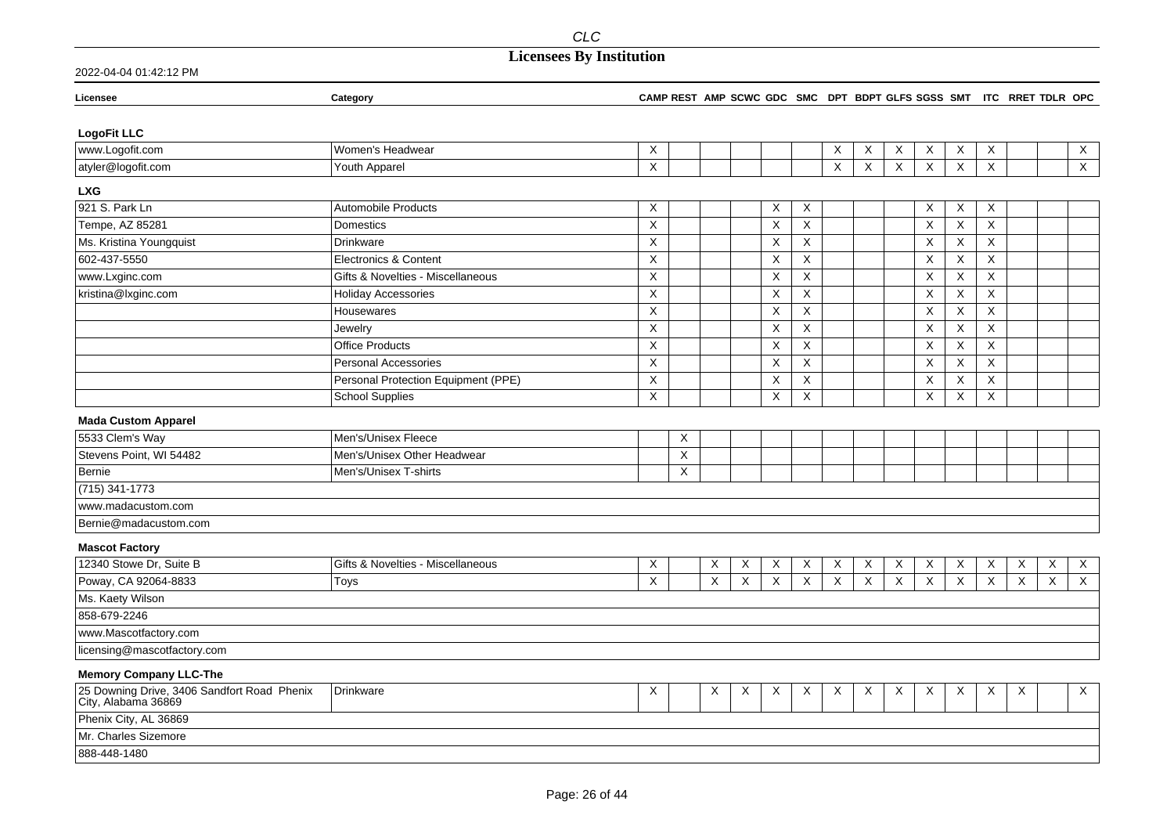| Licensee                                                           | Category                            |             | CAMP REST AMP SCWC GDC SMC DPT BDPT GLFS SGSS SMT ITC RRET TDLR OPC |   |          |   |                |                           |          |              |                           |              |                           |   |   |                |
|--------------------------------------------------------------------|-------------------------------------|-------------|---------------------------------------------------------------------|---|----------|---|----------------|---------------------------|----------|--------------|---------------------------|--------------|---------------------------|---|---|----------------|
|                                                                    |                                     |             |                                                                     |   |          |   |                |                           |          |              |                           |              |                           |   |   |                |
| <b>LogoFit LLC</b>                                                 |                                     |             |                                                                     |   |          |   |                |                           |          |              |                           |              |                           |   |   |                |
| www.Logofit.com                                                    | Women's Headwear                    | X           |                                                                     |   |          |   |                | X                         | X        | X            | $\boldsymbol{\mathsf{X}}$ | X            | X                         |   |   | X              |
| atyler@logofit.com                                                 | Youth Apparel                       | X           |                                                                     |   |          |   |                | $\boldsymbol{\mathsf{X}}$ | X        | $\mathsf{X}$ | $\mathsf{X}$              | $\mathsf{X}$ | X                         |   |   | $\overline{X}$ |
| <b>LXG</b>                                                         |                                     |             |                                                                     |   |          |   |                |                           |          |              |                           |              |                           |   |   |                |
| 921 S. Park Ln                                                     | <b>Automobile Products</b>          | X           |                                                                     |   |          | X | X              |                           |          |              | Χ                         | X            | X                         |   |   |                |
| Tempe, AZ 85281                                                    | <b>Domestics</b>                    | X           |                                                                     |   |          | X | X              |                           |          |              | X                         | X            | X                         |   |   |                |
| Ms. Kristina Youngquist                                            | <b>Drinkware</b>                    | X           |                                                                     |   |          | Χ | X              |                           |          |              | $\boldsymbol{\mathsf{X}}$ | X            | $\mathsf X$               |   |   |                |
| 602-437-5550                                                       | Electronics & Content               | X           |                                                                     |   |          | X | X              |                           |          |              | $\boldsymbol{\mathsf{X}}$ | X            | X                         |   |   |                |
| www.Lxginc.com                                                     | Gifts & Novelties - Miscellaneous   | X           |                                                                     |   |          | X | X              |                           |          |              | $\boldsymbol{\mathsf{X}}$ | $\mathsf X$  | $\mathsf X$               |   |   |                |
| kristina@lxginc.com                                                | <b>Holiday Accessories</b>          | X           |                                                                     |   |          | X | X              |                           |          |              | X                         | X            | X                         |   |   |                |
|                                                                    | Housewares                          | X           |                                                                     |   |          | X | X              |                           |          |              | X                         | X            | X                         |   |   |                |
|                                                                    | Jewelry                             | X           |                                                                     |   |          | X | X              |                           |          |              | $\boldsymbol{\mathsf{X}}$ | X            | $\mathsf X$               |   |   |                |
|                                                                    | <b>Office Products</b>              | X           |                                                                     |   |          | X | X              |                           |          |              | $\boldsymbol{\mathsf{X}}$ | X            | X                         |   |   |                |
|                                                                    | <b>Personal Accessories</b>         | Χ           |                                                                     |   |          | X | X              |                           |          |              | Χ                         | X            | X                         |   |   |                |
|                                                                    | Personal Protection Equipment (PPE) | $\mathsf X$ |                                                                     |   |          | X | $\pmb{\times}$ |                           |          |              | $\boldsymbol{\mathsf{X}}$ | $\mathsf X$  | $\mathsf X$               |   |   |                |
|                                                                    | <b>School Supplies</b>              | X           |                                                                     |   |          | X | X              |                           |          |              | $\boldsymbol{\mathsf{X}}$ | X            | X                         |   |   |                |
| <b>Mada Custom Apparel</b>                                         |                                     |             |                                                                     |   |          |   |                |                           |          |              |                           |              |                           |   |   |                |
| 5533 Clem's Way                                                    | Men's/Unisex Fleece                 |             | X                                                                   |   |          |   |                |                           |          |              |                           |              |                           |   |   |                |
| Stevens Point, WI 54482                                            | Men's/Unisex Other Headwear         |             | X                                                                   |   |          |   |                |                           |          |              |                           |              |                           |   |   |                |
| Bernie                                                             | Men's/Unisex T-shirts               |             | X                                                                   |   |          |   |                |                           |          |              |                           |              |                           |   |   |                |
| (715) 341-1773                                                     |                                     |             |                                                                     |   |          |   |                |                           |          |              |                           |              |                           |   |   |                |
| www.madacustom.com                                                 |                                     |             |                                                                     |   |          |   |                |                           |          |              |                           |              |                           |   |   |                |
| Bernie@madacustom.com                                              |                                     |             |                                                                     |   |          |   |                |                           |          |              |                           |              |                           |   |   |                |
| <b>Mascot Factory</b>                                              |                                     |             |                                                                     |   |          |   |                |                           |          |              |                           |              |                           |   |   |                |
| 12340 Stowe Dr, Suite B                                            | Gifts & Novelties - Miscellaneous   | X           |                                                                     | X | X        | X | X              | X                         | X        | X            | X                         | $\mathsf X$  | $\mathsf X$               | X | X | X              |
| Poway, CA 92064-8833                                               | Toys                                | X           |                                                                     | X | $\times$ | X | X              | X                         | $\times$ | $\times$     | $\times$                  | $\times$     | $\times$                  | X | X | X              |
| Ms. Kaety Wilson                                                   |                                     |             |                                                                     |   |          |   |                |                           |          |              |                           |              |                           |   |   |                |
| 858-679-2246                                                       |                                     |             |                                                                     |   |          |   |                |                           |          |              |                           |              |                           |   |   |                |
| www.Mascotfactory.com                                              |                                     |             |                                                                     |   |          |   |                |                           |          |              |                           |              |                           |   |   |                |
| licensing@mascotfactory.com                                        |                                     |             |                                                                     |   |          |   |                |                           |          |              |                           |              |                           |   |   |                |
| <b>Memory Company LLC-The</b>                                      |                                     |             |                                                                     |   |          |   |                |                           |          |              |                           |              |                           |   |   |                |
| 25 Downing Drive, 3406 Sandfort Road Phenix<br>City, Alabama 36869 | Drinkware                           | X           |                                                                     | Χ | X        | X | X              | X                         | X        | X            | X                         | Χ            | $\boldsymbol{\mathsf{X}}$ | Χ |   | X              |
| Phenix City, AL 36869                                              |                                     |             |                                                                     |   |          |   |                |                           |          |              |                           |              |                           |   |   |                |
| Mr. Charles Sizemore                                               |                                     |             |                                                                     |   |          |   |                |                           |          |              |                           |              |                           |   |   |                |
| 888-448-1480                                                       |                                     |             |                                                                     |   |          |   |                |                           |          |              |                           |              |                           |   |   |                |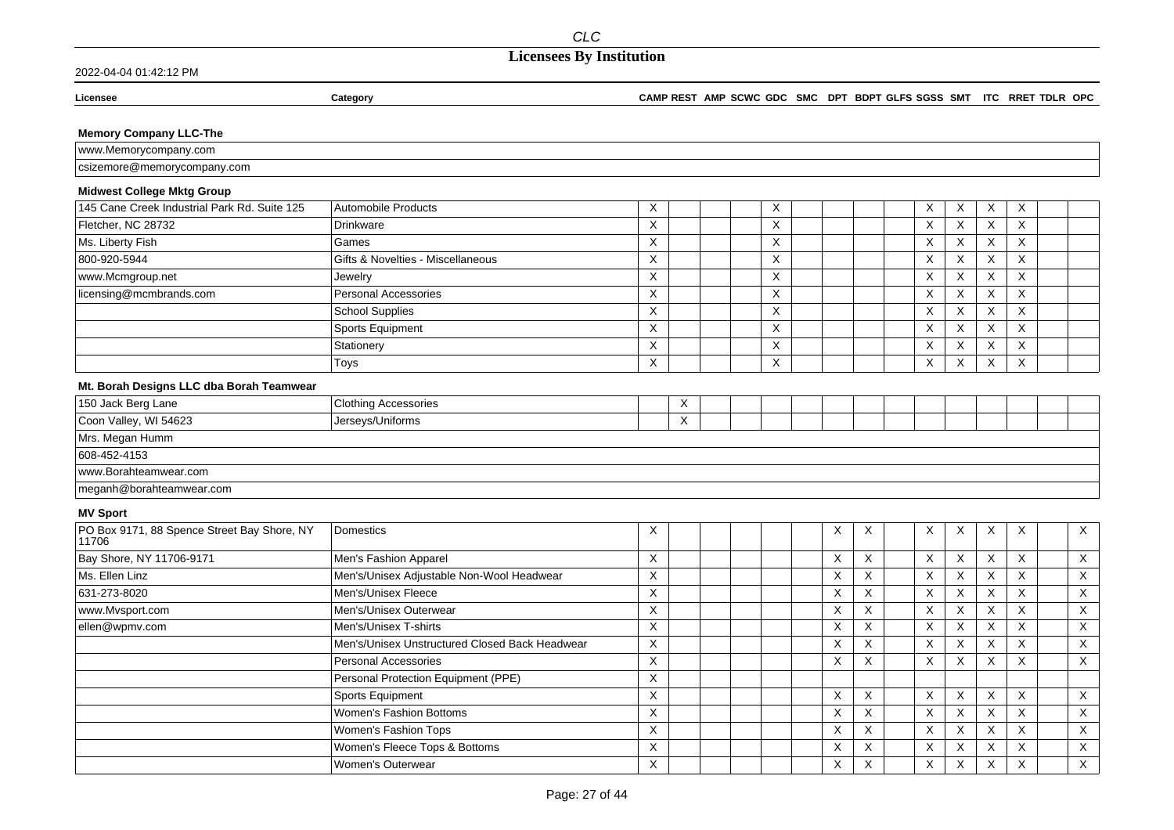### 2022-04-04 01:42:12 PM

#### **Licensee Category CAMP REST AMP SCWC GDC SMC DPT BDPT GLFS SGSS SMT ITC RRET TDLR OPC**

**Memory Company LLC-The**

| $\lambda$ ANANAL<br>v.Memorvcompanv.com<br>I VV VV VV         |  |
|---------------------------------------------------------------|--|
| npany.com<br>70 <sub>m</sub><br>ore@memo<br>nnn<br>--<br>งเมา |  |

### **Midwest College Mktg Group**

| 145 Cane Creek Industrial Park Rd. Suite 125 | Automobile Products               | $\lambda$ |  | ⌒      |  |  | $\lambda$<br>$\lambda$ | $\boldsymbol{\mathcal{N}}$ | $\checkmark$<br>$\lambda$ | $\times$ |  |
|----------------------------------------------|-----------------------------------|-----------|--|--------|--|--|------------------------|----------------------------|---------------------------|----------|--|
| Fletcher, NC 28732                           | Drinkware                         |           |  |        |  |  | $\lambda$<br>$\Lambda$ | ⋏                          | $\checkmark$<br>⋏         | $\times$ |  |
| Ms. Liberty Fish                             | Games                             | $\sim$    |  | $\sim$ |  |  | $\lambda$<br>⌒         | ⋏                          | $\times$                  | $\times$ |  |
| 800-920-5944                                 | Gifts & Novelties - Miscellaneous |           |  |        |  |  | $\lambda$<br>⌒         | ⋏                          | $\checkmark$<br>⋏         | $\times$ |  |
| www.Mcmgroup.net                             | Jewelry                           | $\sim$    |  | $\sim$ |  |  | $\sqrt{}$<br>$\lambda$ | X                          | $\times$                  | $\times$ |  |
| licensing@mcmbrands.com                      | <b>Personal Accessories</b>       |           |  |        |  |  | $\lambda$<br>⌒         | ⋏                          | $\checkmark$<br>⋏         | $\times$ |  |
|                                              | School Supplies                   |           |  |        |  |  | $\cdot$<br>$\Lambda$   |                            | $\checkmark$<br>X         | X        |  |
|                                              | Sports Equipment                  |           |  |        |  |  | $\lambda$<br>⌒         | $\lambda$                  | $\sqrt{}$<br>⋏            | $\times$ |  |
|                                              | Stationery                        |           |  |        |  |  | $\lambda$              | $\sqrt{}$                  | $\checkmark$<br>⋏         | X        |  |
|                                              | Toys                              | $\lambda$ |  |        |  |  | $\lambda$              | ⋏                          | $\sqrt{}$<br>$\lambda$    | $\times$ |  |

### **Mt. Borah Designs LLC dba Borah Teamwear**

| 150 Jack Berg Lane       | <b>Clothing Accessories</b> | $\lambda$      |  |  |  |  |  |  |
|--------------------------|-----------------------------|----------------|--|--|--|--|--|--|
| Coon Valley, WI 54623    | Jerseys/Uniforms            | $\lambda$<br>v |  |  |  |  |  |  |
| Mrs. Megan Humm          |                             |                |  |  |  |  |  |  |
| 608-452-4153             |                             |                |  |  |  |  |  |  |
| www.Borahteamwear.com    |                             |                |  |  |  |  |  |  |
| meganh@borahteamwear.com |                             |                |  |  |  |  |  |  |

#### **MV Sport**

| PO Box 9171, 88 Spence Street Bay Shore, NY<br>11706 | Domestics                                      | X |  |  | ⋏                               |                 | X        | X                 | X | X                         | $\times$ |
|------------------------------------------------------|------------------------------------------------|---|--|--|---------------------------------|-----------------|----------|-------------------|---|---------------------------|----------|
| Bay Shore, NY 11706-9171                             | Men's Fashion Apparel                          | X |  |  | $\sqrt{}$<br>v                  | $\sqrt{}$<br>x. | X        | $\times$          | X | $\times$                  | $\times$ |
| Ms. Ellen Linz                                       | Men's/Unisex Adjustable Non-Wool Headwear      | X |  |  | $\sqrt{}$<br>⋏                  | ^               | X        | $\checkmark$<br>⋏ | X | X                         | X        |
| 631-273-8020                                         | Men's/Unisex Fleece                            | X |  |  | $\boldsymbol{\mathcal{N}}$<br>v | ^               | X        | $\times$          | X | X                         | $\times$ |
| www.Mvsport.com                                      | Men's/Unisex Outerwear                         | X |  |  | ⋏                               | $\lambda$       | X        | $\times$          | X | X                         | X        |
| ellen@wpmv.com                                       | Men's/Unisex T-shirts                          | X |  |  | ⋏                               | X.              | X        | $\times$          | X | X                         | $\times$ |
|                                                      | Men's/Unisex Unstructured Closed Back Headwear | X |  |  | $\lambda$<br>⋏                  | $\lambda$       | X        | $\checkmark$<br>⋏ | X | $\checkmark$<br>$\lambda$ | $\times$ |
|                                                      | <b>Personal Accessories</b>                    | X |  |  | $\sqrt{}$<br>v                  | v.              | X        | X                 | X | X                         | $\times$ |
|                                                      | Personal Protection Equipment (PPE)            | X |  |  |                                 |                 |          |                   |   |                           |          |
|                                                      | Sports Equipment                               | X |  |  | $\sqrt{}$<br>v                  | X               | X        | $\times$          | X | $\times$                  | $\times$ |
|                                                      | Women's Fashion Bottoms                        | X |  |  | $\lambda$<br>⋏                  | $\lambda$       | X        | $\checkmark$<br>⋏ | X | X                         | X        |
|                                                      | Women's Fashion Tops                           | X |  |  | $\checkmark$<br>v               | л.              | X        | $\times$          | X | X                         | $\times$ |
|                                                      | Women's Fleece Tops & Bottoms                  | X |  |  | $\lambda$<br>⋏                  |                 | X        | $\checkmark$      | X | $\checkmark$<br>$\lambda$ | $\times$ |
|                                                      | Women's Outerwear                              | X |  |  | $\sqrt{}$<br>ᄉ                  | v.              | $\times$ | $\times$          | X | X                         | $\times$ |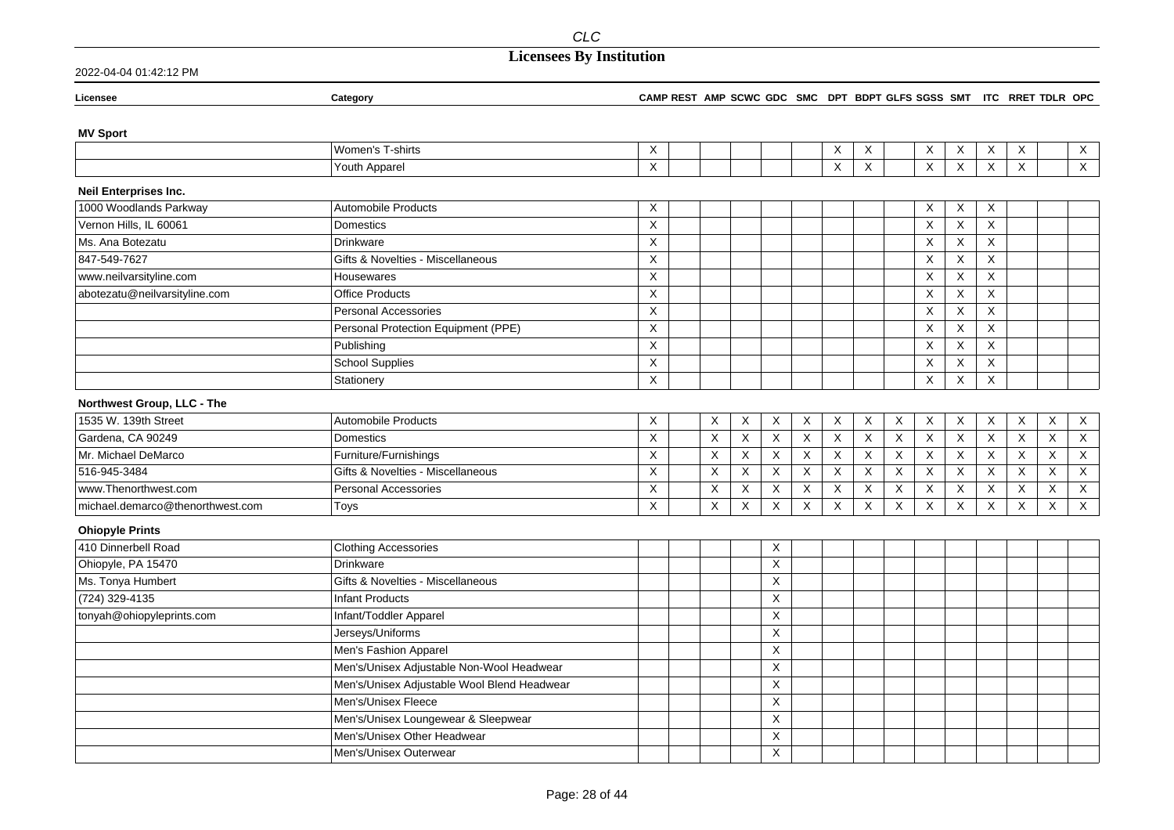## **Licensees By Institution**

| Licensee                                         | Category                                    | CAMP REST AMP SCWC GDC SMC DPT BDPT GLFS SGSS SMT ITC RRET TDLR OPC |             |             |                           |                           |              |              |                                |                           |             |                |   |                           |
|--------------------------------------------------|---------------------------------------------|---------------------------------------------------------------------|-------------|-------------|---------------------------|---------------------------|--------------|--------------|--------------------------------|---------------------------|-------------|----------------|---|---------------------------|
| <b>MV Sport</b>                                  |                                             |                                                                     |             |             |                           |                           |              |              |                                |                           |             |                |   |                           |
|                                                  | Women's T-shirts                            | X                                                                   |             |             |                           |                           | X            | X            | Χ                              | X                         | Χ           | X              |   | $\boldsymbol{\mathsf{X}}$ |
|                                                  | Youth Apparel                               | $\pmb{\times}$                                                      |             |             |                           |                           | $\times$     | $\mathsf X$  | $\times$                       | $\mathsf X$               | $\mathsf X$ | $\pmb{\times}$ |   | $\sf X$                   |
|                                                  |                                             |                                                                     |             |             |                           |                           |              |              |                                |                           |             |                |   |                           |
| Neil Enterprises Inc.                            |                                             |                                                                     |             |             |                           |                           |              |              |                                |                           |             |                |   |                           |
| 1000 Woodlands Parkway<br>Vernon Hills, IL 60061 | <b>Automobile Products</b>                  | X                                                                   |             |             |                           |                           |              |              | X                              | X                         | X           |                |   |                           |
|                                                  | Domestics                                   | X                                                                   |             |             |                           |                           |              |              | $\boldsymbol{\mathsf{X}}$      | X                         | X           |                |   |                           |
| Ms. Ana Botezatu                                 | <b>Drinkware</b>                            | $\mathsf X$                                                         |             |             |                           |                           |              |              | X                              | X                         | X           |                |   |                           |
| 847-549-7627                                     | Gifts & Novelties - Miscellaneous           | $\mathsf X$                                                         |             |             |                           |                           |              |              | X                              | X                         | $\mathsf X$ |                |   |                           |
| www.neilvarsityline.com                          | Housewares                                  | $\mathsf X$                                                         |             |             |                           |                           |              |              | X                              | $\mathsf X$               | X           |                |   |                           |
| abotezatu@neilvarsityline.com                    | <b>Office Products</b>                      | X                                                                   |             |             |                           |                           |              |              | X                              | X                         | X           |                |   |                           |
|                                                  | <b>Personal Accessories</b>                 | $\overline{X}$                                                      |             |             |                           |                           |              |              | X                              | X                         | X           |                |   |                           |
|                                                  | Personal Protection Equipment (PPE)         | X                                                                   |             |             |                           |                           |              |              | $\boldsymbol{\mathsf{X}}$      | $\boldsymbol{\mathsf{X}}$ | X           |                |   |                           |
|                                                  | Publishing                                  | X                                                                   |             |             |                           |                           |              |              | X                              | X                         | X           |                |   |                           |
|                                                  | <b>School Supplies</b>                      | X                                                                   |             |             |                           |                           |              |              | $\boldsymbol{\mathsf{X}}$      | X                         | X           |                |   |                           |
|                                                  | Stationery                                  | X                                                                   |             |             |                           |                           |              |              | X                              | X                         | X           |                |   |                           |
| Northwest Group, LLC - The                       |                                             |                                                                     |             |             |                           |                           |              |              |                                |                           |             |                |   |                           |
| 1535 W. 139th Street                             | <b>Automobile Products</b>                  | X                                                                   | X           | X           | X                         | X                         | Χ            | X            | X<br>X                         | X                         | X           | X              | X | $\boldsymbol{X}$          |
| Gardena, CA 90249                                | Domestics                                   | X                                                                   | X           | $\mathsf X$ | $\boldsymbol{\mathsf{X}}$ | $\boldsymbol{\mathsf{X}}$ | $\mathsf X$  | $\mathsf X$  | X<br>$\boldsymbol{\mathsf{X}}$ | $\mathsf X$               | X           | X              | X | $\mathsf X$               |
| Mr. Michael DeMarco                              | Furniture/Furnishings                       | $\mathsf X$                                                         | $\mathsf X$ | $\mathsf X$ | $\mathsf X$               | X                         | X            | X            | X<br>$\boldsymbol{\mathsf{X}}$ | X                         | X           | X              | X | $\mathsf X$               |
| 516-945-3484                                     | Gifts & Novelties - Miscellaneous           | X                                                                   | X           | X           | X                         | X                         | $\mathsf{X}$ | $\mathsf{X}$ | X<br>X                         | X                         | X           | X              | X | $\boldsymbol{\mathsf{X}}$ |
| www.Thenorthwest.com                             | <b>Personal Accessories</b>                 | X                                                                   | X           | X           | X                         | X                         | X            | X            | X<br>X                         | X                         | X           | X              | X | $\boldsymbol{\mathsf{X}}$ |
| michael.demarco@thenorthwest.com                 | Toys                                        | X                                                                   | X           | X           | X                         | $\boldsymbol{\mathsf{X}}$ | X            | X            | X<br>$\boldsymbol{\mathsf{X}}$ | X                         | X           | $\times$       | X | $\mathsf X$               |
| <b>Ohiopyle Prints</b>                           |                                             |                                                                     |             |             |                           |                           |              |              |                                |                           |             |                |   |                           |
| 410 Dinnerbell Road                              | <b>Clothing Accessories</b>                 |                                                                     |             |             | Χ                         |                           |              |              |                                |                           |             |                |   |                           |
| Ohiopyle, PA 15470                               | <b>Drinkware</b>                            |                                                                     |             |             | $\times$                  |                           |              |              |                                |                           |             |                |   |                           |
| Ms. Tonya Humbert                                | Gifts & Novelties - Miscellaneous           |                                                                     |             |             | X                         |                           |              |              |                                |                           |             |                |   |                           |
| (724) 329-4135                                   | <b>Infant Products</b>                      |                                                                     |             |             | X                         |                           |              |              |                                |                           |             |                |   |                           |
| tonyah@ohiopyleprints.com                        | Infant/Toddler Apparel                      |                                                                     |             |             | X                         |                           |              |              |                                |                           |             |                |   |                           |
|                                                  | Jerseys/Uniforms                            |                                                                     |             |             | X                         |                           |              |              |                                |                           |             |                |   |                           |
|                                                  | Men's Fashion Apparel                       |                                                                     |             |             | Χ                         |                           |              |              |                                |                           |             |                |   |                           |
|                                                  | Men's/Unisex Adjustable Non-Wool Headwear   |                                                                     |             |             | Χ                         |                           |              |              |                                |                           |             |                |   |                           |
|                                                  | Men's/Unisex Adjustable Wool Blend Headwear |                                                                     |             |             | Χ                         |                           |              |              |                                |                           |             |                |   |                           |
|                                                  | Men's/Unisex Fleece                         |                                                                     |             |             | X                         |                           |              |              |                                |                           |             |                |   |                           |
|                                                  | Men's/Unisex Loungewear & Sleepwear         |                                                                     |             |             | X                         |                           |              |              |                                |                           |             |                |   |                           |
|                                                  | Men's/Unisex Other Headwear                 |                                                                     |             |             | X                         |                           |              |              |                                |                           |             |                |   |                           |
|                                                  | Men's/Unisex Outerwear                      |                                                                     |             |             | $\pmb{\times}$            |                           |              |              |                                |                           |             |                |   |                           |
|                                                  |                                             |                                                                     |             |             |                           |                           |              |              |                                |                           |             |                |   |                           |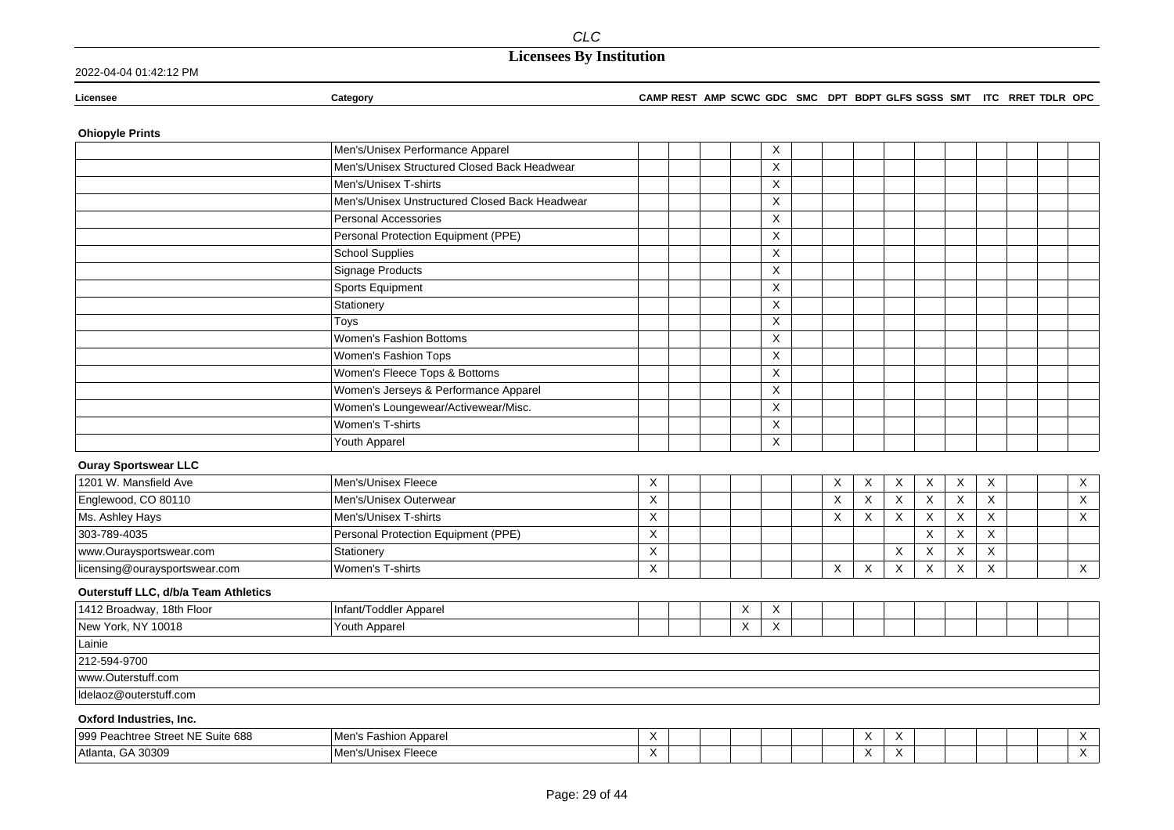#### **Licensee Category CAMP REST AMP SCWC GDC SMC DPT BDPT GLFS SGSS SMT ITC RRET TDLR OPC**

### **Ohiopyle Prints**

|                                      | Men's/Unisex Performance Apparel               |   |   | X        |          |              |                           |                           |                           |          |  |                |
|--------------------------------------|------------------------------------------------|---|---|----------|----------|--------------|---------------------------|---------------------------|---------------------------|----------|--|----------------|
|                                      | Men's/Unisex Structured Closed Back Headwear   |   |   | X        |          |              |                           |                           |                           |          |  |                |
|                                      | Men's/Unisex T-shirts                          |   |   | $\times$ |          |              |                           |                           |                           |          |  |                |
|                                      | Men's/Unisex Unstructured Closed Back Headwear |   |   | X        |          |              |                           |                           |                           |          |  |                |
|                                      | Personal Accessories                           |   |   | X        |          |              |                           |                           |                           |          |  |                |
|                                      | Personal Protection Equipment (PPE)            |   |   | X        |          |              |                           |                           |                           |          |  |                |
|                                      | <b>School Supplies</b>                         |   |   | X        |          |              |                           |                           |                           |          |  |                |
|                                      | <b>Signage Products</b>                        |   |   | X        |          |              |                           |                           |                           |          |  |                |
|                                      | Sports Equipment                               |   |   | X        |          |              |                           |                           |                           |          |  |                |
|                                      | Stationery                                     |   |   | X        |          |              |                           |                           |                           |          |  |                |
|                                      | Toys                                           |   |   | X        |          |              |                           |                           |                           |          |  |                |
|                                      | <b>Women's Fashion Bottoms</b>                 |   |   | X        |          |              |                           |                           |                           |          |  |                |
|                                      | Women's Fashion Tops                           |   |   | X        |          |              |                           |                           |                           |          |  |                |
|                                      | Women's Fleece Tops & Bottoms                  |   |   | X        |          |              |                           |                           |                           |          |  |                |
|                                      | Women's Jerseys & Performance Apparel          |   |   | X        |          |              |                           |                           |                           |          |  |                |
|                                      | Women's Loungewear/Activewear/Misc.            |   |   | X        |          |              |                           |                           |                           |          |  |                |
|                                      | Women's T-shirts                               |   |   | X        |          |              |                           |                           |                           |          |  |                |
|                                      | Youth Apparel                                  |   |   | X        |          |              |                           |                           |                           |          |  |                |
| <b>Ouray Sportswear LLC</b>          |                                                |   |   |          |          |              |                           |                           |                           |          |  |                |
| 1201 W. Mansfield Ave                | Men's/Unisex Fleece                            | Χ |   |          | X        | X            | $\boldsymbol{\mathsf{X}}$ | $\boldsymbol{\mathsf{X}}$ | Χ                         | X        |  | $\mathsf{X}$   |
| Englewood, CO 80110                  | Men's/Unisex Outerwear                         | X |   |          | X        | X            | $\boldsymbol{\mathsf{X}}$ | X                         | $\times$                  | $\times$ |  | $\overline{X}$ |
| Ms. Ashley Hays                      | Men's/Unisex T-shirts                          | X |   |          | $\times$ | X            | X                         | $\boldsymbol{\mathsf{X}}$ | $\boldsymbol{\mathsf{X}}$ | $\times$ |  | X              |
| 303-789-4035                         | Personal Protection Equipment (PPE)            | X |   |          |          |              |                           | X                         | X                         | X        |  |                |
| www.Ouraysportswear.com              | Stationery                                     | X |   |          |          |              | $\mathsf X$               | X                         | X                         | X        |  |                |
| licensing@ouraysportswear.com        | Women's T-shirts                               | X |   |          | X        | $\mathsf{X}$ | $\mathsf X$               | X                         | X                         | $\times$ |  | $\mathsf{X}$   |
| Outerstuff LLC, d/b/a Team Athletics |                                                |   |   |          |          |              |                           |                           |                           |          |  |                |
| 1412 Broadway, 18th Floor            | Infant/Toddler Apparel                         |   | X | X        |          |              |                           |                           |                           |          |  |                |
| New York, NY 10018                   | Youth Apparel                                  |   | X | X        |          |              |                           |                           |                           |          |  |                |
| Lainie                               |                                                |   |   |          |          |              |                           |                           |                           |          |  |                |
| 212-594-9700                         |                                                |   |   |          |          |              |                           |                           |                           |          |  |                |
| www.Outerstuff.com                   |                                                |   |   |          |          |              |                           |                           |                           |          |  |                |
| Idelaoz@outerstuff.com               |                                                |   |   |          |          |              |                           |                           |                           |          |  |                |
| Oxford Industries, Inc.              |                                                |   |   |          |          |              |                           |                           |                           |          |  |                |

| <b>Street NE</b><br>Suite 688<br>1999 P<br>Peachtree | Men's<br>Apparel<br>⊢ashion A⊾ | $\cdot$                             |  |  |  | . .<br>$\lambda$                | $\overline{\phantom{a}}$ |  |  |  |
|------------------------------------------------------|--------------------------------|-------------------------------------|--|--|--|---------------------------------|--------------------------|--|--|--|
| 30309<br><sup>1</sup> Atlanta,<br>$\mathbf{H}$       | Men's/Unisex<br>-leece         | $\cdot$<br>$\overline{\phantom{a}}$ |  |  |  | . .<br>$\overline{\phantom{a}}$ | $\overline{\phantom{a}}$ |  |  |  |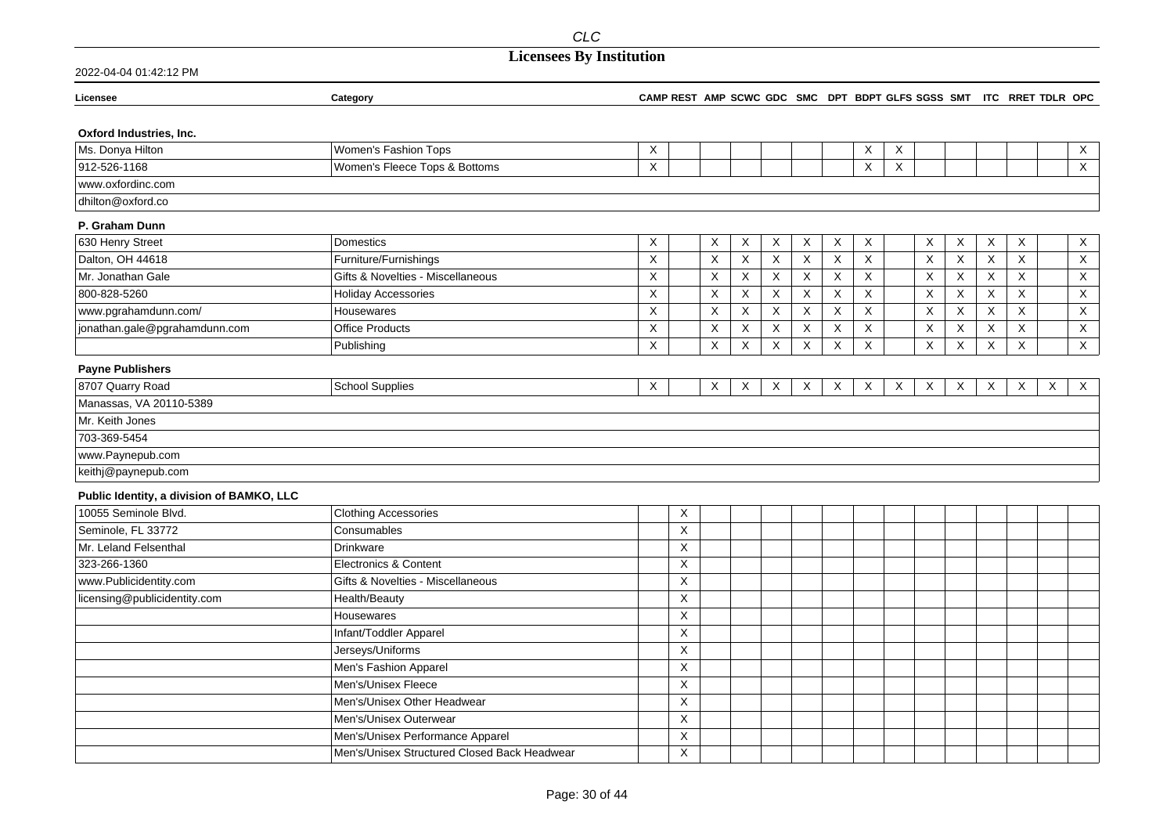2022-04-04 01:42:12 PM

| Licensee                                  | Category                                     | CAMP REST AMP SCWC GDC SMC DPT BDPT GLFS SGSS SMT ITC RRET TDLR OPC |                           |                           |                           |                           |             |              |                           |   |             |                           |   |   |                  |
|-------------------------------------------|----------------------------------------------|---------------------------------------------------------------------|---------------------------|---------------------------|---------------------------|---------------------------|-------------|--------------|---------------------------|---|-------------|---------------------------|---|---|------------------|
| Oxford Industries, Inc.                   |                                              |                                                                     |                           |                           |                           |                           |             |              |                           |   |             |                           |   |   |                  |
| Ms. Donya Hilton                          | Women's Fashion Tops                         | X                                                                   |                           |                           |                           |                           |             | X            | X                         |   |             |                           |   |   | X                |
| 912-526-1168                              | Women's Fleece Tops & Bottoms                | X                                                                   |                           |                           |                           |                           |             | X            | X                         |   |             |                           |   |   | $\overline{X}$   |
| www.oxfordinc.com                         |                                              |                                                                     |                           |                           |                           |                           |             |              |                           |   |             |                           |   |   |                  |
| dhilton@oxford.co                         |                                              |                                                                     |                           |                           |                           |                           |             |              |                           |   |             |                           |   |   |                  |
| P. Graham Dunn                            |                                              |                                                                     |                           |                           |                           |                           |             |              |                           |   |             |                           |   |   |                  |
| 630 Henry Street                          | <b>Domestics</b>                             | X                                                                   | X                         | X                         | X                         | X                         | X           | X            |                           | X | X           | X                         | X |   | $\mathsf{X}$     |
| Dalton, OH 44618                          | Furniture/Furnishings                        | $\pmb{\times}$                                                      | X                         | $\mathsf X$               | $\boldsymbol{\mathsf{X}}$ | $\mathsf X$               | $\times$    | X            |                           | X | X           | $\boldsymbol{\mathsf{X}}$ | X |   | $\mathsf X$      |
| Mr. Jonathan Gale                         | Gifts & Novelties - Miscellaneous            | $\mathsf X$                                                         | $\sf X$                   | $\mathsf X$               | $\boldsymbol{\mathsf{X}}$ | X                         | X           | X            |                           | X | X           | $\mathsf X$               | X |   | X                |
| 800-828-5260                              | <b>Holiday Accessories</b>                   | $\mathsf X$                                                         | $\pmb{\mathsf{X}}$        | $\boldsymbol{\mathsf{X}}$ | $\boldsymbol{\mathsf{X}}$ | $\mathsf X$               | $\sf X$     | $\mathsf X$  |                           | Χ | $\mathsf X$ | Χ                         | X |   | $\mathsf X$      |
| www.pgrahamdunn.com/                      | Housewares                                   | X                                                                   | $\boldsymbol{\mathsf{X}}$ | $\mathsf X$               | $\boldsymbol{\mathsf{X}}$ | $\mathsf X$               | $\mathsf X$ | $\mathsf X$  |                           | X | $\sf X$     | $\overline{\mathsf{x}}$   | X |   | $\mathsf X$      |
| jonathan.gale@pgrahamdunn.com             | <b>Office Products</b>                       | X                                                                   | $\boldsymbol{\mathsf{X}}$ | $\boldsymbol{\mathsf{X}}$ | $\boldsymbol{\mathsf{X}}$ | $\boldsymbol{\mathsf{X}}$ | X           | X            |                           | X | X           | X                         | X |   | $\overline{X}$   |
|                                           | Publishing                                   | X                                                                   | X                         | $\mathsf X$               | $\mathsf X$               | X                         | X           | X            |                           | X | X           | $\mathsf X$               | X |   | $\mathsf X$      |
| <b>Payne Publishers</b>                   |                                              |                                                                     |                           |                           |                           |                           |             |              |                           |   |             |                           |   |   |                  |
| 8707 Quarry Road                          | <b>School Supplies</b>                       | X                                                                   | X                         | Χ                         | X                         | X                         | X           | $\mathsf{X}$ | $\boldsymbol{\mathsf{X}}$ | Χ | X           | X                         | X | X | $\boldsymbol{X}$ |
| Manassas, VA 20110-5389                   |                                              |                                                                     |                           |                           |                           |                           |             |              |                           |   |             |                           |   |   |                  |
| Mr. Keith Jones                           |                                              |                                                                     |                           |                           |                           |                           |             |              |                           |   |             |                           |   |   |                  |
| 703-369-5454                              |                                              |                                                                     |                           |                           |                           |                           |             |              |                           |   |             |                           |   |   |                  |
| www.Paynepub.com                          |                                              |                                                                     |                           |                           |                           |                           |             |              |                           |   |             |                           |   |   |                  |
| keithj@paynepub.com                       |                                              |                                                                     |                           |                           |                           |                           |             |              |                           |   |             |                           |   |   |                  |
| Public Identity, a division of BAMKO, LLC |                                              |                                                                     |                           |                           |                           |                           |             |              |                           |   |             |                           |   |   |                  |
| 10055 Seminole Blvd.                      | <b>Clothing Accessories</b>                  | X                                                                   |                           |                           |                           |                           |             |              |                           |   |             |                           |   |   |                  |
| Seminole, FL 33772                        | Consumables                                  | $\mathsf X$                                                         |                           |                           |                           |                           |             |              |                           |   |             |                           |   |   |                  |
| Mr. Leland Felsenthal                     | Drinkware                                    | $\boldsymbol{\mathsf{X}}$                                           |                           |                           |                           |                           |             |              |                           |   |             |                           |   |   |                  |
| 323-266-1360                              | Electronics & Content                        | $\boldsymbol{\mathsf{X}}$                                           |                           |                           |                           |                           |             |              |                           |   |             |                           |   |   |                  |
| www.Publicidentity.com                    | Gifts & Novelties - Miscellaneous            | X                                                                   |                           |                           |                           |                           |             |              |                           |   |             |                           |   |   |                  |
| licensing@publicidentity.com              | Health/Beauty                                | $\boldsymbol{\mathsf{X}}$                                           |                           |                           |                           |                           |             |              |                           |   |             |                           |   |   |                  |
|                                           | Housewares                                   | $\overline{X}$                                                      |                           |                           |                           |                           |             |              |                           |   |             |                           |   |   |                  |
|                                           | Infant/Toddler Apparel                       | $\boldsymbol{\mathsf{X}}$                                           |                           |                           |                           |                           |             |              |                           |   |             |                           |   |   |                  |
|                                           | Jerseys/Uniforms                             | $\boldsymbol{\mathsf{X}}$                                           |                           |                           |                           |                           |             |              |                           |   |             |                           |   |   |                  |
|                                           | Men's Fashion Apparel                        | $\boldsymbol{\mathsf{X}}$                                           |                           |                           |                           |                           |             |              |                           |   |             |                           |   |   |                  |
|                                           | Men's/Unisex Fleece                          | $\boldsymbol{\mathsf{X}}$                                           |                           |                           |                           |                           |             |              |                           |   |             |                           |   |   |                  |
|                                           | Men's/Unisex Other Headwear                  | $\boldsymbol{\mathsf{X}}$                                           |                           |                           |                           |                           |             |              |                           |   |             |                           |   |   |                  |
|                                           | Men's/Unisex Outerwear                       | X                                                                   |                           |                           |                           |                           |             |              |                           |   |             |                           |   |   |                  |
|                                           | Men's/Unisex Performance Apparel             | X                                                                   |                           |                           |                           |                           |             |              |                           |   |             |                           |   |   |                  |
|                                           | Men's/Unisex Structured Closed Back Headwear | $\boldsymbol{\mathsf{X}}$                                           |                           |                           |                           |                           |             |              |                           |   |             |                           |   |   |                  |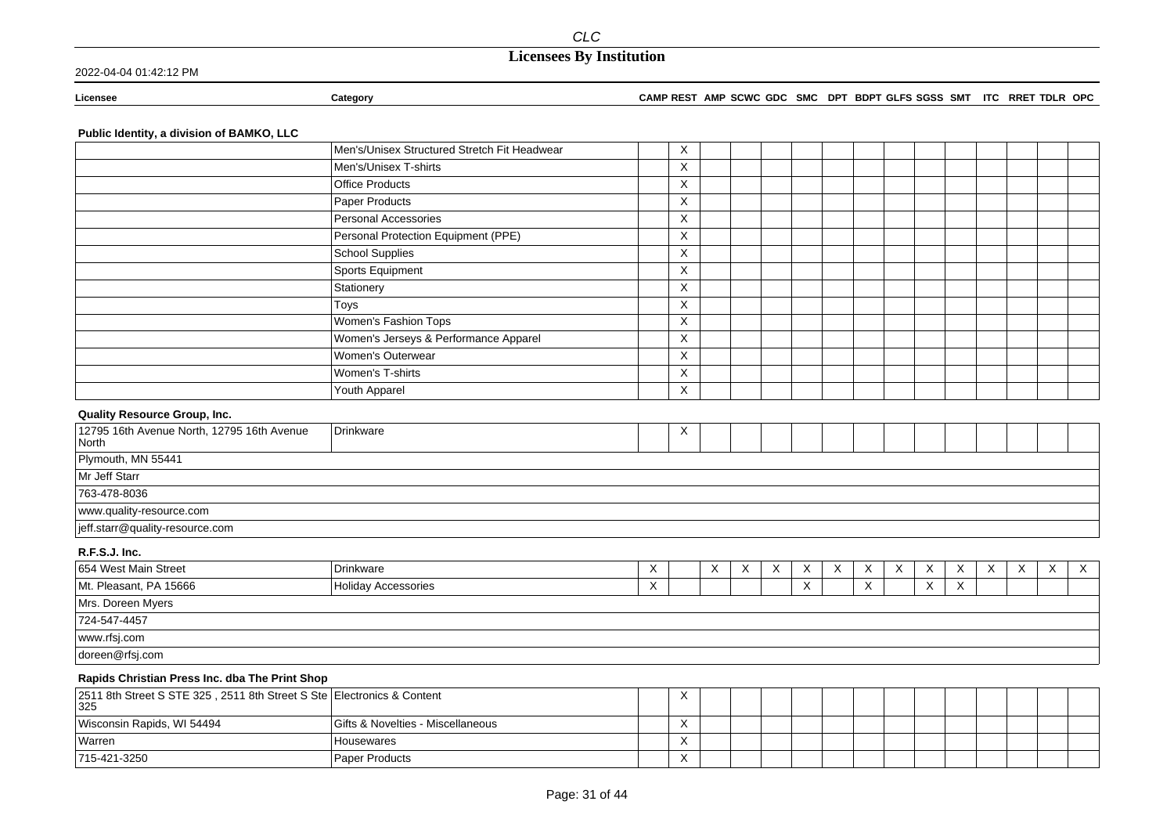#### **Licensee Category CAMP REST AMP SCWC GDC SMC DPT BDPT GLFS SGSS SMT ITC RRET TDLR OPC**

### **Public Identity, a division of BAMKO, LLC**

|                                                     | Men's/Unisex Structured Stretch Fit Headwear | Χ        |  |  |  |  |  |
|-----------------------------------------------------|----------------------------------------------|----------|--|--|--|--|--|
|                                                     | Men's/Unisex T-shirts                        | X        |  |  |  |  |  |
|                                                     | <b>Office Products</b>                       | X        |  |  |  |  |  |
|                                                     | Paper Products                               | X        |  |  |  |  |  |
|                                                     | Personal Accessories                         | X        |  |  |  |  |  |
|                                                     | Personal Protection Equipment (PPE)          | X        |  |  |  |  |  |
|                                                     | <b>School Supplies</b>                       | X        |  |  |  |  |  |
|                                                     | Sports Equipment                             | Χ        |  |  |  |  |  |
|                                                     | Stationery                                   | $\times$ |  |  |  |  |  |
|                                                     | Toys                                         | X        |  |  |  |  |  |
|                                                     | Women's Fashion Tops                         | X        |  |  |  |  |  |
|                                                     | Women's Jerseys & Performance Apparel        | X        |  |  |  |  |  |
|                                                     | Women's Outerwear                            | X        |  |  |  |  |  |
|                                                     | Women's T-shirts                             | X        |  |  |  |  |  |
|                                                     | Youth Apparel                                | X        |  |  |  |  |  |
| <b>Quality Resource Group, Inc.</b>                 |                                              |          |  |  |  |  |  |
| 12795 16th Avenue North, 12795 16th Avenue<br>North | Drinkware                                    | X        |  |  |  |  |  |
| Plymouth, MN 55441                                  |                                              |          |  |  |  |  |  |
| .                                                   |                                              |          |  |  |  |  |  |

Mr Jeff Starr

763-478-8036

www.quality-resource.com

jeff.starr@quality-resource.com

**R.F.S.J. Inc.**

| 654 West Main Street   | Drinkware                  | $\lambda$ | $\lambda$<br>⌒ | $\lambda$ | $\lambda$ |  | $\sqrt{}$ | X | $\checkmark$<br>$\lambda$ | $\checkmark$ | $\checkmark$<br>$\sim$ | X |  |
|------------------------|----------------------------|-----------|----------------|-----------|-----------|--|-----------|---|---------------------------|--------------|------------------------|---|--|
| Mt. Pleasant, PA 15666 | <b>Holiday Accessories</b> | $\lambda$ |                |           |           |  |           | X | $\sqrt{}$<br>$\lambda$    |              |                        |   |  |
| Mrs. Doreen Myers      |                            |           |                |           |           |  |           |   |                           |              |                        |   |  |
| 724-547-4457           |                            |           |                |           |           |  |           |   |                           |              |                        |   |  |
| www.rfsj.com           |                            |           |                |           |           |  |           |   |                           |              |                        |   |  |
| doreen@rfsj.com        |                            |           |                |           |           |  |           |   |                           |              |                        |   |  |

#### **Rapids Christian Press Inc. dba The Print Shop**

| 2511 8th Street S STE 325, 2511 8th Street S Ste Electronics & Content<br>$ 325$ |                                   | $\lambda$               |  |  |  |  |  |  |
|----------------------------------------------------------------------------------|-----------------------------------|-------------------------|--|--|--|--|--|--|
| Wisconsin Rapids, WI 54494                                                       | Gifts & Novelties - Miscellaneous | $\cdot$<br>$\sqrt{ }$   |  |  |  |  |  |  |
| Warren                                                                           | Housewares                        | $\cdot$<br>$\lambda$    |  |  |  |  |  |  |
| 715-421-3250                                                                     | <b>Paper Products</b>             | $\lambda$<br>$\sqrt{ }$ |  |  |  |  |  |  |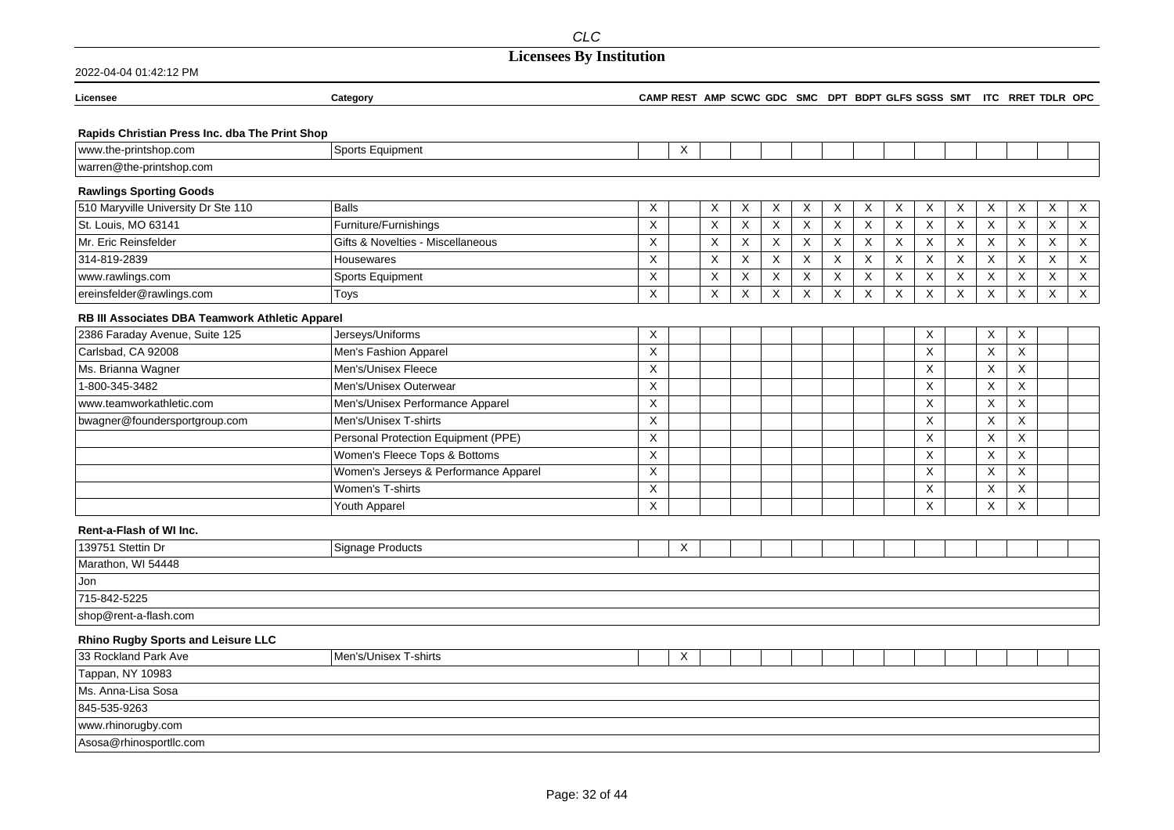## **Licensees By Institution**

| 2022-04-04 01:42:12 PM                          |                                       |             |   |             |             |             |   |              |                           |                           |             |             |         |                                                                     |         |                           |
|-------------------------------------------------|---------------------------------------|-------------|---|-------------|-------------|-------------|---|--------------|---------------------------|---------------------------|-------------|-------------|---------|---------------------------------------------------------------------|---------|---------------------------|
| Licensee                                        | Category                              |             |   |             |             |             |   |              |                           |                           |             |             |         | CAMP REST AMP SCWC GDC SMC DPT BDPT GLFS SGSS SMT ITC RRET TDLR OPC |         |                           |
| Rapids Christian Press Inc. dba The Print Shop  |                                       |             |   |             |             |             |   |              |                           |                           |             |             |         |                                                                     |         |                           |
| www.the-printshop.com                           | Sports Equipment                      |             | X |             |             |             |   |              |                           |                           |             |             |         |                                                                     |         |                           |
| warren@the-printshop.com                        |                                       |             |   |             |             |             |   |              |                           |                           |             |             |         |                                                                     |         |                           |
| <b>Rawlings Sporting Goods</b>                  |                                       |             |   |             |             |             |   |              |                           |                           |             |             |         |                                                                     |         |                           |
| 510 Maryville University Dr Ste 110             | <b>Balls</b>                          | X           |   | X           | X           | X           | X | X            | X                         | X                         | X           | X           | X       | X                                                                   | X       | $\times$                  |
| St. Louis, MO 63141                             | Furniture/Furnishings                 | X           |   | X           | $\sf X$     | X           | X | $\mathsf{X}$ | $\boldsymbol{\mathsf{X}}$ | $\boldsymbol{\mathsf{X}}$ | $\mathsf X$ | X           | X       | X                                                                   | X       | $\boldsymbol{\mathsf{X}}$ |
| Mr. Eric Reinsfelder                            | Gifts & Novelties - Miscellaneous     | X           |   | X           | X           | X           | X | X            | $\boldsymbol{\mathsf{X}}$ | $\boldsymbol{\mathsf{X}}$ | $\mathsf X$ | $\mathsf X$ | X       | X                                                                   | X       | $\mathsf X$               |
| 314-819-2839                                    | Housewares                            | X           |   | X           | X           | $\times$    | X | X            | $\boldsymbol{\mathsf{X}}$ | X                         | X           | X           | X       | X                                                                   | X       | X                         |
| www.rawlings.com                                | Sports Equipment                      | X           |   | X           | X           | $\mathsf X$ | X | X            | X                         | $\boldsymbol{\mathsf{X}}$ | X           | X           | X       | X                                                                   | X       | X                         |
| ereinsfelder@rawlings.com                       | Toys                                  | $\mathsf X$ |   | $\mathsf X$ | $\mathsf X$ | $\mathsf X$ | X | X            | $\boldsymbol{\mathsf{X}}$ | $\mathsf X$               | $\mathsf X$ | $\mathsf X$ | $\sf X$ | $\mathsf X$                                                         | $\sf X$ | $\mathsf X$               |
| RB III Associates DBA Teamwork Athletic Apparel |                                       |             |   |             |             |             |   |              |                           |                           |             |             |         |                                                                     |         |                           |
| 2386 Faraday Avenue, Suite 125                  | Jerseys/Uniforms                      | $\mathsf X$ |   |             |             |             |   |              |                           |                           | Χ           |             | X       | X                                                                   |         |                           |
| Carlsbad, CA 92008                              | Men's Fashion Apparel                 | X           |   |             |             |             |   |              |                           |                           | X           |             | X       | X                                                                   |         |                           |
| Ms. Brianna Wagner                              | Men's/Unisex Fleece                   | X           |   |             |             |             |   |              |                           |                           | X           |             | X       | X                                                                   |         |                           |
| 1-800-345-3482                                  | Men's/Unisex Outerwear                | X           |   |             |             |             |   |              |                           |                           | X           |             | X       | X                                                                   |         |                           |
| www.teamworkathletic.com                        | Men's/Unisex Performance Apparel      | X           |   |             |             |             |   |              |                           |                           | X           |             | X       | X                                                                   |         |                           |
| bwagner@foundersportgroup.com                   | Men's/Unisex T-shirts                 | X           |   |             |             |             |   |              |                           |                           | X           |             | X       | X                                                                   |         |                           |
|                                                 | Personal Protection Equipment (PPE)   | X           |   |             |             |             |   |              |                           |                           | X           |             | X       | X                                                                   |         |                           |
|                                                 | Women's Fleece Tops & Bottoms         | $\sf X$     |   |             |             |             |   |              |                           |                           | $\mathsf X$ |             | X       | $\mathsf X$                                                         |         |                           |
|                                                 | Women's Jerseys & Performance Apparel | X           |   |             |             |             |   |              |                           |                           | X           |             | X       | X                                                                   |         |                           |
|                                                 | Women's T-shirts                      | X           |   |             |             |             |   |              |                           |                           | X           |             | X       | Χ                                                                   |         |                           |
|                                                 | Youth Apparel                         | X           |   |             |             |             |   |              |                           |                           | X           |             | X       | X                                                                   |         |                           |
| Rent-a-Flash of WI Inc.                         |                                       |             |   |             |             |             |   |              |                           |                           |             |             |         |                                                                     |         |                           |
| 139751 Stettin Dr                               | Signage Products                      |             | Χ |             |             |             |   |              |                           |                           |             |             |         |                                                                     |         |                           |
| Marathon, WI 54448                              |                                       |             |   |             |             |             |   |              |                           |                           |             |             |         |                                                                     |         |                           |
| Jon                                             |                                       |             |   |             |             |             |   |              |                           |                           |             |             |         |                                                                     |         |                           |
| 715-842-5225                                    |                                       |             |   |             |             |             |   |              |                           |                           |             |             |         |                                                                     |         |                           |
| shop@rent-a-flash.com                           |                                       |             |   |             |             |             |   |              |                           |                           |             |             |         |                                                                     |         |                           |
| <b>Rhino Rugby Sports and Leisure LLC</b>       |                                       |             |   |             |             |             |   |              |                           |                           |             |             |         |                                                                     |         |                           |
| 33 Rockland Park Ave                            | Men's/Unisex T-shirts                 |             | X |             |             |             |   |              |                           |                           |             |             |         |                                                                     |         |                           |
| Tappan, NY 10983                                |                                       |             |   |             |             |             |   |              |                           |                           |             |             |         |                                                                     |         |                           |
| Ms. Anna-Lisa Sosa                              |                                       |             |   |             |             |             |   |              |                           |                           |             |             |         |                                                                     |         |                           |
| 845-535-9263                                    |                                       |             |   |             |             |             |   |              |                           |                           |             |             |         |                                                                     |         |                           |
| www.rhinorugby.com                              |                                       |             |   |             |             |             |   |              |                           |                           |             |             |         |                                                                     |         |                           |

Asosa@rhinosportllc.com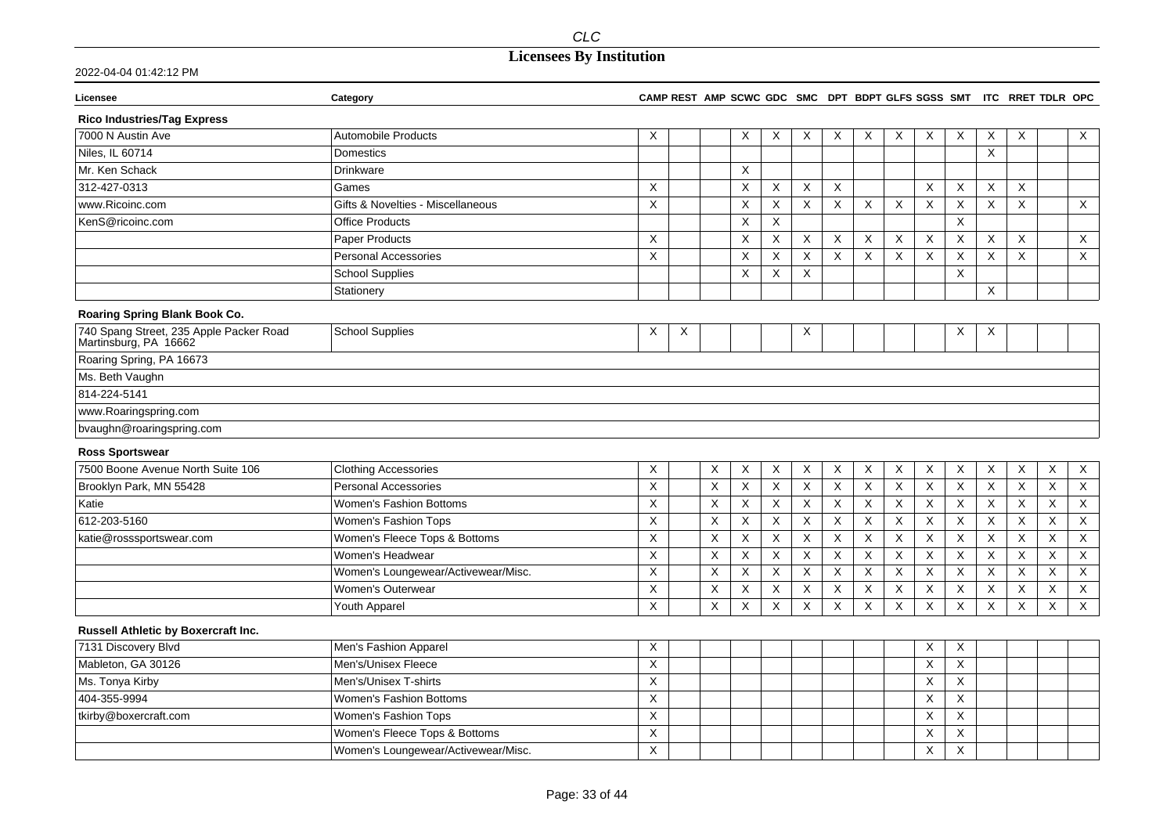| Licensee                                                         | Category                            |             |   |             |             |   |             |          |                |                           |                           |          |                           | CAMP REST AMP SCWC GDC SMC DPT BDPT GLFS SGSS SMT ITC RRET TDLR OPC |             |                |
|------------------------------------------------------------------|-------------------------------------|-------------|---|-------------|-------------|---|-------------|----------|----------------|---------------------------|---------------------------|----------|---------------------------|---------------------------------------------------------------------|-------------|----------------|
| <b>Rico Industries/Tag Express</b>                               |                                     |             |   |             |             |   |             |          |                |                           |                           |          |                           |                                                                     |             |                |
| 7000 N Austin Ave                                                | <b>Automobile Products</b>          | Χ           |   |             | X           | X | X           | X        | Χ              | Χ                         | Χ                         | X        | X                         | X                                                                   |             | X              |
| Niles, IL 60714                                                  | Domestics                           |             |   |             |             |   |             |          |                |                           |                           |          | $\boldsymbol{\mathsf{X}}$ |                                                                     |             |                |
| Mr. Ken Schack                                                   | Drinkware                           |             |   |             | X           |   |             |          |                |                           |                           |          |                           |                                                                     |             |                |
| 312-427-0313                                                     | Games                               | $\times$    |   |             | X           | X | X           | Χ        |                |                           | $\times$                  | X        | $\times$                  | X                                                                   |             |                |
| www.Ricoinc.com                                                  | Gifts & Novelties - Miscellaneous   | $\mathsf X$ |   |             | X           | X | X           | X        | $\pmb{\times}$ | $\boldsymbol{\mathsf{X}}$ | $\boldsymbol{\mathsf{X}}$ | X        | $\boldsymbol{\mathsf{X}}$ | X                                                                   |             | $\mathsf X$    |
| KenS@ricoinc.com                                                 | <b>Office Products</b>              |             |   |             | X           | X |             |          |                |                           |                           | X        |                           |                                                                     |             |                |
|                                                                  | <b>Paper Products</b>               | $\times$    |   |             | X           | X | X           | $\times$ | X              | $\times$                  | $\boldsymbol{\mathsf{X}}$ | X        | $\times$                  | $\times$                                                            |             | $\mathsf{X}$   |
|                                                                  | <b>Personal Accessories</b>         | X           |   |             | X           | X | X           | X        | $\pmb{\times}$ | $\pmb{\times}$            | $\boldsymbol{\mathsf{X}}$ | $\times$ | $\boldsymbol{\mathsf{X}}$ | $\boldsymbol{\mathsf{X}}$                                           |             | X              |
|                                                                  | <b>School Supplies</b>              |             |   |             | X           | Χ | X           |          |                |                           |                           | $\times$ |                           |                                                                     |             |                |
|                                                                  | Stationery                          |             |   |             |             |   |             |          |                |                           |                           |          | $\boldsymbol{\mathsf{X}}$ |                                                                     |             |                |
| Roaring Spring Blank Book Co.                                    |                                     |             |   |             |             |   |             |          |                |                           |                           |          |                           |                                                                     |             |                |
| 740 Spang Street, 235 Apple Packer Road<br>Martinsburg, PA 16662 | <b>School Supplies</b>              | Χ           | X |             |             |   | Χ           |          |                |                           |                           | Χ        | Х                         |                                                                     |             |                |
| Roaring Spring, PA 16673                                         |                                     |             |   |             |             |   |             |          |                |                           |                           |          |                           |                                                                     |             |                |
| Ms. Beth Vaughn                                                  |                                     |             |   |             |             |   |             |          |                |                           |                           |          |                           |                                                                     |             |                |
| 814-224-5141                                                     |                                     |             |   |             |             |   |             |          |                |                           |                           |          |                           |                                                                     |             |                |
| www.Roaringspring.com                                            |                                     |             |   |             |             |   |             |          |                |                           |                           |          |                           |                                                                     |             |                |
| bvaughn@roaringspring.com                                        |                                     |             |   |             |             |   |             |          |                |                           |                           |          |                           |                                                                     |             |                |
| <b>Ross Sportswear</b>                                           |                                     |             |   |             |             |   |             |          |                |                           |                           |          |                           |                                                                     |             |                |
| 7500 Boone Avenue North Suite 106                                | <b>Clothing Accessories</b>         | Χ           |   | X           | X           | Χ | X           | X        | X              | X                         | Χ                         | X        | X                         | X                                                                   | X           | $\mathsf{X}$   |
| Brooklyn Park, MN 55428                                          | <b>Personal Accessories</b>         | X           |   | $\times$    | X           | X | X           | X        | $\mathsf{X}$   | $\mathsf{X}$              | $\boldsymbol{\mathsf{X}}$ | $\times$ | $\boldsymbol{\mathsf{X}}$ | X                                                                   | X           | $\mathsf{X}$   |
| Katie                                                            | Women's Fashion Bottoms             | X           |   | X           | X           | X | X           | X        | X              | X                         | X                         | X        | $\boldsymbol{\mathsf{X}}$ | X                                                                   | X           | $\mathsf X$    |
| 612-203-5160                                                     | Women's Fashion Tops                | X           |   | Χ           | X           | Χ | Χ           | X        | $\times$       | X                         | X                         | $\times$ | Χ                         | X                                                                   | Χ           | $\mathsf X$    |
| katie@rosssportswear.com                                         | Women's Fleece Tops & Bottoms       | X           |   | X           | X           | X | X           | Χ        | X              | X                         | X                         | X        | X                         | $\times$                                                            | X           | $\mathsf X$    |
|                                                                  | Women's Headwear                    | X           |   | X           | X           | X | X           | X        | X              | X                         | $\boldsymbol{\mathsf{X}}$ | X        | $\boldsymbol{\mathsf{X}}$ | $\boldsymbol{\mathsf{X}}$                                           | X           | $\mathsf X$    |
|                                                                  | Women's Loungewear/Activewear/Misc. | X           |   | X           | X           | X | X           | $\times$ | $\pmb{\times}$ | X                         | $\boldsymbol{\mathsf{X}}$ | X        | $\boldsymbol{\mathsf{X}}$ | X                                                                   | X           | $\mathsf X$    |
|                                                                  | Women's Outerwear                   | X           |   | $\mathsf X$ | $\mathsf X$ | Χ | $\mathsf X$ | Χ        | $\mathsf X$    | $\mathsf X$               | $\boldsymbol{\mathsf{X}}$ | X        | $\boldsymbol{\mathsf{X}}$ | $\boldsymbol{\mathsf{X}}$                                           | $\mathsf X$ | $\mathsf X$    |
|                                                                  | Youth Apparel                       | X           |   | X           | X           | X | X           | X        | X              | $\pmb{\times}$            | $\boldsymbol{\mathsf{X}}$ | X        | $\boldsymbol{\mathsf{X}}$ | $\boldsymbol{\mathsf{X}}$                                           | X           | $\overline{X}$ |
| Russell Athletic by Boxercraft Inc.                              |                                     |             |   |             |             |   |             |          |                |                           |                           |          |                           |                                                                     |             |                |
| 7131 Discovery Blvd                                              | Men's Fashion Apparel               | X           |   |             |             |   |             |          |                |                           | Χ                         | X        |                           |                                                                     |             |                |
| Mableton, GA 30126                                               | Men's/Unisex Fleece                 | $\mathsf X$ |   |             |             |   |             |          |                |                           | $\boldsymbol{\mathsf{X}}$ | X        |                           |                                                                     |             |                |
| Ms. Tonya Kirby                                                  | Men's/Unisex T-shirts               | X           |   |             |             |   |             |          |                |                           | X                         | X        |                           |                                                                     |             |                |
| 404-355-9994                                                     | Women's Fashion Bottoms             | X           |   |             |             |   |             |          |                |                           | X                         | X        |                           |                                                                     |             |                |
| tkirby@boxercraft.com                                            | Women's Fashion Tops                | X           |   |             |             |   |             |          |                |                           | X                         | X        |                           |                                                                     |             |                |
|                                                                  | Women's Fleece Tops & Bottoms       | Χ           |   |             |             |   |             |          |                |                           | X                         | X        |                           |                                                                     |             |                |
|                                                                  | Women's Loungewear/Activewear/Misc. | $\mathsf X$ |   |             |             |   |             |          |                |                           | $\boldsymbol{\mathsf{X}}$ | $\sf X$  |                           |                                                                     |             |                |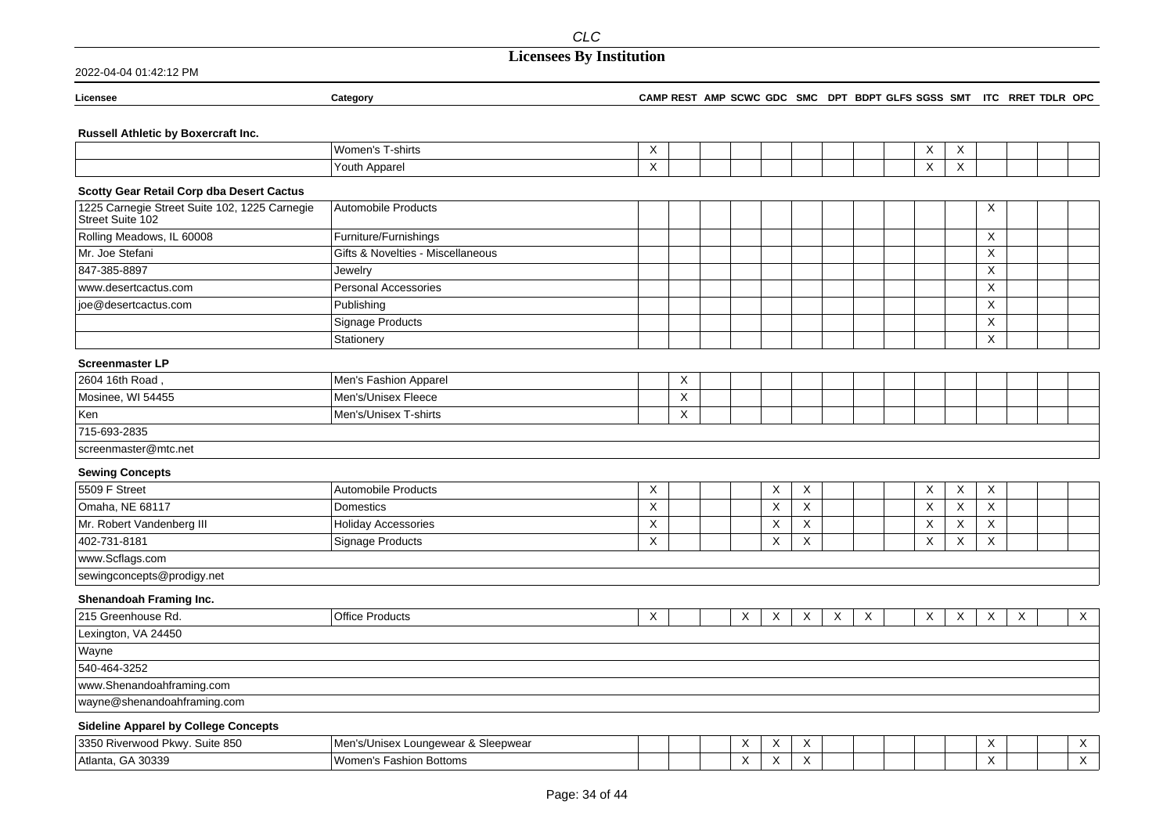## **Licensees By Institution**

| <b>icensee</b> |  |  |
|----------------|--|--|

#### **Licensee Category CAMP REST AMP SCWC GDC SMC DPT BDPT GLFS SGSS SMT ITC RRET TDLR OPC**

### **Russell Athletic by Boxercraft Inc.**

|                                                                   | Women's T-shirts                    | X |   |   |   |   |   |   | X | X       |   |   |             |
|-------------------------------------------------------------------|-------------------------------------|---|---|---|---|---|---|---|---|---------|---|---|-------------|
|                                                                   | Youth Apparel                       | X |   |   |   |   |   |   | X | X       |   |   |             |
| <b>Scotty Gear Retail Corp dba Desert Cactus</b>                  |                                     |   |   |   |   |   |   |   |   |         |   |   |             |
| 1225 Carnegie Street Suite 102, 1225 Carnegie<br>Street Suite 102 | Automobile Products                 |   |   |   |   |   |   |   |   |         | Χ |   |             |
| Rolling Meadows, IL 60008                                         | Furniture/Furnishings               |   |   |   |   |   |   |   |   |         | X |   |             |
| Mr. Joe Stefani                                                   | Gifts & Novelties - Miscellaneous   |   |   |   |   |   |   |   |   |         | X |   |             |
| 847-385-8897                                                      | Jewelry                             |   |   |   |   |   |   |   |   |         | X |   |             |
| www.desertcactus.com                                              | Personal Accessories                |   |   |   |   |   |   |   |   |         | X |   |             |
| joe@desertcactus.com                                              | Publishing                          |   |   |   |   |   |   |   |   |         | X |   |             |
|                                                                   | Signage Products                    |   |   |   |   |   |   |   |   |         | X |   |             |
|                                                                   | Stationery                          |   |   |   |   |   |   |   |   |         | X |   |             |
| <b>Screenmaster LP</b>                                            |                                     |   |   |   |   |   |   |   |   |         |   |   |             |
| 2604 16th Road                                                    | Men's Fashion Apparel               |   | Χ |   |   |   |   |   |   |         |   |   |             |
| Mosinee, WI 54455                                                 | Men's/Unisex Fleece                 |   | X |   |   |   |   |   |   |         |   |   |             |
| Ken                                                               | Men's/Unisex T-shirts               |   | X |   |   |   |   |   |   |         |   |   |             |
| 715-693-2835                                                      |                                     |   |   |   |   |   |   |   |   |         |   |   |             |
| screenmaster@mtc.net                                              |                                     |   |   |   |   |   |   |   |   |         |   |   |             |
| <b>Sewing Concepts</b>                                            |                                     |   |   |   |   |   |   |   |   |         |   |   |             |
| 5509 F Street                                                     | Automobile Products                 | X |   |   | X | Χ |   |   | X | X       | X |   |             |
| Omaha, NE 68117                                                   | <b>Domestics</b>                    | Χ |   |   | X | X |   |   | X | $\sf X$ | X |   |             |
| Mr. Robert Vandenberg III                                         | <b>Holiday Accessories</b>          | X |   |   | X | X |   |   | X | X       | X |   |             |
| 402-731-8181                                                      | <b>Signage Products</b>             | X |   |   | X | X |   |   | X | X       | X |   |             |
| www.Scflags.com                                                   |                                     |   |   |   |   |   |   |   |   |         |   |   |             |
| sewingconcepts@prodigy.net                                        |                                     |   |   |   |   |   |   |   |   |         |   |   |             |
| Shenandoah Framing Inc.                                           |                                     |   |   |   |   |   |   |   |   |         |   |   |             |
| 215 Greenhouse Rd.                                                | <b>Office Products</b>              | X |   | X | X | Χ | X | X | X | X       | X | X | $\mathsf X$ |
| Lexington, VA 24450                                               |                                     |   |   |   |   |   |   |   |   |         |   |   |             |
| Wayne                                                             |                                     |   |   |   |   |   |   |   |   |         |   |   |             |
| 540-464-3252                                                      |                                     |   |   |   |   |   |   |   |   |         |   |   |             |
| www.Shenandoahframing.com                                         |                                     |   |   |   |   |   |   |   |   |         |   |   |             |
| wayne@shenandoahframing.com                                       |                                     |   |   |   |   |   |   |   |   |         |   |   |             |
| <b>Sideline Apparel by College Concepts</b>                       |                                     |   |   |   |   |   |   |   |   |         |   |   |             |
| 3350 Riverwood Pkwy. Suite 850                                    | Men's/Unisex Loungewear & Sleepwear |   |   | Х | Х | Χ |   |   |   |         | X |   | X           |
| Atlanta, GA 30339                                                 | Women's Fashion Bottoms             |   |   | X | X | X |   |   |   |         | X |   | X           |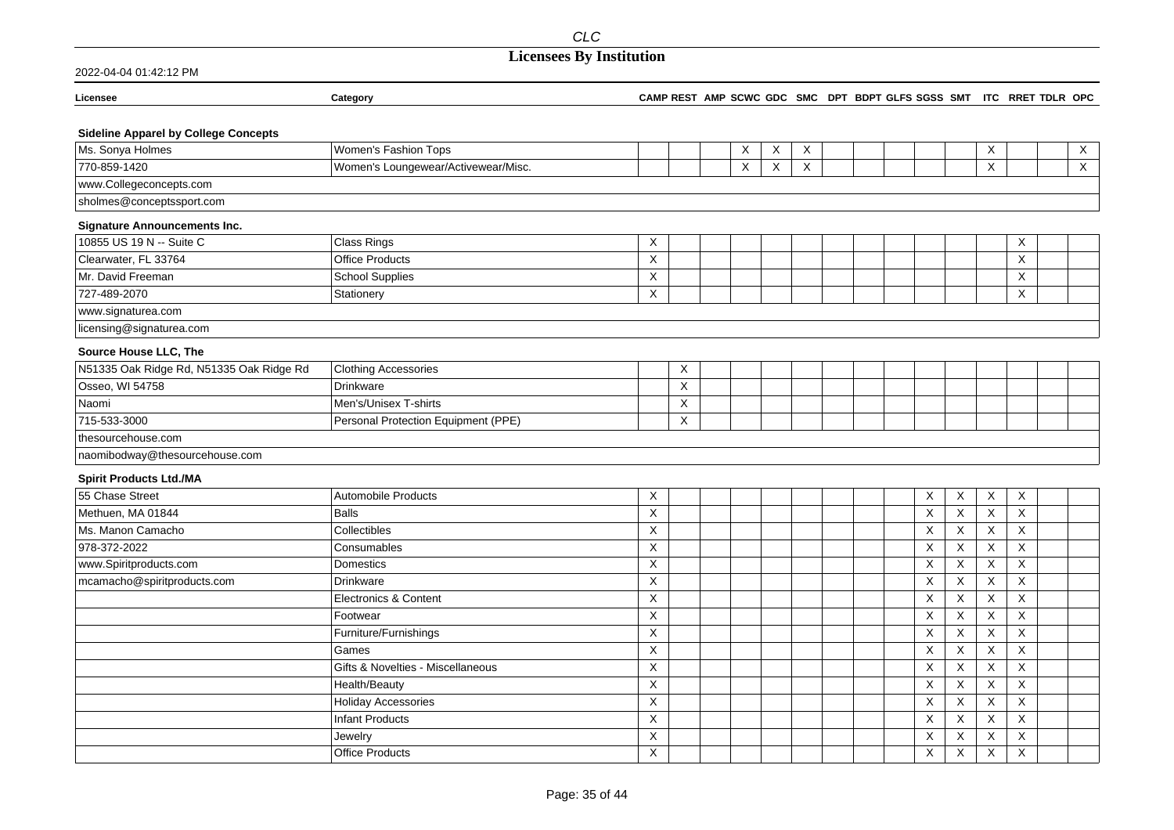| 2022-04-04 01:42:12 PM                      |                                     |                                                                     |   |        |  |                         |                |                           |                           |                           |
|---------------------------------------------|-------------------------------------|---------------------------------------------------------------------|---|--------|--|-------------------------|----------------|---------------------------|---------------------------|---------------------------|
| Licensee                                    | Category                            | CAMP REST AMP SCWC GDC SMC DPT BDPT GLFS SGSS SMT ITC RRET TDLR OPC |   |        |  |                         |                |                           |                           |                           |
| <b>Sideline Apparel by College Concepts</b> |                                     |                                                                     |   |        |  |                         |                |                           |                           |                           |
| Ms. Sonya Holmes                            | Women's Fashion Tops                |                                                                     | X | X<br>X |  |                         |                | X                         |                           | X                         |
| 770-859-1420                                | Women's Loungewear/Activewear/Misc. |                                                                     | X | X<br>X |  |                         |                | X                         |                           | $\boldsymbol{\mathsf{X}}$ |
| www.Collegeconcepts.com                     |                                     |                                                                     |   |        |  |                         |                |                           |                           |                           |
| sholmes@conceptssport.com                   |                                     |                                                                     |   |        |  |                         |                |                           |                           |                           |
| <b>Signature Announcements Inc.</b>         |                                     |                                                                     |   |        |  |                         |                |                           |                           |                           |
| 10855 US 19 N -- Suite C                    | <b>Class Rings</b>                  | X                                                                   |   |        |  |                         |                |                           | $\times$                  |                           |
| Clearwater, FL 33764                        | <b>Office Products</b>              | X                                                                   |   |        |  |                         |                |                           | $\times$                  |                           |
| Mr. David Freeman                           | <b>School Supplies</b>              | X                                                                   |   |        |  |                         |                |                           | X                         |                           |
| 727-489-2070                                | Stationery                          | X                                                                   |   |        |  |                         |                |                           | $\times$                  |                           |
| www.signaturea.com                          |                                     |                                                                     |   |        |  |                         |                |                           |                           |                           |
| licensing@signaturea.com                    |                                     |                                                                     |   |        |  |                         |                |                           |                           |                           |
| Source House LLC, The                       |                                     |                                                                     |   |        |  |                         |                |                           |                           |                           |
| N51335 Oak Ridge Rd, N51335 Oak Ridge Rd    | <b>Clothing Accessories</b>         | X                                                                   |   |        |  |                         |                |                           |                           |                           |
| Osseo, WI 54758                             | Drinkware                           | X                                                                   |   |        |  |                         |                |                           |                           |                           |
| Naomi                                       | Men's/Unisex T-shirts               | X                                                                   |   |        |  |                         |                |                           |                           |                           |
| 715-533-3000                                | Personal Protection Equipment (PPE) | X                                                                   |   |        |  |                         |                |                           |                           |                           |
| thesourcehouse.com                          |                                     |                                                                     |   |        |  |                         |                |                           |                           |                           |
| naomibodway@thesourcehouse.com              |                                     |                                                                     |   |        |  |                         |                |                           |                           |                           |
| <b>Spirit Products Ltd./MA</b>              |                                     |                                                                     |   |        |  |                         |                |                           |                           |                           |
| 55 Chase Street                             | <b>Automobile Products</b>          | X                                                                   |   |        |  | X                       | X              | X                         | $\boldsymbol{\mathsf{X}}$ |                           |
| Methuen, MA 01844                           | <b>Balls</b>                        | $\overline{\mathsf{x}}$                                             |   |        |  | $\overline{\mathsf{x}}$ | $\overline{X}$ | $\sf X$                   | $\times$                  |                           |
| Ms. Manon Camacho                           | Collectibles                        | $\mathsf X$                                                         |   |        |  | X                       | $\overline{X}$ | X                         | X                         |                           |
| 978-372-2022                                | Consumables                         | X                                                                   |   |        |  | X                       | X              | X                         | X                         |                           |
| www.Spiritproducts.com                      | Domestics                           | $\boldsymbol{\mathsf{X}}$                                           |   |        |  | X                       | X              | $\boldsymbol{\mathsf{X}}$ | $\boldsymbol{\mathsf{X}}$ |                           |
| mcamacho@spiritproducts.com                 | <b>Drinkware</b>                    | X                                                                   |   |        |  | $\mathsf X$             | X              | X                         | X                         |                           |
|                                             | <b>Electronics &amp; Content</b>    | $\boldsymbol{\mathsf{X}}$                                           |   |        |  | X                       | X              | $\boldsymbol{\mathsf{X}}$ | $\times$                  |                           |
|                                             | Footwear                            | Χ                                                                   |   |        |  | $\times$                | X              | Χ                         | X                         |                           |
|                                             | Furniture/Furnishings               | $\mathsf X$                                                         |   |        |  | $\mathsf X$             | X              | X                         | X                         |                           |
|                                             | Games                               | $\boldsymbol{\mathsf{X}}$                                           |   |        |  | X                       | $\mathsf X$    | $\boldsymbol{\mathsf{X}}$ | X                         |                           |
|                                             | Gifts & Novelties - Miscellaneous   | X                                                                   |   |        |  | X                       | X              | $\times$                  | $\times$                  |                           |
|                                             | Health/Beauty                       | X                                                                   |   |        |  | X                       | X              | $\times$                  | X                         |                           |
|                                             | <b>Holiday Accessories</b>          | X                                                                   |   |        |  | $\overline{X}$          | X              | Χ                         | $\sf X$                   |                           |
|                                             | <b>Infant Products</b>              | X                                                                   |   |        |  | X                       | X              | X                         | X                         |                           |
|                                             | Jewelry                             | X                                                                   |   |        |  | X                       | X              | X                         | X                         |                           |
|                                             | <b>Office Products</b>              | $\sf X$                                                             |   |        |  | $\times$                | X              | $\times$                  | $\times$                  |                           |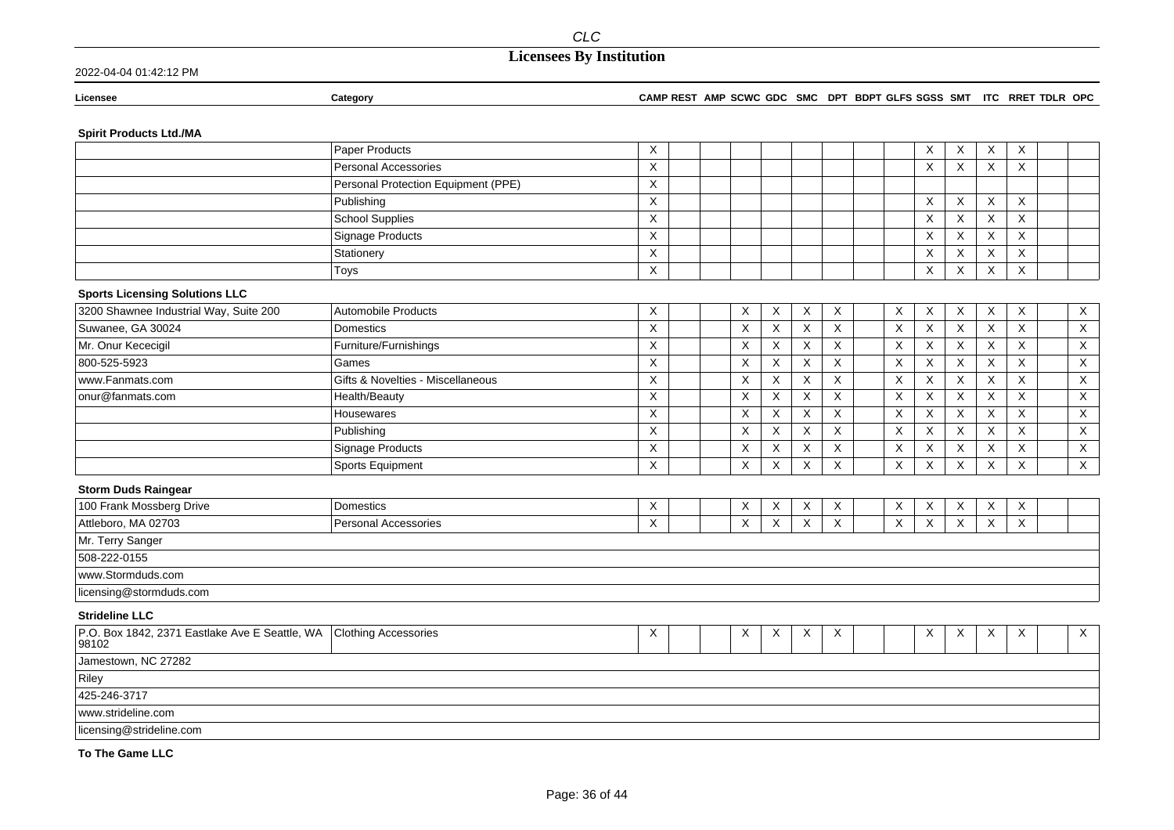| 2022-04-04 01:42:12 PM |  |
|------------------------|--|
|                        |  |

| Licensee | Category | <b>CAMP REST</b> | AMP SCWC GDC | <b>SMC</b> | <b>DPT</b> | <b>BDPT GLFS SGSS</b><br>SMT | ITC | RRET TDLR | <b>OPC</b> |
|----------|----------|------------------|--------------|------------|------------|------------------------------|-----|-----------|------------|
|          |          |                  |              |            |            |                              |     |           |            |

### **Spirit Products Ltd./MA**

|                                                         | Paper Products                      | Χ              |             |             |                |             |             | X           | X                         | X                         | $\times$ |                           |
|---------------------------------------------------------|-------------------------------------|----------------|-------------|-------------|----------------|-------------|-------------|-------------|---------------------------|---------------------------|----------|---------------------------|
|                                                         | <b>Personal Accessories</b>         | X              |             |             |                |             |             | X           | X                         | $\times$                  | X        |                           |
|                                                         | Personal Protection Equipment (PPE) | X              |             |             |                |             |             |             |                           |                           |          |                           |
|                                                         | Publishing                          | Χ              |             |             |                |             |             | X           | X                         | Χ                         | X        |                           |
|                                                         | School Supplies                     | X              |             |             |                |             |             | X           | X                         | X                         | X        |                           |
|                                                         | Signage Products                    | X              |             |             |                |             |             | X           | $\times$                  | X                         | X        |                           |
|                                                         | Stationery                          | X              |             |             |                |             |             | X           | X                         | X                         | X        |                           |
|                                                         | Toys                                | $\mathsf X$    |             |             |                |             |             | X           | X                         | $\mathsf X$               | X        |                           |
| <b>Sports Licensing Solutions LLC</b>                   |                                     |                |             |             |                |             |             |             |                           |                           |          |                           |
| 3200 Shawnee Industrial Way, Suite 200                  | Automobile Products                 | X              | Χ           | Χ           | X              | X           | Χ           | X           | X                         | X                         | $\times$ | $\mathsf{X}$              |
| Suwanee, GA 30024                                       | Domestics                           | Χ              | X           | Χ           | X              | X           | X           | Χ           | X                         | X                         | $\times$ | $\boldsymbol{\mathsf{X}}$ |
| Mr. Onur Kececigil                                      | Furniture/Furnishings               | X              | $\mathsf X$ | X           | X              | X           | $\mathsf X$ | X           | X                         | X                         | X        | $\mathsf X$               |
| 800-525-5923                                            | Games                               | $\times$       | $\mathsf X$ | X           | X              | X           | X           | X           | $\boldsymbol{\mathsf{X}}$ | $\pmb{\times}$            | X        | $\mathsf X$               |
| www.Fanmats.com                                         | Gifts & Novelties - Miscellaneous   | X              | X           | X           | X              | X           | X           | X           | $\times$                  | X                         | $\times$ | X                         |
| onur@fanmats.com                                        | Health/Beauty                       | $\mathsf X$    | X           | X           | X              | X           | X           | $\mathsf X$ | X                         | $\mathsf X$               | X        | $\mathsf X$               |
|                                                         | Housewares                          | $\overline{X}$ | X           | X           | X              | X           | X           | X           | $\times$                  | $\boldsymbol{\mathsf{X}}$ | X        | X                         |
|                                                         | Publishing                          | X              | X           | X           | X              | X           | X           | X           | $\times$                  | X                         | $\times$ | X                         |
|                                                         | Signage Products                    | X              | X           | X           | X              | X           | X           | X           | X                         | X                         | X        | $\mathsf X$               |
|                                                         | Sports Equipment                    | X              | X           | X           | X              | X           | X           | X           | X                         | X                         | X        | $\mathsf X$               |
| <b>Storm Duds Raingear</b>                              |                                     |                |             |             |                |             |             |             |                           |                           |          |                           |
| 100 Frank Mossberg Drive                                | Domestics                           | X              | X           | X           | X              | X           | X           | Χ           | X                         | X                         | X        |                           |
| Attleboro, MA 02703                                     | <b>Personal Accessories</b>         | $\mathsf X$    | X           | $\mathsf X$ | $\pmb{\times}$ | $\mathsf X$ | X           | X           | X                         | $\pmb{\times}$            | X        |                           |
| Mr. Terry Sanger                                        |                                     |                |             |             |                |             |             |             |                           |                           |          |                           |
| 508-222-0155                                            |                                     |                |             |             |                |             |             |             |                           |                           |          |                           |
| www.Stormduds.com                                       |                                     |                |             |             |                |             |             |             |                           |                           |          |                           |
| licensing@stormduds.com                                 |                                     |                |             |             |                |             |             |             |                           |                           |          |                           |
| <b>Strideline LLC</b>                                   |                                     |                |             |             |                |             |             |             |                           |                           |          |                           |
| P.O. Box 1842, 2371 Eastlake Ave E Seattle, WA<br>98102 | <b>Clothing Accessories</b>         | Χ              | Χ           | Χ           | X              | X           |             | X           | X                         | $\boldsymbol{\mathsf{X}}$ | $\times$ | $\times$                  |
| Jamestown, NC 27282                                     |                                     |                |             |             |                |             |             |             |                           |                           |          |                           |
| Riley                                                   |                                     |                |             |             |                |             |             |             |                           |                           |          |                           |
| 425-246-3717                                            |                                     |                |             |             |                |             |             |             |                           |                           |          |                           |
| www.strideline.com                                      |                                     |                |             |             |                |             |             |             |                           |                           |          |                           |
| licensing@strideline.com                                |                                     |                |             |             |                |             |             |             |                           |                           |          |                           |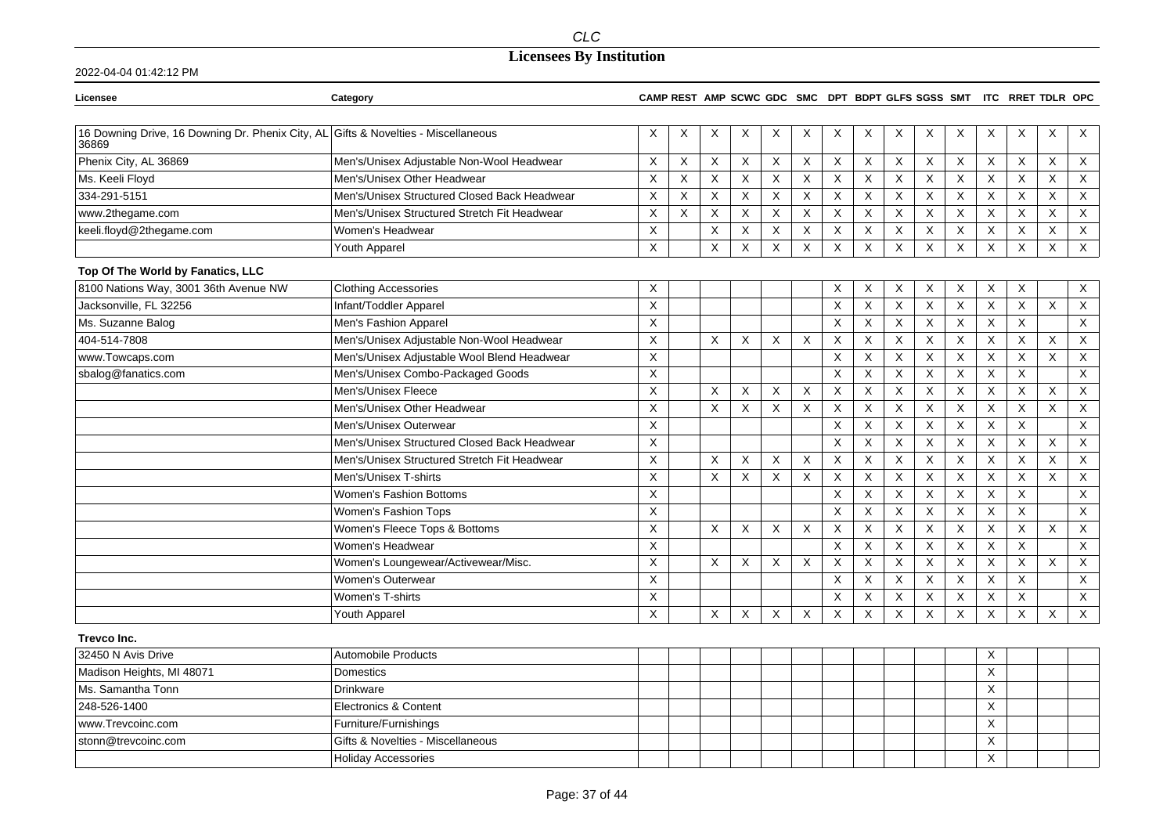## **Licensees By Institution**

| Licensee                                                                                    | Category                                     |                |   |                |             |                           |                           |             |             |                           |                |             |             | CAMP REST AMP SCWC GDC SMC DPT BDPT GLFS SGSS SMT ITC RRET TDLR OPC |                           |                           |
|---------------------------------------------------------------------------------------------|----------------------------------------------|----------------|---|----------------|-------------|---------------------------|---------------------------|-------------|-------------|---------------------------|----------------|-------------|-------------|---------------------------------------------------------------------|---------------------------|---------------------------|
|                                                                                             |                                              |                |   |                |             |                           |                           |             |             |                           |                |             |             |                                                                     |                           |                           |
| 16 Downing Drive, 16 Downing Dr. Phenix City, AL Gifts & Novelties - Miscellaneous<br>36869 |                                              | X              | Χ | X              | Χ           | Χ                         | Χ                         | X           | Χ           | X                         | X              | X           | X           | X                                                                   | X                         | X                         |
| Phenix City, AL 36869                                                                       | Men's/Unisex Adjustable Non-Wool Headwear    | X              | X | $\mathsf X$    | X           | $\boldsymbol{\mathsf{X}}$ | X                         | X           | X           | X                         | $\pmb{\times}$ | X           | Χ           | X                                                                   | $\boldsymbol{\mathsf{X}}$ | X                         |
| Ms. Keeli Floyd                                                                             | Men's/Unisex Other Headwear                  | X              | X | X              | X           | $\boldsymbol{\mathsf{X}}$ | X                         | X           | X           | $\times$                  | X              | X           | X           | X                                                                   | X                         | X                         |
| 334-291-5151                                                                                | Men's/Unisex Structured Closed Back Headwear | X              | X | $\mathsf X$    | X           | $\boldsymbol{\mathsf{X}}$ | $\boldsymbol{\mathsf{X}}$ | $\mathsf X$ | X           | X                         | X              | X           | X           | X                                                                   | $\boldsymbol{\mathsf{X}}$ | $\mathsf X$               |
| www.2thegame.com                                                                            | Men's/Unisex Structured Stretch Fit Headwear | X              | X | X              | X           | X                         | X                         | $\mathsf X$ | X           | X                         | X              | X           | Χ           | X                                                                   | X                         | X                         |
| keeli.floyd@2thegame.com                                                                    | Women's Headwear                             | $\mathsf X$    |   | $\mathsf X$    | X           | X                         | X                         | $\mathsf X$ | X           | X                         | X              | $\sf X$     | Χ           | X                                                                   | X                         | $\mathsf X$               |
|                                                                                             | Youth Apparel                                | X              |   | $\pmb{\times}$ | $\mathsf X$ | $\boldsymbol{\mathsf{X}}$ | $\times$                  | $\times$    | $\mathsf X$ | $\sf X$                   | $\pmb{\times}$ | $\times$    | X           | $\mathsf X$                                                         | $\pmb{\times}$            | $\overline{X}$            |
| Top Of The World by Fanatics, LLC                                                           |                                              |                |   |                |             |                           |                           |             |             |                           |                |             |             |                                                                     |                           |                           |
| 8100 Nations Way, 3001 36th Avenue NW                                                       | <b>Clothing Accessories</b>                  | X              |   |                |             |                           |                           | X           | Χ           | X                         | X              | X           | X           | Χ                                                                   |                           | $\times$                  |
| Jacksonville, FL 32256                                                                      | Infant/Toddler Apparel                       | X              |   |                |             |                           |                           | X           | X           | X                         | X              | X           | X           | X                                                                   | X                         | $\boldsymbol{\mathsf{X}}$ |
| Ms. Suzanne Balog                                                                           | Men's Fashion Apparel                        | X              |   |                |             |                           |                           | X           | X           | X                         | X              | X           | X           | X                                                                   |                           | X                         |
| 404-514-7808                                                                                | Men's/Unisex Adjustable Non-Wool Headwear    | $\mathsf X$    |   | X              | X           | $\times$                  | X                         | X           | X           | X                         | X              | X           | Χ           | X                                                                   | X                         | X                         |
| www.Towcaps.com                                                                             | Men's/Unisex Adjustable Wool Blend Headwear  | X              |   |                |             |                           |                           | X           | X           | X                         | X              | X           | X           | X                                                                   | $\times$                  | X                         |
| sbalog@fanatics.com                                                                         | Men's/Unisex Combo-Packaged Goods            | X              |   |                |             |                           |                           | X           | X           | $\sf X$                   | X              | X           | $\mathsf X$ | $\mathsf X$                                                         |                           | $\mathsf X$               |
|                                                                                             | Men's/Unisex Fleece                          | X              |   | X              | X           | X                         | X                         | X           | X           | X                         | X              | X           | X           | X                                                                   | X                         | X                         |
|                                                                                             | Men's/Unisex Other Headwear                  | X              |   | X              | X           | $\boldsymbol{\mathsf{X}}$ | $\times$                  | $\sf X$     | $\mathsf X$ | X                         | X              | $\sf X$     | X           | X                                                                   | X                         | X                         |
|                                                                                             | Men's/Unisex Outerwear                       | X              |   |                |             |                           |                           | X           | X           | $\times$                  | $\pmb{\times}$ | $\sf X$     | X           | X                                                                   |                           | X                         |
|                                                                                             | Men's/Unisex Structured Closed Back Headwear | X              |   |                |             |                           |                           | X           | X           | X                         | X              | X           | X           | X                                                                   | X                         | $\mathsf{X}$              |
|                                                                                             | Men's/Unisex Structured Stretch Fit Headwear | X              |   | $\times$       | X           | $\times$                  | Χ                         | X           | X           | X                         | X              | $\mathsf X$ | $\times$    | X                                                                   | Χ                         | $\times$                  |
|                                                                                             | Men's/Unisex T-shirts                        | $\mathsf X$    |   | $\times$       | X           | $\boldsymbol{\mathsf{X}}$ | $\boldsymbol{\mathsf{X}}$ | X           | X           | X                         | X              | X           | Χ           | X                                                                   | X                         | $\boldsymbol{\mathsf{X}}$ |
|                                                                                             | <b>Women's Fashion Bottoms</b>               | $\pmb{\times}$ |   |                |             |                           |                           | X           | X           | X                         | X              | X           | $\mathsf X$ | $\mathsf{X}$                                                        |                           | $\boldsymbol{\mathsf{X}}$ |
|                                                                                             | Women's Fashion Tops                         | X              |   |                |             |                           |                           | X           | $\mathsf X$ | X                         | X              | X           | X           | X                                                                   |                           | $\boldsymbol{\mathsf{X}}$ |
|                                                                                             | Women's Fleece Tops & Bottoms                | X              |   | $\times$       | Χ           | $\times$                  | X                         | X           | X           | $\times$                  | X              | X           | X           | X                                                                   | X                         | X                         |
|                                                                                             | Women's Headwear                             | X              |   |                |             |                           |                           | X           | X           | $\boldsymbol{\mathsf{X}}$ | X              | $\mathsf X$ | Χ           | X                                                                   |                           | X                         |
|                                                                                             | Women's Loungewear/Activewear/Misc.          | X              |   | X              | X           | X                         | X                         | $\mathsf X$ | $\mathsf X$ | X                         | X              | $\sf X$     | X           | X                                                                   | X                         | X                         |
|                                                                                             | Women's Outerwear                            | X              |   |                |             |                           |                           | X           | $\mathsf X$ | X                         | X              | $\sf X$     | X           | X                                                                   |                           | $\boldsymbol{\mathsf{X}}$ |
|                                                                                             | Women's T-shirts                             | X              |   |                |             |                           |                           | X           | X           | X                         | X              | X           | X           | X                                                                   |                           | X                         |
|                                                                                             | Youth Apparel                                | X              |   | X              | X           | $\times$                  | $\times$                  | X           | X           | X                         | X              | X           | X           | X                                                                   | $\times$                  | X                         |
| <b>Trevco Inc.</b>                                                                          |                                              |                |   |                |             |                           |                           |             |             |                           |                |             |             |                                                                     |                           |                           |
| 32450 N Avis Drive                                                                          | Automobile Products                          |                |   |                |             |                           |                           |             |             |                           |                |             | Χ           |                                                                     |                           |                           |
| Madison Heights, MI 48071                                                                   | Domestics                                    |                |   |                |             |                           |                           |             |             |                           |                |             | X           |                                                                     |                           |                           |
| Ms. Samantha Tonn                                                                           | Drinkware                                    |                |   |                |             |                           |                           |             |             |                           |                |             | X           |                                                                     |                           |                           |
| 248-526-1400                                                                                | <b>Electronics &amp; Content</b>             |                |   |                |             |                           |                           |             |             |                           |                |             | X           |                                                                     |                           |                           |
| www.Trevcoinc.com                                                                           | Furniture/Furnishings                        |                |   |                |             |                           |                           |             |             |                           |                |             | X           |                                                                     |                           |                           |
| stonn@trevcoinc.com                                                                         | Gifts & Novelties - Miscellaneous            |                |   |                |             |                           |                           |             |             |                           |                |             | Χ           |                                                                     |                           |                           |
|                                                                                             | <b>Holiday Accessories</b>                   |                |   |                |             |                           |                           |             |             |                           |                |             | Χ           |                                                                     |                           |                           |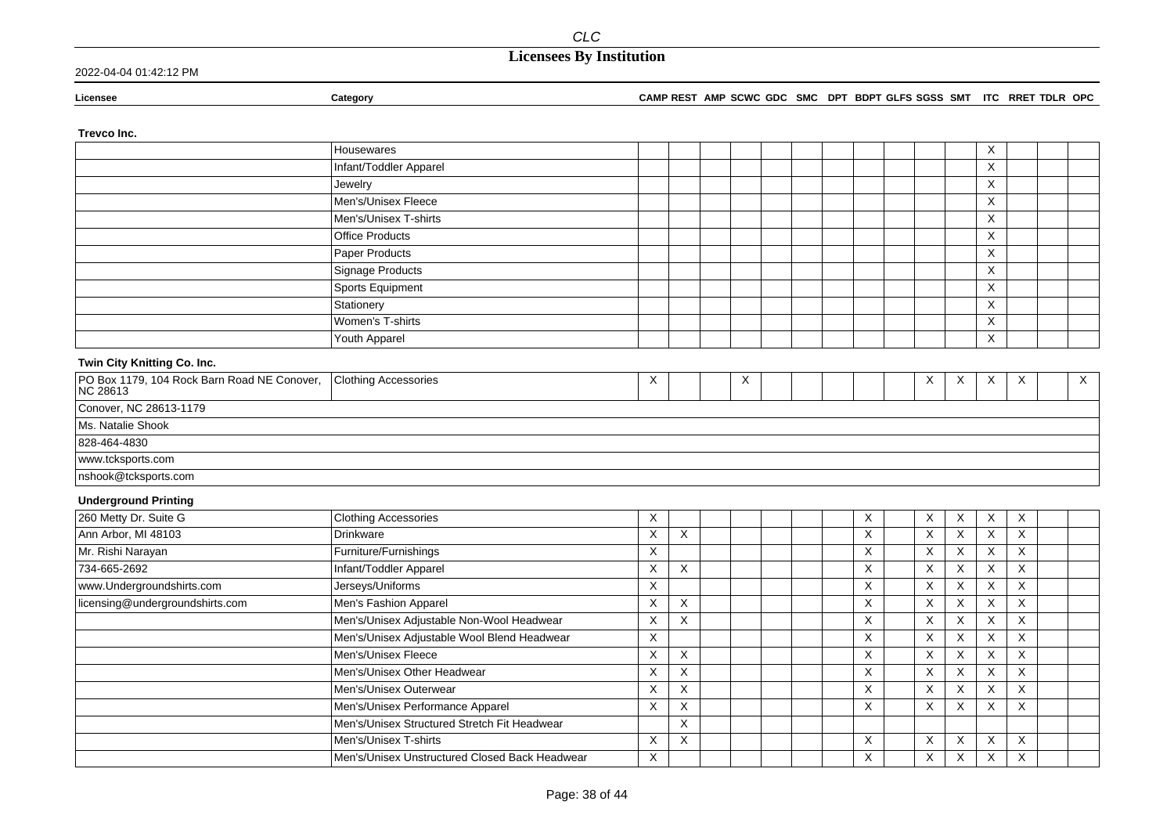## **Licensees By Institution**

### 2022-04-04 01:42:12 PM

**Licensee Category CAMP REST AMP SCWC GDC SMC DPT BDPT GLFS SGSS SMT ITC RRET TDLR OPC**

### **Trevco Inc.**

|                                                         | Housewares                                     |   |                           |   |  |          |                           |                | X                         |                           |              |
|---------------------------------------------------------|------------------------------------------------|---|---------------------------|---|--|----------|---------------------------|----------------|---------------------------|---------------------------|--------------|
|                                                         | Infant/Toddler Apparel                         |   |                           |   |  |          |                           |                | X                         |                           |              |
|                                                         | Jewelry                                        |   |                           |   |  |          |                           |                | X                         |                           |              |
|                                                         | Men's/Unisex Fleece                            |   |                           |   |  |          |                           |                | X                         |                           |              |
|                                                         | Men's/Unisex T-shirts                          |   |                           |   |  |          |                           |                | X                         |                           |              |
|                                                         | <b>Office Products</b>                         |   |                           |   |  |          |                           |                | X                         |                           |              |
|                                                         | Paper Products                                 |   |                           |   |  |          |                           |                | $\boldsymbol{\mathsf{X}}$ |                           |              |
|                                                         | Signage Products                               |   |                           |   |  |          |                           |                | $\boldsymbol{\mathsf{X}}$ |                           |              |
|                                                         | Sports Equipment                               |   |                           |   |  |          |                           |                | X                         |                           |              |
|                                                         | Stationery                                     |   |                           |   |  |          |                           |                | Χ                         |                           |              |
|                                                         | Women's T-shirts                               |   |                           |   |  |          |                           |                | X                         |                           |              |
|                                                         | Youth Apparel                                  |   |                           |   |  |          |                           |                | X                         |                           |              |
| Twin City Knitting Co. Inc.                             |                                                |   |                           |   |  |          |                           |                |                           |                           |              |
| PO Box 1179, 104 Rock Barn Road NE Conover,<br>NC 28613 | <b>Clothing Accessories</b>                    | X |                           | X |  |          | X                         | Χ              | X                         | $\times$                  | $\mathsf{X}$ |
| Conover, NC 28613-1179                                  |                                                |   |                           |   |  |          |                           |                |                           |                           |              |
| Ms. Natalie Shook                                       |                                                |   |                           |   |  |          |                           |                |                           |                           |              |
| 828-464-4830                                            |                                                |   |                           |   |  |          |                           |                |                           |                           |              |
| www.tcksports.com                                       |                                                |   |                           |   |  |          |                           |                |                           |                           |              |
| nshook@tcksports.com                                    |                                                |   |                           |   |  |          |                           |                |                           |                           |              |
| <b>Underground Printing</b>                             |                                                |   |                           |   |  |          |                           |                |                           |                           |              |
| 260 Metty Dr. Suite G                                   | <b>Clothing Accessories</b>                    | X |                           |   |  | X        | X                         | X              | X                         | $\boldsymbol{\mathsf{X}}$ |              |
| Ann Arbor, MI 48103                                     | Drinkware                                      | X | X                         |   |  | $\times$ | $\times$                  | $\sf X$        | $\mathsf X$               | $\sf X$                   |              |
| Mr. Rishi Narayan                                       | Furniture/Furnishings                          | X |                           |   |  | Χ        | X                         | X              | X                         | X                         |              |
| 734-665-2692                                            | Infant/Toddler Apparel                         | X | X                         |   |  | Χ        | $\boldsymbol{\mathsf{X}}$ | $\times$       | X                         | X                         |              |
| www.Undergroundshirts.com                               | Jerseys/Uniforms                               | X |                           |   |  | X        | $\times$                  | $\times$       | $\sf X$                   | $\times$                  |              |
| licensing@undergroundshirts.com                         | Men's Fashion Apparel                          | X | X                         |   |  | X        | $\boldsymbol{\mathsf{X}}$ | $\sf X$        | X                         | $\mathsf{X}$              |              |
|                                                         | Men's/Unisex Adjustable Non-Wool Headwear      | X | X                         |   |  | X        | $\boldsymbol{\mathsf{X}}$ | X              | X                         | $\times$                  |              |
|                                                         | Men's/Unisex Adjustable Wool Blend Headwear    | X |                           |   |  | X        | X                         | X              | X                         | X                         |              |
|                                                         | Men's/Unisex Fleece                            | X | X                         |   |  | X        | X                         | X              | X                         | X                         |              |
|                                                         | Men's/Unisex Other Headwear                    | X | X                         |   |  | X        | $\boldsymbol{\mathsf{X}}$ | X              | X                         | X                         |              |
|                                                         | Men's/Unisex Outerwear                         | X | $\boldsymbol{\mathsf{X}}$ |   |  | X        | $\overline{\mathsf{x}}$   | X              | X                         | X                         |              |
|                                                         | Men's/Unisex Performance Apparel               | X | $\boldsymbol{\mathsf{X}}$ |   |  | X        | $\overline{\mathsf{X}}$   | $\pmb{\times}$ | X                         | X                         |              |
|                                                         | Men's/Unisex Structured Stretch Fit Headwear   |   | $\boldsymbol{\mathsf{X}}$ |   |  |          |                           |                |                           |                           |              |
|                                                         | Men's/Unisex T-shirts                          | X | X                         |   |  | X        | Χ                         | $\mathsf X$    | X                         | X                         |              |
|                                                         | Men's/Unisex Unstructured Closed Back Headwear | X |                           |   |  | X        | X                         | X              | X                         | X                         |              |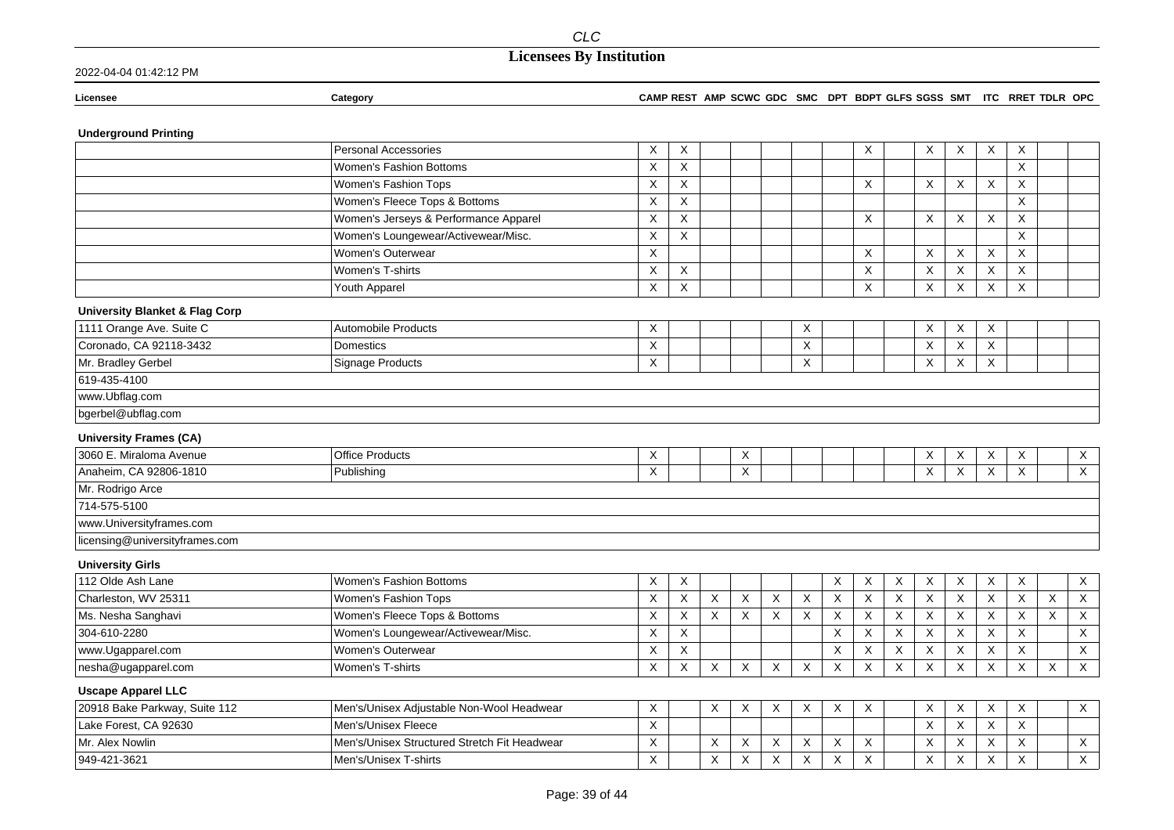| 2022-04-04 01:42:12 PM |
|------------------------|
|------------------------|

| Licensee | Category | <b>AMP REST</b><br>⊶س∧ت | SCWC<br><b>AMP</b><br><b>GDC</b> | <b>SMC</b> | <b>DPT</b> | BDPT GLFS SGSS | SMT | ITC | <b>RRET</b><br>` TDLK | <b>OPC</b> |
|----------|----------|-------------------------|----------------------------------|------------|------------|----------------|-----|-----|-----------------------|------------|
|          |          |                         |                                  |            |            |                |     |     |                       |            |

### **Underground Printing**

|                                           | <b>Personal Accessories</b>                  | X | X        |          |                           |                |                           |          | X        |             | X            | X        | X                         | X                         |                |                           |
|-------------------------------------------|----------------------------------------------|---|----------|----------|---------------------------|----------------|---------------------------|----------|----------|-------------|--------------|----------|---------------------------|---------------------------|----------------|---------------------------|
|                                           | Women's Fashion Bottoms                      | X | X        |          |                           |                |                           |          |          |             |              |          |                           | X                         |                |                           |
|                                           | Women's Fashion Tops                         | X | X        |          |                           |                |                           |          | X        |             | X            | X        | X                         | X                         |                |                           |
|                                           | Women's Fleece Tops & Bottoms                | X | X        |          |                           |                |                           |          |          |             |              |          |                           | X                         |                |                           |
|                                           | Women's Jerseys & Performance Apparel        | X | Χ        |          |                           |                |                           |          | Χ        |             | X            | X        | Χ                         | X                         |                |                           |
|                                           | Women's Loungewear/Activewear/Misc.          | X | X        |          |                           |                |                           |          |          |             |              |          |                           | X                         |                |                           |
|                                           | Women's Outerwear                            | X |          |          |                           |                |                           |          | Χ        |             | X            | X        | X                         | X                         |                |                           |
|                                           | Women's T-shirts                             | X | X        |          |                           |                |                           |          | X        |             | X            | X        | X                         | X                         |                |                           |
|                                           | Youth Apparel                                | X | X        |          |                           |                |                           |          | X        |             | X            | X        | $\boldsymbol{\mathsf{X}}$ | X                         |                |                           |
| <b>University Blanket &amp; Flag Corp</b> |                                              |   |          |          |                           |                |                           |          |          |             |              |          |                           |                           |                |                           |
| 1111 Orange Ave. Suite C                  | <b>Automobile Products</b>                   | X |          |          |                           |                | Χ                         |          |          |             | X            | X        | Χ                         |                           |                |                           |
| Coronado, CA 92118-3432                   | Domestics                                    | X |          |          |                           |                | X                         |          |          |             | X            | X        | X                         |                           |                |                           |
| Mr. Bradley Gerbel                        | <b>Signage Products</b>                      | X |          |          |                           |                | X                         |          |          |             | X            | X        | $\boldsymbol{\mathsf{X}}$ |                           |                |                           |
| 619-435-4100                              |                                              |   |          |          |                           |                |                           |          |          |             |              |          |                           |                           |                |                           |
| www.Ubflag.com                            |                                              |   |          |          |                           |                |                           |          |          |             |              |          |                           |                           |                |                           |
| bgerbel@ubflag.com                        |                                              |   |          |          |                           |                |                           |          |          |             |              |          |                           |                           |                |                           |
| <b>University Frames (CA)</b>             |                                              |   |          |          |                           |                |                           |          |          |             |              |          |                           |                           |                |                           |
| 3060 E. Miraloma Avenue                   | <b>Office Products</b>                       | X |          |          | X                         |                |                           |          |          |             | X            | X        | X                         | X                         |                | X                         |
| Anaheim, CA 92806-1810                    | Publishing                                   | X |          |          | X                         |                |                           |          |          |             | X            | X        | $\times$                  | $\sf X$                   |                | $\overline{X}$            |
| Mr. Rodrigo Arce                          |                                              |   |          |          |                           |                |                           |          |          |             |              |          |                           |                           |                |                           |
| 714-575-5100                              |                                              |   |          |          |                           |                |                           |          |          |             |              |          |                           |                           |                |                           |
| www.Universityframes.com                  |                                              |   |          |          |                           |                |                           |          |          |             |              |          |                           |                           |                |                           |
| licensing@universityframes.com            |                                              |   |          |          |                           |                |                           |          |          |             |              |          |                           |                           |                |                           |
| <b>University Girls</b>                   |                                              |   |          |          |                           |                |                           |          |          |             |              |          |                           |                           |                |                           |
| 112 Olde Ash Lane                         | Women's Fashion Bottoms                      | X | X        |          |                           |                |                           | X        | X        | X           | $\mathsf X$  | $\sf X$  | $\mathsf X$               | $\mathsf X$               |                | $\mathsf X$               |
| Charleston, WV 25311                      | Women's Fashion Tops                         | X | $\times$ | $\times$ | $\boldsymbol{\mathsf{X}}$ | $\pmb{\times}$ | $\boldsymbol{\mathsf{X}}$ | $\times$ | $\times$ | $\mathsf X$ | $\mathsf{X}$ | $\times$ | $\mathsf X$               | $\mathsf{X}$              | $\pmb{\times}$ | $\mathsf X$               |
| Ms. Nesha Sanghavi                        | Women's Fleece Tops & Bottoms                | X | X        | X        | $\boldsymbol{\mathsf{X}}$ | X              | $\times$                  | $\times$ | X        | X           | X            | X        | $\boldsymbol{\mathsf{X}}$ | X                         | X              | $\overline{\mathsf{X}}$   |
| 304-610-2280                              | Women's Loungewear/Activewear/Misc.          | X | X        |          |                           |                |                           | X        | X        | X           | X            | X        | $\boldsymbol{\mathsf{X}}$ | X                         |                | $\mathsf X$               |
| www.Ugapparel.com                         | Women's Outerwear                            | X | X        |          |                           |                |                           | X        | X        | X           | X            | X        | X                         | X                         |                | $\boldsymbol{\mathsf{X}}$ |
| nesha@ugapparel.com                       | Women's T-shirts                             | X | $\times$ | $\times$ | $\sf X$                   | $\times$       | $\times$                  | $\times$ | X        | $\times$    | $\times$     | $\times$ | $\times$                  | $\mathsf{X}$              | X              | $\overline{X}$            |
| <b>Uscape Apparel LLC</b>                 |                                              |   |          |          |                           |                |                           |          |          |             |              |          |                           |                           |                |                           |
| 20918 Bake Parkway, Suite 112             | Men's/Unisex Adjustable Non-Wool Headwear    | X |          | X        | X                         | X              | X                         | X        | X        |             | X            | X        | $\boldsymbol{\mathsf{X}}$ | X                         |                | $\mathsf X$               |
| Lake Forest, CA 92630                     | Men's/Unisex Fleece                          | X |          |          |                           |                |                           |          |          |             | $\times$     | X        | $\boldsymbol{\mathsf{X}}$ | $\sf X$                   |                |                           |
| Mr. Alex Nowlin                           | Men's/Unisex Structured Stretch Fit Headwear | Χ |          | X        | X                         | X              | X                         | $\times$ | X        |             | X            | X        | X                         | $\boldsymbol{\mathsf{X}}$ |                | $\mathsf X$               |
| 949-421-3621                              | Men's/Unisex T-shirts                        | X |          | X        | $\boldsymbol{\mathsf{X}}$ | $\times$       | $\times$                  | $\times$ | X        |             | $\times$     | X        | $\times$                  | $\times$                  |                | $\times$                  |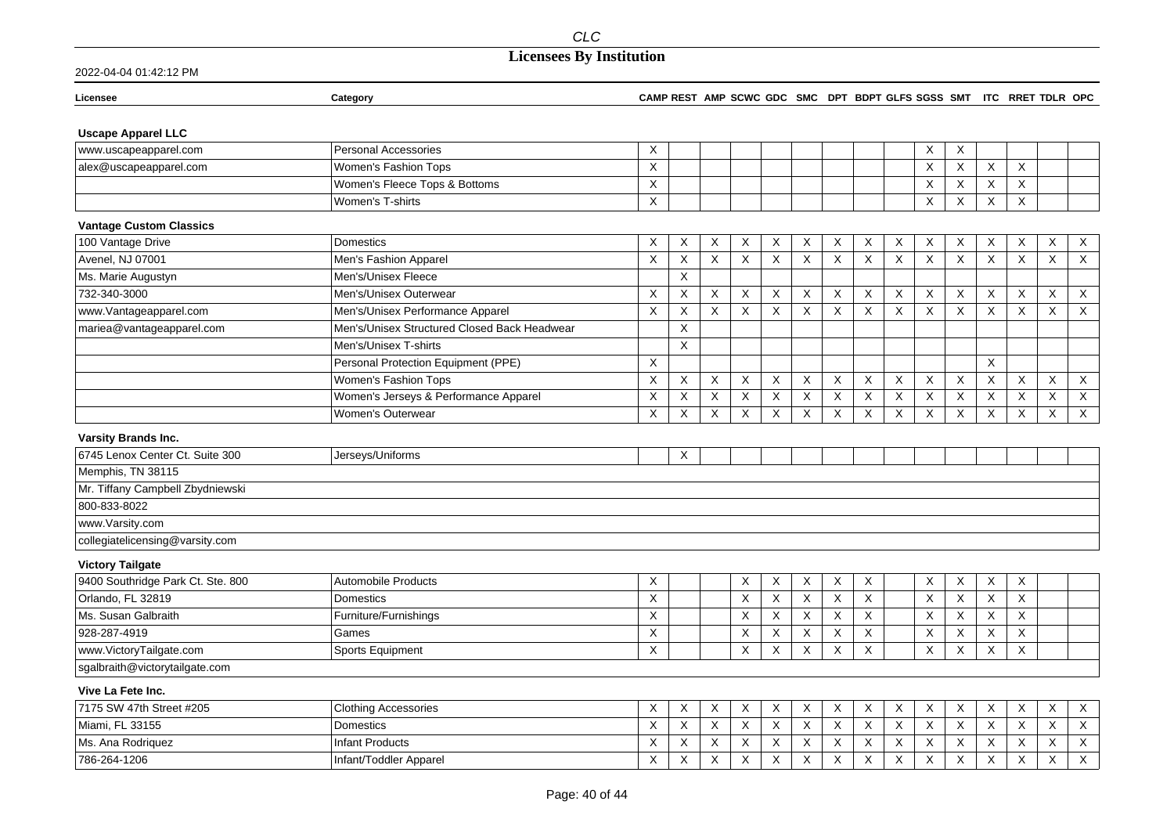## **Licensees By Institution**

| Licensee                          | Category                                     |                           |             |             |                         |   |                           |          |         |   |                           |                           |                           | CAMP REST AMP SCWC GDC SMC DPT BDPT GLFS SGSS SMT ITC RRET TDLR OPC |                           |                           |
|-----------------------------------|----------------------------------------------|---------------------------|-------------|-------------|-------------------------|---|---------------------------|----------|---------|---|---------------------------|---------------------------|---------------------------|---------------------------------------------------------------------|---------------------------|---------------------------|
| <b>Uscape Apparel LLC</b>         |                                              |                           |             |             |                         |   |                           |          |         |   |                           |                           |                           |                                                                     |                           |                           |
| www.uscapeapparel.com             | <b>Personal Accessories</b>                  | X                         |             |             |                         |   |                           |          |         |   | X                         | Χ                         |                           |                                                                     |                           |                           |
| alex@uscapeapparel.com            | Women's Fashion Tops                         | $\times$                  |             |             |                         |   |                           |          |         |   | $\times$                  | $\boldsymbol{\mathsf{X}}$ | $\boldsymbol{\mathsf{X}}$ | $\times$                                                            |                           |                           |
|                                   | Women's Fleece Tops & Bottoms                | X                         |             |             |                         |   |                           |          |         |   | $\boldsymbol{\mathsf{X}}$ | Χ                         | X                         | X                                                                   |                           |                           |
|                                   | Women's T-shirts                             | $\mathsf{X}$              |             |             |                         |   |                           |          |         |   | X                         | X                         | X                         | X                                                                   |                           |                           |
| <b>Vantage Custom Classics</b>    |                                              |                           |             |             |                         |   |                           |          |         |   |                           |                           |                           |                                                                     |                           |                           |
| 100 Vantage Drive                 | Domestics                                    | X                         | Χ           | Χ           | Χ                       | Χ | Χ                         | Χ        | Χ       | X | X                         | Χ                         | X                         | X                                                                   | X                         | X                         |
| Avenel, NJ 07001                  | Men's Fashion Apparel                        | $\boldsymbol{\mathsf{X}}$ | $\sf X$     | $\mathsf X$ | X                       | X | X                         | X        | X       | X | $\boldsymbol{\mathsf{X}}$ | $\boldsymbol{\mathsf{X}}$ | $\boldsymbol{\mathsf{X}}$ | $\boldsymbol{\mathsf{X}}$                                           | $\boldsymbol{\mathsf{X}}$ | $\mathsf X$               |
| Ms. Marie Augustyn                | Men's/Unisex Fleece                          |                           | X           |             |                         |   |                           |          |         |   |                           |                           |                           |                                                                     |                           |                           |
| 732-340-3000                      | Men's/Unisex Outerwear                       | X                         | X           | X           | X                       | X | X                         | X        | X       | X | X                         | X                         | X                         | X                                                                   | X                         | $\mathsf X$               |
| www.Vantageapparel.com            | Men's/Unisex Performance Apparel             | X                         | X           | X           | X                       | Χ | Χ                         | X        | X       | X | X                         | X                         | X                         | X                                                                   | Χ                         | X                         |
| mariea@vantageapparel.com         | Men's/Unisex Structured Closed Back Headwear |                           | $\mathsf X$ |             |                         |   |                           |          |         |   |                           |                           |                           |                                                                     |                           |                           |
|                                   | Men's/Unisex T-shirts                        |                           | X           |             |                         |   |                           |          |         |   |                           |                           |                           |                                                                     |                           |                           |
|                                   | Personal Protection Equipment (PPE)          | X                         |             |             |                         |   |                           |          |         |   |                           |                           | X                         |                                                                     |                           |                           |
|                                   | Women's Fashion Tops                         | $\boldsymbol{\mathsf{X}}$ | X           | X           | X                       | X | X                         | X        | X       | X | $\boldsymbol{\mathsf{X}}$ | $\times$                  | $\boldsymbol{\mathsf{X}}$ | X                                                                   | $\boldsymbol{\mathsf{X}}$ | $\mathsf X$               |
|                                   | Women's Jerseys & Performance Apparel        | X                         | $\mathsf X$ | $\mathsf X$ | X                       | X | X                         | X        | X       | X | X                         | X                         | X                         | X                                                                   | X                         | $\mathsf X$               |
|                                   | <b>Women's Outerwear</b>                     | X                         | X           | X           | $\overline{\mathsf{x}}$ | X | X                         | $\times$ | X       | X | $\boldsymbol{\mathsf{X}}$ | X                         | X                         | $\overline{X}$                                                      | $\boldsymbol{\mathsf{X}}$ | $\overline{X}$            |
| <b>Varsity Brands Inc.</b>        |                                              |                           |             |             |                         |   |                           |          |         |   |                           |                           |                           |                                                                     |                           |                           |
| 6745 Lenox Center Ct. Suite 300   | Jerseys/Uniforms                             |                           | Χ           |             |                         |   |                           |          |         |   |                           |                           |                           |                                                                     |                           |                           |
| Memphis, TN 38115                 |                                              |                           |             |             |                         |   |                           |          |         |   |                           |                           |                           |                                                                     |                           |                           |
| Mr. Tiffany Campbell Zbydniewski  |                                              |                           |             |             |                         |   |                           |          |         |   |                           |                           |                           |                                                                     |                           |                           |
| 800-833-8022                      |                                              |                           |             |             |                         |   |                           |          |         |   |                           |                           |                           |                                                                     |                           |                           |
| www.Varsity.com                   |                                              |                           |             |             |                         |   |                           |          |         |   |                           |                           |                           |                                                                     |                           |                           |
| collegiatelicensing@varsity.com   |                                              |                           |             |             |                         |   |                           |          |         |   |                           |                           |                           |                                                                     |                           |                           |
| <b>Victory Tailgate</b>           |                                              |                           |             |             |                         |   |                           |          |         |   |                           |                           |                           |                                                                     |                           |                           |
| 9400 Southridge Park Ct. Ste. 800 | <b>Automobile Products</b>                   | X                         |             |             | X                       | X | X                         | X        | X       |   | X                         | X                         | X                         | X                                                                   |                           |                           |
| Orlando, FL 32819                 | <b>Domestics</b>                             | $\boldsymbol{\mathsf{X}}$ |             |             | X                       | X | $\boldsymbol{\mathsf{X}}$ | X        | X       |   | $\boldsymbol{\mathsf{X}}$ | $\times$                  | X                         | X                                                                   |                           |                           |
| Ms. Susan Galbraith               | Furniture/Furnishings                        | X                         |             |             | Χ                       | X | Χ                         | X        | X       |   | $\times$                  | Χ                         | X                         | X                                                                   |                           |                           |
| 928-287-4919                      | Games                                        | $\boldsymbol{\mathsf{X}}$ |             |             | X                       | X | X                         | X        | Χ       |   | $\boldsymbol{\mathsf{X}}$ | X                         | X                         | X                                                                   |                           |                           |
| www.VictoryTailgate.com           | <b>Sports Equipment</b>                      | $\boldsymbol{\mathsf{X}}$ |             |             | X                       | X | Χ                         | X        | X       |   | $\boldsymbol{\mathsf{X}}$ | X                         | $\times$                  | $\boldsymbol{\mathsf{X}}$                                           |                           |                           |
| sgalbraith@victorytailgate.com    |                                              |                           |             |             |                         |   |                           |          |         |   |                           |                           |                           |                                                                     |                           |                           |
| Vive La Fete Inc.                 |                                              |                           |             |             |                         |   |                           |          |         |   |                           |                           |                           |                                                                     |                           |                           |
| 7175 SW 47th Street #205          | <b>Clothing Accessories</b>                  | X                         | $\mathsf X$ | X           | X                       | X | X                         | X        | X       | Χ | $\boldsymbol{\mathsf{X}}$ | X                         | X                         | X                                                                   | Χ                         | $\boldsymbol{\mathsf{X}}$ |
| Miami, FL 33155                   | Domestics                                    | X                         | X           | X           | X                       | X | X                         | X        | $\sf X$ | X | X                         | X                         | $\boldsymbol{\mathsf{X}}$ | X                                                                   | X                         | $\mathsf X$               |
| Ms. Ana Rodriguez                 | <b>Infant Products</b>                       | X                         | X           | X           | X                       | X | X                         | X        | X       | X | X                         | Χ                         | X                         | X                                                                   | X                         | $\mathsf X$               |
| 786-264-1206                      | Infant/Toddler Apparel                       | X                         | X           | X           | X                       | X | X                         | X        | X       | X | X                         | X                         | X                         | X                                                                   | X                         | X                         |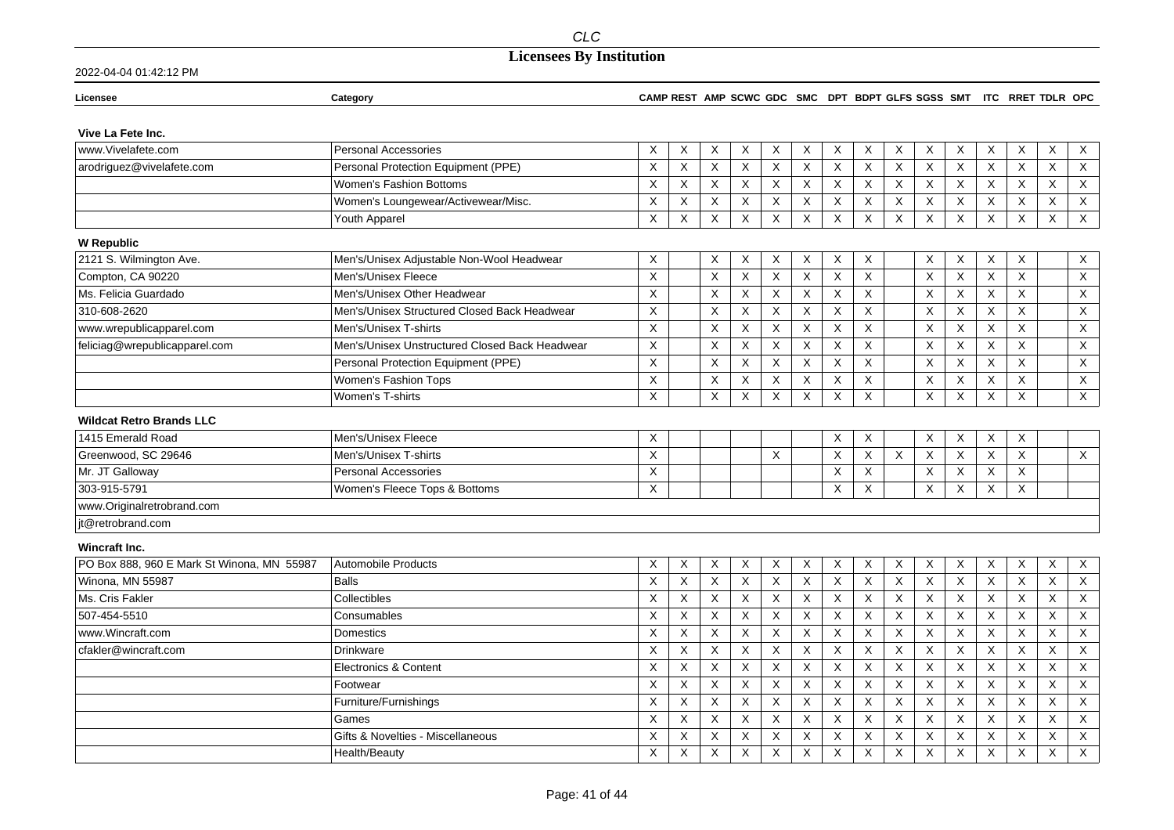## **Licensees By Institution**

| Licensee                                   | Category                                       |                           |                           |             |                |   |                           |   |             |          |                           |             |                           | CAMP REST AMP SCWC GDC SMC DPT BDPT GLFS SGSS SMT ITC RRET TDLR OPC |                           |                           |
|--------------------------------------------|------------------------------------------------|---------------------------|---------------------------|-------------|----------------|---|---------------------------|---|-------------|----------|---------------------------|-------------|---------------------------|---------------------------------------------------------------------|---------------------------|---------------------------|
| Vive La Fete Inc.                          |                                                |                           |                           |             |                |   |                           |   |             |          |                           |             |                           |                                                                     |                           |                           |
| www.Vivelafete.com                         | <b>Personal Accessories</b>                    | X                         | Χ                         | X           | X              | X | X                         | Χ | X           | X        | X                         | Χ           | X                         | X                                                                   | X                         | X                         |
| arodriguez@vivelafete.com                  | Personal Protection Equipment (PPE)            | $\times$                  | X                         | X           | X              | X | X                         | X | X           | X        | X                         | X           | X                         | X                                                                   | X                         | $\overline{X}$            |
|                                            | Women's Fashion Bottoms                        | X                         | X                         | X           | X              | Χ | X                         | X | X           | $\times$ | $\boldsymbol{\mathsf{X}}$ | Χ           | X                         | X                                                                   | X                         | $\mathsf X$               |
|                                            | Women's Loungewear/Activewear/Misc.            | X                         | X                         | $\mathsf X$ | X              | X | X                         | X | Χ           | X        | X                         | X           | X                         | X                                                                   | X                         | $\mathsf X$               |
|                                            | Youth Apparel                                  | X                         | $\mathsf X$               | $\mathsf X$ | X              | X | Χ                         | X | X           | X        | X                         | X           | $\boldsymbol{\mathsf{X}}$ | X                                                                   | $\boldsymbol{\mathsf{X}}$ | $\mathsf X$               |
| <b>W Republic</b>                          |                                                |                           |                           |             |                |   |                           |   |             |          |                           |             |                           |                                                                     |                           |                           |
| 2121 S. Wilmington Ave.                    | Men's/Unisex Adjustable Non-Wool Headwear      | X                         |                           | Χ           | X              | Χ | Χ                         | X | X           |          | X                         | X           | Χ                         | X                                                                   |                           | $\mathsf X$               |
| Compton, CA 90220                          | Men's/Unisex Fleece                            | $\times$                  |                           | X           | $\pmb{\times}$ | X | $\pmb{\times}$            | X | $\mathsf X$ |          | $\times$                  | $\mathsf X$ | $\boldsymbol{\mathsf{X}}$ | $\mathsf{X}$                                                        |                           | $\mathsf X$               |
| Ms. Felicia Guardado                       | Men's/Unisex Other Headwear                    | $\boldsymbol{\mathsf{X}}$ |                           | X           | X              | X | X                         | X | X           |          | X                         | $\times$    | $\times$                  | $\boldsymbol{\mathsf{X}}$                                           |                           | $\mathsf X$               |
| 310-608-2620                               | Men's/Unisex Structured Closed Back Headwear   | X                         |                           | $\mathsf X$ | $\mathsf X$    | X | X                         | X | X           |          | X                         | X           | $\boldsymbol{\mathsf{X}}$ | X                                                                   |                           | X                         |
| www.wrepublicapparel.com                   | Men's/Unisex T-shirts                          | $\times$                  |                           | X           | X              | X | X                         | X | X           |          | $\boldsymbol{\mathsf{X}}$ | $\times$    | $\boldsymbol{\mathsf{X}}$ | $\times$                                                            |                           | $\sf X$                   |
| feliciag@wrepublicapparel.com              | Men's/Unisex Unstructured Closed Back Headwear | $\times$                  |                           | X           | X              | X | X                         | X | X           |          | Χ                         | X           | X                         | $\times$                                                            |                           | $\mathsf{X}$              |
|                                            | Personal Protection Equipment (PPE)            | $\boldsymbol{\mathsf{X}}$ |                           | X           | X              | Χ | Χ                         | X | X           |          | $\times$                  | $\times$    | Χ                         | Χ                                                                   |                           | $\mathsf X$               |
|                                            | Women's Fashion Tops                           | $\boldsymbol{\mathsf{X}}$ |                           | X           | X              | X | X                         | X | X           |          | $\boldsymbol{\mathsf{X}}$ | X           | $\boldsymbol{\mathsf{X}}$ | X                                                                   |                           | $\mathsf X$               |
|                                            | Women's T-shirts                               | $\boldsymbol{\mathsf{X}}$ |                           | X           | X              | X | Χ                         | X | X           |          | $\boldsymbol{\mathsf{X}}$ | X           | $\times$                  | $\boldsymbol{\mathsf{X}}$                                           |                           | $\overline{X}$            |
| <b>Wildcat Retro Brands LLC</b>            |                                                |                           |                           |             |                |   |                           |   |             |          |                           |             |                           |                                                                     |                           |                           |
| 1415 Emerald Road                          | Men's/Unisex Fleece                            | $\times$                  |                           |             |                |   |                           | X | X           |          | X                         | X           | X                         | X                                                                   |                           |                           |
| Greenwood, SC 29646                        | Men's/Unisex T-shirts                          | X                         |                           |             |                | X |                           | X | X           | $\times$ | Χ                         | $\times$    | $\boldsymbol{\mathsf{X}}$ | $\sf X$                                                             |                           | X                         |
| Mr. JT Galloway                            | <b>Personal Accessories</b>                    | $\boldsymbol{\mathsf{X}}$ |                           |             |                |   |                           | X | X           |          | $\boldsymbol{\mathsf{X}}$ | X           | X                         | X                                                                   |                           |                           |
| 303-915-5791                               | Women's Fleece Tops & Bottoms                  | $\boldsymbol{\mathsf{X}}$ |                           |             |                |   |                           | X | X           |          | X                         | X           | $\boldsymbol{\mathsf{X}}$ | X                                                                   |                           |                           |
| www.Originalretrobrand.com                 |                                                |                           |                           |             |                |   |                           |   |             |          |                           |             |                           |                                                                     |                           |                           |
| jt@retrobrand.com                          |                                                |                           |                           |             |                |   |                           |   |             |          |                           |             |                           |                                                                     |                           |                           |
| <b>Wincraft Inc.</b>                       |                                                |                           |                           |             |                |   |                           |   |             |          |                           |             |                           |                                                                     |                           |                           |
| PO Box 888, 960 E Mark St Winona, MN 55987 | <b>Automobile Products</b>                     | X                         | $\mathsf X$               | X           | X              | X | X                         | X | X           | X        | X                         | X           | X                         | Χ                                                                   | X                         | $\boldsymbol{\mathsf{X}}$ |
| Winona, MN 55987                           | <b>Balls</b>                                   | $\boldsymbol{\mathsf{X}}$ | $\mathsf X$               | $\mathsf X$ | X              | X | X                         | X | $\mathsf X$ | X        | X                         | X           | $\boldsymbol{\mathsf{X}}$ | $\boldsymbol{\mathsf{X}}$                                           | $\boldsymbol{\mathsf{X}}$ | $\overline{X}$            |
| Ms. Cris Fakler                            | Collectibles                                   | X                         | $\mathsf X$               | $\sf X$     | X              | X | X                         | X | $\mathsf X$ | X        | $\boldsymbol{X}$          | X           | $\boldsymbol{\mathsf{X}}$ | X                                                                   | $\boldsymbol{\mathsf{X}}$ | $\mathsf X$               |
| 507-454-5510                               | Consumables                                    | $\times$                  | X                         | X           | X              | X | $\boldsymbol{\mathsf{X}}$ | X | X           | X        | $\times$                  | $\times$    | $\boldsymbol{\mathsf{X}}$ | $\sf X$                                                             | $\boldsymbol{\mathsf{X}}$ | X                         |
| www.Wincraft.com                           | <b>Domestics</b>                               | $\times$                  | Χ                         | X           | X              | X | X                         | X | X           | X        | $\boldsymbol{\mathsf{X}}$ | X           | X                         | X                                                                   | $\times$                  | $\mathsf X$               |
| cfakler@wincraft.com                       | Drinkware                                      | $\times$                  | $\boldsymbol{\mathsf{X}}$ | X           | X              | X | Χ                         | X | X           | X        | $\boldsymbol{\mathsf{X}}$ | $\times$    | $\boldsymbol{\mathsf{X}}$ | X                                                                   | X                         | $\mathsf X$               |
|                                            | <b>Electronics &amp; Content</b>               | X                         | $\mathsf X$               | $\mathsf X$ | X              | X | X                         | X | X           | X        | X                         | $\times$    | $\boldsymbol{\mathsf{X}}$ | X                                                                   | X                         | $\mathsf X$               |
|                                            | Footwear                                       | $\times$                  | $\mathsf X$               | X           | X              | X | $\boldsymbol{\mathsf{X}}$ | X | X           | X        | $\boldsymbol{\mathsf{X}}$ | $\times$    | X                         | X                                                                   | $\boldsymbol{\mathsf{X}}$ | $\mathsf X$               |
|                                            | Furniture/Furnishings                          | X                         | X                         | X           | X              | X | Χ                         | X | X           | X        | X                         | $\times$    | X                         | X                                                                   | $\times$                  | $\mathsf{X}$              |
|                                            | Games                                          | X                         | X                         | X           | X              | X | Χ                         | X | X           | X        | X                         | X           | X                         | X                                                                   | X                         | $\mathsf X$               |
|                                            | Gifts & Novelties - Miscellaneous              | X                         | X                         | X           | $\mathsf X$    | X | X                         | X | X           | X        | $\boldsymbol{\mathsf{X}}$ | X           | X                         | X                                                                   | X                         | $\mathsf X$               |
|                                            | Health/Beauty                                  | X                         | $\sf X$                   | $\mathsf X$ | X              | X | Χ                         | X | Χ           | X        | $\mathsf X$               | X           | X                         | X                                                                   | X                         | $\mathsf X$               |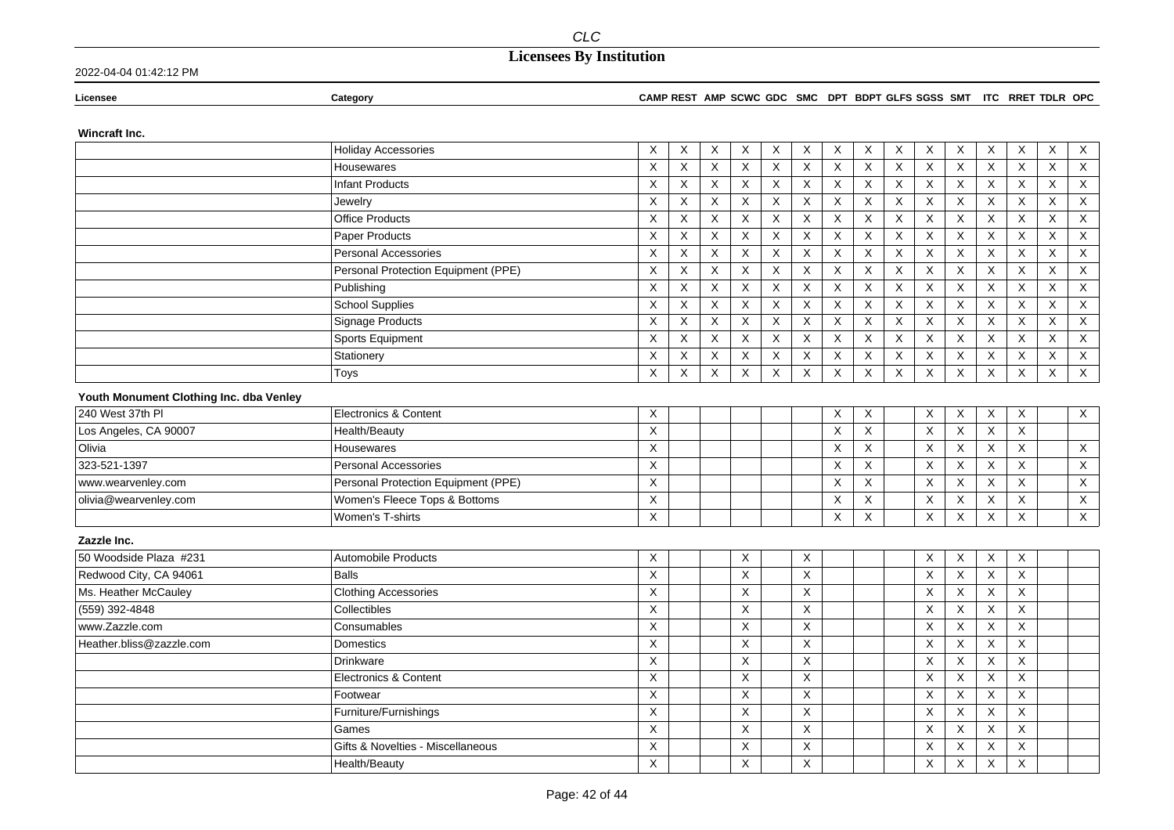RRET TDLR OPC

### 2022-04-04 01:42:12 PM

| Licensee | <b>Category</b> |  | CAMP REST AMP SCWC GDC SMC DPT BDPT GLFS SGSS SMT ITC |
|----------|-----------------|--|-------------------------------------------------------|

### Wincraft Inc.

|                                         | <b>Holiday Accessories</b>          | Χ           | X           | X | Χ        | Χ | X              | X        | X           | X                         | Χ                         | Х                         | X                         | Χ            | X | Χ            |
|-----------------------------------------|-------------------------------------|-------------|-------------|---|----------|---|----------------|----------|-------------|---------------------------|---------------------------|---------------------------|---------------------------|--------------|---|--------------|
|                                         | Housewares                          | X           | X           | X | X        | X | X              | X        | X           | X                         | X                         | X                         | $\boldsymbol{\mathsf{X}}$ | X            | X | X            |
|                                         | <b>Infant Products</b>              | X           | X           | X | X        | X | X              | X        | X           | X                         | X                         | $\boldsymbol{\mathsf{X}}$ | $\boldsymbol{\mathsf{X}}$ | X            | X | X            |
|                                         | Jewelry                             | X           | X           | X | X        | X | X              | X        | $\mathsf X$ | X                         | $\mathsf X$               | X                         | $\boldsymbol{\mathsf{X}}$ | X            | X | X            |
|                                         | <b>Office Products</b>              | X           | X           | X | X        | X | X              | X        | X           | $\boldsymbol{\mathsf{X}}$ | X                         | $\boldsymbol{\mathsf{X}}$ | $\boldsymbol{\mathsf{X}}$ | X            | X | $\mathsf X$  |
|                                         | Paper Products                      | X           | $\mathsf X$ | X | X        | X | X              | X        | X           | X                         | X                         | $\times$                  | X                         | X            | X | $\mathsf X$  |
|                                         | <b>Personal Accessories</b>         | X           | X           | X | X        | X | X              | $\sf X$  | X           | X                         | $\mathsf X$               | $\sf X$                   | $\mathsf X$               | X            | X | $\mathsf X$  |
|                                         | Personal Protection Equipment (PPE) | X           | X           | X | X        | X | X              | X        | X           | X                         | X                         | $\times$                  | X                         | $\mathsf{X}$ | X | $\mathsf X$  |
|                                         | Publishing                          | X           | X           | X | X        | X | X              | Χ        | X           | X                         | X                         | X                         | X                         | $\mathsf{X}$ | X | X            |
|                                         | <b>School Supplies</b>              | X           | X           | X | X        | Χ | Χ              | X        | X           | X                         | Χ                         | X                         | X                         | X            | Χ | X            |
|                                         | Signage Products                    | X           | X           | X | X        | X | X              | X        | X           | X                         | X                         | Χ                         | X                         | X            | Χ | X            |
|                                         | Sports Equipment                    | X           | X           | X | X        | X | X              | X        | X           | X                         | X                         | $\times$                  | X                         | X            | Χ | $\mathsf X$  |
|                                         | Stationery                          | $\mathsf X$ | X           | X | X        | X | $\pmb{\times}$ | $\sf X$  | Χ           | $\mathsf X$               | $\mathsf X$               | $\boldsymbol{\mathsf{X}}$ | $\mathsf X$               | X            | Χ | $\mathsf X$  |
|                                         | Toys                                | X           | X           | X | X        | X | X              | X        | X           | $\boldsymbol{\mathsf{X}}$ | X                         | X                         | X                         | X            | X | $\mathsf X$  |
| Youth Monument Clothing Inc. dba Venley |                                     |             |             |   |          |   |                |          |             |                           |                           |                           |                           |              |   |              |
| 240 West 37th PI                        | <b>Electronics &amp; Content</b>    | X           |             |   |          |   |                | X        | X           |                           | X                         | X                         | X                         | X            |   | $\mathsf X$  |
| Los Angeles, CA 90007                   | Health/Beauty                       | X           |             |   |          |   |                | X        | X           |                           | X                         | X                         | X                         | $\times$     |   |              |
| Olivia                                  | Housewares                          | X           |             |   |          |   |                | X        | X           |                           | X                         | X                         | X                         | $\times$     |   | $\mathsf{X}$ |
| 323-521-1397                            | <b>Personal Accessories</b>         | X           |             |   |          |   |                | X        | X           |                           | X                         | X                         | X                         | $\mathsf{X}$ |   | X            |
| www.wearvenley.com                      | Personal Protection Equipment (PPE) | X           |             |   |          |   |                | $\times$ | X           |                           | X                         | X                         | X                         | $\mathsf{X}$ |   | X            |
| olivia@wearvenley.com                   | Women's Fleece Tops & Bottoms       | X           |             |   |          |   |                | X        | X           |                           | X                         | X                         | X                         | $\mathsf{X}$ |   | $\mathsf X$  |
|                                         | Women's T-shirts                    | X           |             |   |          |   |                | X        | X           |                           | X                         | X                         | X                         | $\mathsf{X}$ |   | $\mathsf X$  |
| Zazzle Inc.                             |                                     |             |             |   |          |   |                |          |             |                           |                           |                           |                           |              |   |              |
| 50 Woodside Plaza #231                  | <b>Automobile Products</b>          | X           |             |   | X        |   | X              |          |             |                           | X                         | X                         | X                         | X            |   |              |
| Redwood City, CA 94061                  | <b>Balls</b>                        | Χ           |             |   | X        |   | Χ              |          |             |                           | X                         | X                         | X                         | X            |   |              |
| Ms. Heather McCauley                    | <b>Clothing Accessories</b>         | X           |             |   | X        |   | X              |          |             |                           | X                         | X                         | X                         | X            |   |              |
| (559) 392-4848                          | Collectibles                        | X           |             |   | $\times$ |   | X              |          |             |                           | X                         | X                         | X                         | X            |   |              |
| www.Zazzle.com                          | Consumables                         | X           |             |   | X        |   | X              |          |             |                           | X                         | X                         | X                         | X            |   |              |
| Heather.bliss@zazzle.com                | Domestics                           | X           |             |   | X        |   | X              |          |             |                           | X                         | X                         | X                         | X            |   |              |
|                                         | Drinkware                           | $\sf X$     |             |   | X        |   | X              |          |             |                           | $\boldsymbol{\mathsf{X}}$ | X                         | X                         | X            |   |              |
|                                         | <b>Electronics &amp; Content</b>    | X           |             |   | X        |   | Χ              |          |             |                           | X                         | X                         | X                         | X            |   |              |
|                                         | Footwear                            | X           |             |   | X        |   | X              |          |             |                           | $\boldsymbol{\mathsf{X}}$ | X                         | X                         | X            |   |              |
|                                         | Furniture/Furnishings               | X           |             |   | X        |   | X              |          |             |                           | X                         | X                         | X                         | X            |   |              |
|                                         | Games                               | Χ           |             |   | X        |   | X              |          |             |                           | X                         | X                         | X                         | X            |   |              |
|                                         | Gifts & Novelties - Miscellaneous   | X           |             |   | X        |   | X              |          |             |                           | X                         | Χ                         | X                         | X            |   |              |
|                                         | Health/Beauty                       | X           |             |   | X        |   | X              |          |             |                           | X                         | X                         | Χ                         | X            |   |              |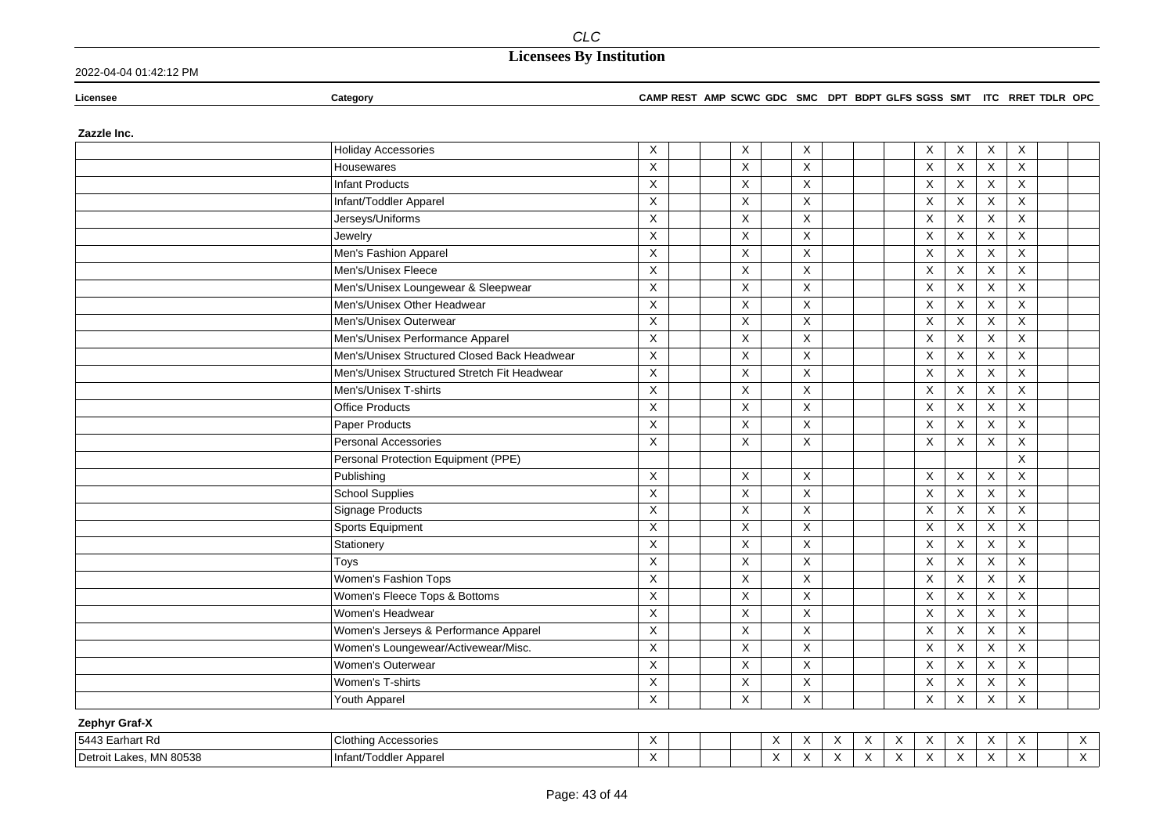2022-04-04 01:42:12 PM

**Licensee Category CAMP REST AMP SCWC GDC SMC DPT BDPT GLFS SGSS SMT ITC RRET TDLR OPC**

**Zazzle Inc.**

|               | <b>Holiday Accessories</b>                   | X           | X                         | X                         |  | X            | $\times$                  | X                         | X                       |  |
|---------------|----------------------------------------------|-------------|---------------------------|---------------------------|--|--------------|---------------------------|---------------------------|-------------------------|--|
|               | Housewares                                   | X           | X                         | X                         |  | X            | X                         | X                         | X                       |  |
|               | <b>Infant Products</b>                       | X           | $\mathsf{X}$              | X                         |  | X            | $\times$                  | $\boldsymbol{\mathsf{X}}$ | X                       |  |
|               | Infant/Toddler Apparel                       | X           | X                         | $\times$                  |  | X            | $\times$                  | $\boldsymbol{\mathsf{X}}$ | X                       |  |
|               | Jerseys/Uniforms                             | X           | X                         | $\boldsymbol{\mathsf{X}}$ |  | X            | X                         | $\boldsymbol{\mathsf{X}}$ | X                       |  |
|               | Jewelry                                      | $\mathsf X$ | $\mathsf X$               | $\pmb{\times}$            |  | X            | X                         | $\mathsf X$               | $\mathsf X$             |  |
|               | Men's Fashion Apparel                        | X           | X                         | X                         |  | X            | X                         | $\mathsf X$               | X                       |  |
|               | Men's/Unisex Fleece                          | X           | X                         | $\times$                  |  | X            | $\times$                  | $\boldsymbol{\mathsf{X}}$ | X                       |  |
|               | Men's/Unisex Loungewear & Sleepwear          | X           | X                         | X                         |  | X            | $\boldsymbol{\mathsf{X}}$ | $\boldsymbol{\mathsf{X}}$ | X                       |  |
|               | Men's/Unisex Other Headwear                  | X           | X                         | X                         |  | X            | X                         | $\mathsf X$               | X                       |  |
|               | Men's/Unisex Outerwear                       | X           | $\boldsymbol{\mathsf{X}}$ | $\boldsymbol{\mathsf{X}}$ |  | X            | X                         | $\boldsymbol{\mathsf{X}}$ | $\mathsf X$             |  |
|               | Men's/Unisex Performance Apparel             | $\mathsf X$ | X                         | X                         |  | X            | X                         | $\boldsymbol{\mathsf{X}}$ | $\mathsf{X}$            |  |
|               | Men's/Unisex Structured Closed Back Headwear | X           | $\times$                  | $\times$                  |  | X            | $\times$                  | X                         | $\times$                |  |
|               | Men's/Unisex Structured Stretch Fit Headwear | X           | $\mathsf X$               | $\times$                  |  | X            | X                         | $\boldsymbol{\mathsf{X}}$ | X                       |  |
|               | Men's/Unisex T-shirts                        | X           | X                         | $\pmb{\times}$            |  | $\mathsf{X}$ | $\times$                  | $\mathsf X$               | $\mathsf{X}$            |  |
|               | <b>Office Products</b>                       | X           | X                         | $\times$                  |  | X            | X                         | $\boldsymbol{\mathsf{X}}$ | X                       |  |
|               | Paper Products                               | X           | X                         | X                         |  | X            | X                         | X                         | X                       |  |
|               | Personal Accessories                         | X           | X                         | X                         |  | X            | X                         | X                         | X                       |  |
|               | Personal Protection Equipment (PPE)          |             |                           |                           |  |              |                           |                           | X                       |  |
|               | Publishing                                   | X           | X                         | $\boldsymbol{\mathsf{X}}$ |  | X            | X                         | X                         | X                       |  |
|               | <b>School Supplies</b>                       | $\mathsf X$ | $\mathsf X$               | $\pmb{\times}$            |  | X            | $\times$                  | $\mathsf X$               | $\mathsf{X}$            |  |
|               | Signage Products                             | X           | X                         | X                         |  | X            | $\boldsymbol{\mathsf{X}}$ | X                         | X                       |  |
|               | Sports Equipment                             | X           | X                         | $\pmb{\times}$            |  | X            | $\times$                  | X                         | $\overline{\mathsf{x}}$ |  |
|               | Stationery                                   | X           | $\times$                  | $\times$                  |  | X            | $\times$                  | X                         | $\times$                |  |
|               | Toys                                         | X           | X                         | X                         |  | X            | X                         | X                         | X                       |  |
|               | Women's Fashion Tops                         | X           | X                         | $\boldsymbol{\mathsf{X}}$ |  | X            | X                         | X                         | X                       |  |
|               | Women's Fleece Tops & Bottoms                | X           | X                         | X                         |  | X            | X                         | X                         | $\mathsf X$             |  |
|               | Women's Headwear                             | X           | X                         | X                         |  | X            | $\mathsf X$               | X                         | X                       |  |
|               | Women's Jerseys & Performance Apparel        | X           | $\boldsymbol{\mathsf{X}}$ | $\overline{\mathsf{x}}$   |  | X            | X                         | X                         | X                       |  |
|               | Women's Loungewear/Activewear/Misc.          | $\mathsf X$ | X                         | X                         |  | X            | $\times$                  | $\mathsf X$               | $\mathsf X$             |  |
|               | Women's Outerwear                            | X           | X                         | X                         |  | X            | $\times$                  | X                         | X                       |  |
|               | Women's T-shirts                             | X           | X                         | X                         |  | X            | $\boldsymbol{\mathsf{X}}$ | X                         | X                       |  |
|               | Youth Apparel                                | X           | X                         | X                         |  | X            | X                         | X                         | X                       |  |
| Zephyr Graf-X |                                              |             |                           |                           |  |              |                           |                           |                         |  |

| 5443 Ea<br>≘arhart Rd                   | Clothing<br>ı Accessories      | $\overline{\phantom{a}}$ |  | $\sim$<br>$\overline{\phantom{a}}$ | $\ddot{\phantom{1}}$ | $\ddot{\phantom{1}}$ | $\ddot{\phantom{1}}$ | $\ddot{\phantom{1}}$ | $\ddot{\phantom{1}}$ |
|-----------------------------------------|--------------------------------|--------------------------|--|------------------------------------|----------------------|----------------------|----------------------|----------------------|----------------------|
| MN 80538<br>l Detroit<br>ekes<br>Lanco. | rt/Toddler Apparel<br>⊣Infant/ | $\cdots$                 |  | $\sim$<br>$\lambda$                | . .                  | $\ddot{\phantom{1}}$ | . .                  |                      | $\ddot{\phantom{1}}$ |